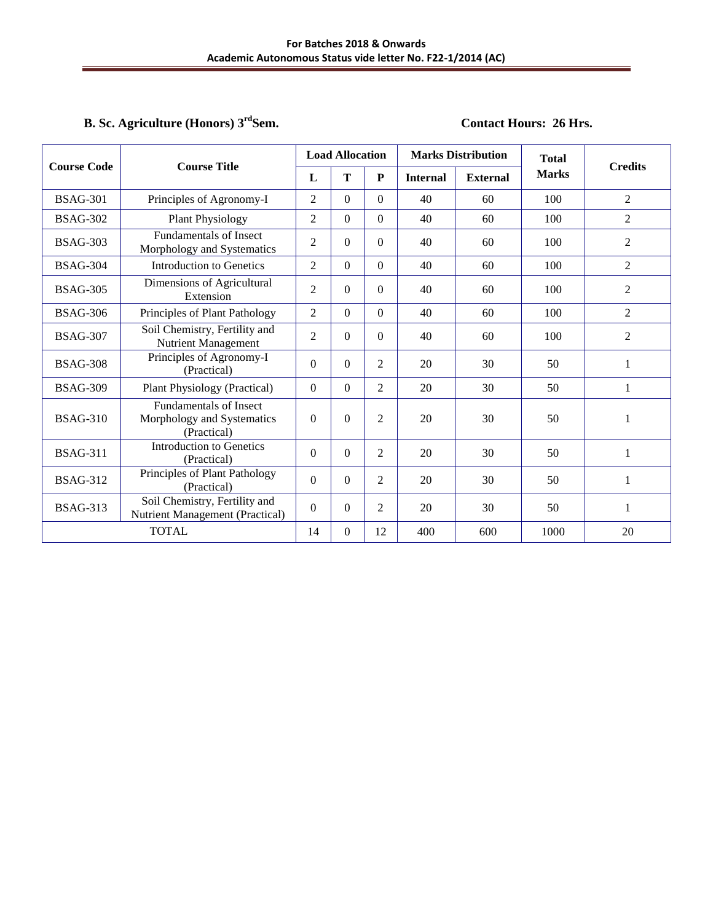## **B. Sc. Agriculture (Honors) 3**

## **Contact Hours: 26 Hrs.**

|                 | <b>Course Code</b><br><b>Course Title</b>                                  |                | <b>Load Allocation</b> |                | <b>Marks Distribution</b> |                 | <b>Total</b> | <b>Credits</b> |
|-----------------|----------------------------------------------------------------------------|----------------|------------------------|----------------|---------------------------|-----------------|--------------|----------------|
|                 |                                                                            | L              | T                      | P              | <b>Internal</b>           | <b>External</b> | <b>Marks</b> |                |
| <b>BSAG-301</b> | Principles of Agronomy-I                                                   | $\overline{2}$ | $\mathbf{0}$           | $\Omega$       | 40                        | 60              | 100          | $\overline{2}$ |
| <b>BSAG-302</b> | <b>Plant Physiology</b>                                                    | $\overline{c}$ | $\Omega$               | $\overline{0}$ | 40                        | 60              | 100          | $\overline{2}$ |
| <b>BSAG-303</b> | <b>Fundamentals of Insect</b><br>Morphology and Systematics                | $\overline{2}$ | $\mathbf{0}$           | $\overline{0}$ | 40                        | 60              | 100          | 2              |
| <b>BSAG-304</b> | <b>Introduction to Genetics</b>                                            | 2              | $\theta$               | $\Omega$       | 40                        | 60              | 100          | 2              |
| <b>BSAG-305</b> | Dimensions of Agricultural<br>Extension                                    | $\overline{2}$ | $\Omega$               | $\Omega$       | 40                        | 60              | 100          | $\overline{2}$ |
| <b>BSAG-306</b> | Principles of Plant Pathology                                              | $\overline{2}$ | $\Omega$               | $\Omega$       | 40                        | 60              | 100          | 2              |
| <b>BSAG-307</b> | Soil Chemistry, Fertility and<br><b>Nutrient Management</b>                | $\overline{2}$ | $\boldsymbol{0}$       | $\overline{0}$ | 40                        | 60              | 100          | $\overline{2}$ |
| <b>BSAG-308</b> | Principles of Agronomy-I<br>(Practical)                                    | $\Omega$       | $\Omega$               | $\overline{2}$ | 20                        | 30              | 50           | 1              |
| <b>BSAG-309</b> | Plant Physiology (Practical)                                               | $\mathbf{0}$   | $\Omega$               | 2              | 20                        | 30              | 50           | 1              |
| <b>BSAG-310</b> | <b>Fundamentals of Insect</b><br>Morphology and Systematics<br>(Practical) | $\mathbf{0}$   | $\theta$               | $\overline{2}$ | 20                        | 30              | 50           | 1              |
| <b>BSAG-311</b> | Introduction to Genetics<br>(Practical)                                    | $\mathbf{0}$   | $\boldsymbol{0}$       | $\overline{2}$ | 20                        | 30              | 50           | 1              |
| <b>BSAG-312</b> | Principles of Plant Pathology<br>(Practical)                               | $\mathbf{0}$   | $\Omega$               | 2              | 20                        | 30              | 50           | $\mathbf{1}$   |
| <b>BSAG-313</b> | Soil Chemistry, Fertility and<br>Nutrient Management (Practical)           | $\mathbf{0}$   | $\boldsymbol{0}$       | $\overline{2}$ | 20                        | 30              | 50           | 1              |
|                 | <b>TOTAL</b>                                                               | 14             | $\boldsymbol{0}$       | 12             | 400                       | 600             | 1000         | 20             |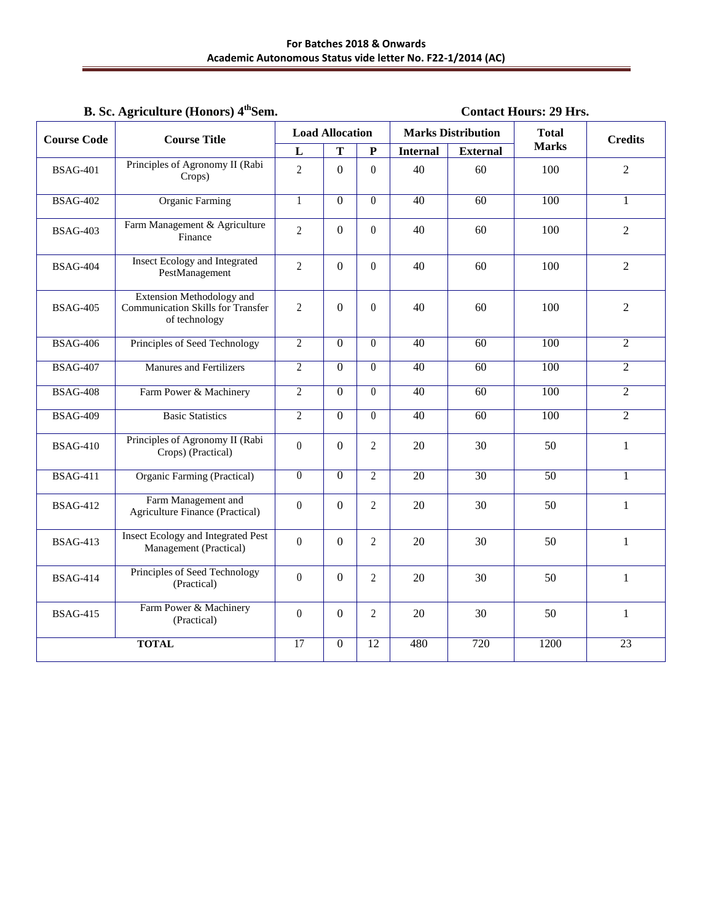## **B. Sc. Agriculture (Honors) 4thSem. Contact Hours: 29 Hrs.**

| <b>Course Code</b> | <b>Course Title</b>                                                                    |                | <b>Load Allocation</b> |                  |                 | <b>Marks Distribution</b> | <b>Total</b>    | <b>Credits</b>  |
|--------------------|----------------------------------------------------------------------------------------|----------------|------------------------|------------------|-----------------|---------------------------|-----------------|-----------------|
|                    |                                                                                        | L              | T                      | P                | <b>Internal</b> | <b>External</b>           | <b>Marks</b>    |                 |
| <b>BSAG-401</b>    | Principles of Agronomy II (Rabi<br>Crops)                                              | $\overline{2}$ | $\overline{0}$         | $\overline{0}$   | 40              | 60                        | 100             | $\overline{2}$  |
| <b>BSAG-402</b>    | <b>Organic Farming</b>                                                                 | 1              | $\Omega$               | $\theta$         | 40              | 60                        | 100             | 1               |
| <b>BSAG-403</b>    | Farm Management & Agriculture<br>Finance                                               | $\overline{2}$ | $\boldsymbol{0}$       | $\boldsymbol{0}$ | 40              | 60                        | 100             | $\overline{2}$  |
| <b>BSAG-404</b>    | <b>Insect Ecology and Integrated</b><br>PestManagement                                 | $\overline{2}$ | $\boldsymbol{0}$       | $\boldsymbol{0}$ | 40              | 60                        | 100             | $\overline{2}$  |
| <b>BSAG-405</b>    | <b>Extension Methodology and</b><br>Communication Skills for Transfer<br>of technology | $\overline{2}$ | $\overline{0}$         | $\boldsymbol{0}$ | 40              | 60                        | 100             | $\overline{2}$  |
| <b>BSAG-406</b>    | Principles of Seed Technology                                                          | $\overline{2}$ | $\overline{0}$         | $\theta$         | 40              | $\overline{60}$           | 100             | $\overline{2}$  |
| <b>BSAG-407</b>    | <b>Manures and Fertilizers</b>                                                         | $\overline{c}$ | $\mathbf{0}$           | $\boldsymbol{0}$ | 40              | 60                        | 100             | $\overline{2}$  |
| <b>BSAG-408</b>    | Farm Power & Machinery                                                                 | $\overline{2}$ | $\overline{0}$         | $\overline{0}$   | $\overline{40}$ | $\overline{60}$           | 100             | $\overline{2}$  |
| <b>BSAG-409</b>    | <b>Basic Statistics</b>                                                                | $\overline{2}$ | $\Omega$               | $\theta$         | 40              | 60                        | 100             | $\overline{2}$  |
| <b>BSAG-410</b>    | Principles of Agronomy II (Rabi<br>Crops) (Practical)                                  | $\mathbf{0}$   | $\overline{0}$         | $\overline{2}$   | 20              | 30                        | 50              | $\mathbf{1}$    |
| <b>BSAG-411</b>    | <b>Organic Farming (Practical)</b>                                                     | $\overline{0}$ | $\overline{0}$         | $\overline{2}$   | $\overline{20}$ | $\overline{30}$           | $\overline{50}$ | $\mathbf{1}$    |
| <b>BSAG-412</b>    | Farm Management and<br><b>Agriculture Finance (Practical)</b>                          | $\overline{0}$ | $\overline{0}$         | $\overline{c}$   | 20              | 30                        | 50              | $\mathbf{1}$    |
| <b>BSAG-413</b>    | <b>Insect Ecology and Integrated Pest</b><br>Management (Practical)                    | $\overline{0}$ | $\overline{0}$         | $\overline{c}$   | 20              | 30                        | 50              | 1               |
| <b>BSAG-414</b>    | Principles of Seed Technology<br>(Practical)                                           | $\overline{0}$ | $\overline{0}$         | $\overline{2}$   | 20              | 30                        | 50              | $\mathbf{1}$    |
| <b>BSAG-415</b>    | Farm Power & Machinery<br>(Practical)                                                  | $\overline{0}$ | $\overline{0}$         | $\overline{2}$   | 20              | 30                        | 50              | $\mathbf{1}$    |
|                    | <b>TOTAL</b>                                                                           | 17             | $\overline{0}$         | $\overline{12}$  | 480             | 720                       | 1200            | $\overline{23}$ |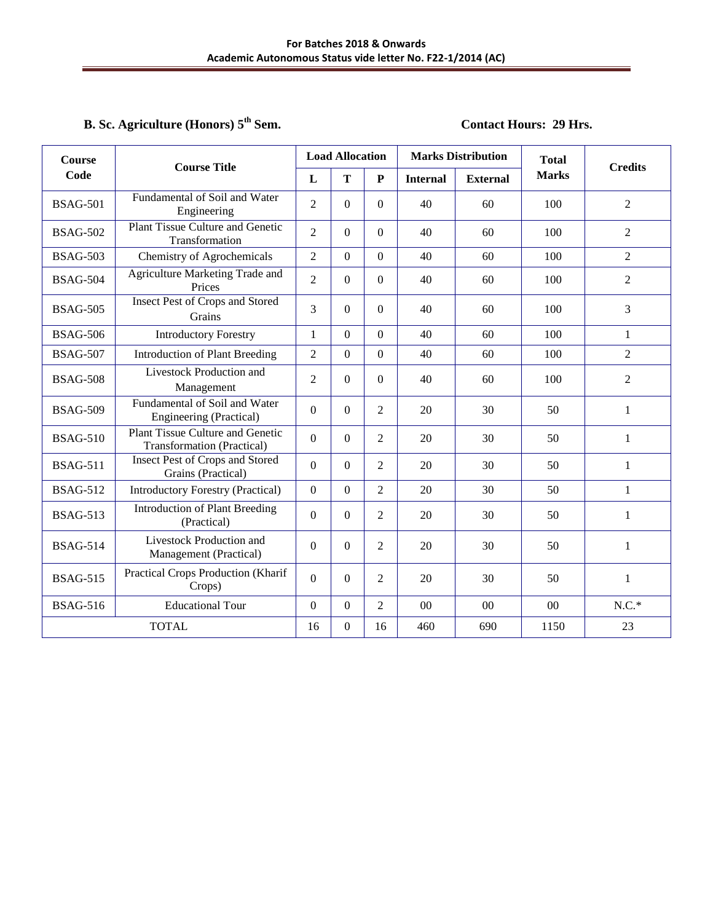## **B. Sc. Agriculture (Honors) 5th Sem. Contact Hours: 29 Hrs.**

| <b>Course</b>   | <b>Course Title</b>                                                          |                  | <b>Load Allocation</b> |                  |                 | <b>Marks Distribution</b> | <b>Total</b> | <b>Credits</b> |
|-----------------|------------------------------------------------------------------------------|------------------|------------------------|------------------|-----------------|---------------------------|--------------|----------------|
| Code            |                                                                              | L                | T                      | $\mathbf P$      | <b>Internal</b> | <b>External</b>           | <b>Marks</b> |                |
| <b>BSAG-501</b> | Fundamental of Soil and Water<br>Engineering                                 | $\overline{2}$   | $\Omega$               | $\theta$         | 40              | 60                        | 100          | $\overline{2}$ |
| <b>BSAG-502</b> | <b>Plant Tissue Culture and Genetic</b><br>Transformation                    | $\overline{2}$   | $\Omega$               | $\theta$         | 40              | 60                        | 100          | $\overline{2}$ |
| <b>BSAG-503</b> | Chemistry of Agrochemicals                                                   | $\overline{2}$   | $\boldsymbol{0}$       | $\boldsymbol{0}$ | 40              | 60                        | 100          | $\overline{2}$ |
| <b>BSAG-504</b> | Agriculture Marketing Trade and<br>Prices                                    | $\overline{2}$   | $\overline{0}$         | $\overline{0}$   | 40              | 60                        | 100          | $\overline{2}$ |
| <b>BSAG-505</b> | <b>Insect Pest of Crops and Stored</b><br>Grains                             | 3                | $\boldsymbol{0}$       | $\overline{0}$   | 40              | 60                        | 100          | 3              |
| <b>BSAG-506</b> | <b>Introductory Forestry</b>                                                 | 1                | $\Omega$               | $\Omega$         | 40              | 60                        | 100          | $\mathbf{1}$   |
| <b>BSAG-507</b> | <b>Introduction of Plant Breeding</b>                                        | $\overline{2}$   | $\boldsymbol{0}$       | $\theta$         | 40              | 60                        | 100          | $\overline{2}$ |
| <b>BSAG-508</b> | Livestock Production and<br>Management                                       | $\overline{2}$   | $\overline{0}$         | $\overline{0}$   | 40              | 60                        | 100          | $\overline{2}$ |
| <b>BSAG-509</b> | Fundamental of Soil and Water<br>Engineering (Practical)                     | $\boldsymbol{0}$ | $\boldsymbol{0}$       | $\overline{2}$   | 20              | 30                        | 50           | $\mathbf{1}$   |
| <b>BSAG-510</b> | <b>Plant Tissue Culture and Genetic</b><br><b>Transformation</b> (Practical) | $\boldsymbol{0}$ | $\boldsymbol{0}$       | $\overline{c}$   | 20              | 30                        | 50           | $\mathbf{1}$   |
| <b>BSAG-511</b> | Insect Pest of Crops and Stored<br>Grains (Practical)                        | $\overline{0}$   | $\boldsymbol{0}$       | 2                | 20              | 30                        | 50           | $\mathbf{1}$   |
| <b>BSAG-512</b> | <b>Introductory Forestry (Practical)</b>                                     | $\Omega$         | $\overline{0}$         | $\overline{2}$   | 20              | 30                        | 50           | $\mathbf{1}$   |
| <b>BSAG-513</b> | <b>Introduction of Plant Breeding</b><br>(Practical)                         | $\overline{0}$   | $\overline{0}$         | $\overline{2}$   | 20              | 30                        | 50           | $\mathbf{1}$   |
| <b>BSAG-514</b> | Livestock Production and<br>Management (Practical)                           | $\Omega$         | $\theta$               | $\overline{c}$   | 20              | 30                        | 50           | $\mathbf{1}$   |
| <b>BSAG-515</b> | Practical Crops Production (Kharif<br>Crops)                                 | $\overline{0}$   | $\boldsymbol{0}$       | $\overline{c}$   | 20              | 30                        | 50           | $\mathbf{1}$   |
| <b>BSAG-516</b> | <b>Educational Tour</b>                                                      | $\boldsymbol{0}$ | $\boldsymbol{0}$       | $\overline{c}$   | $00\,$          | 00                        | 00           | $N.C.*$        |
|                 | <b>TOTAL</b>                                                                 | 16               | $\boldsymbol{0}$       | 16               | 460             | 690                       | 1150         | 23             |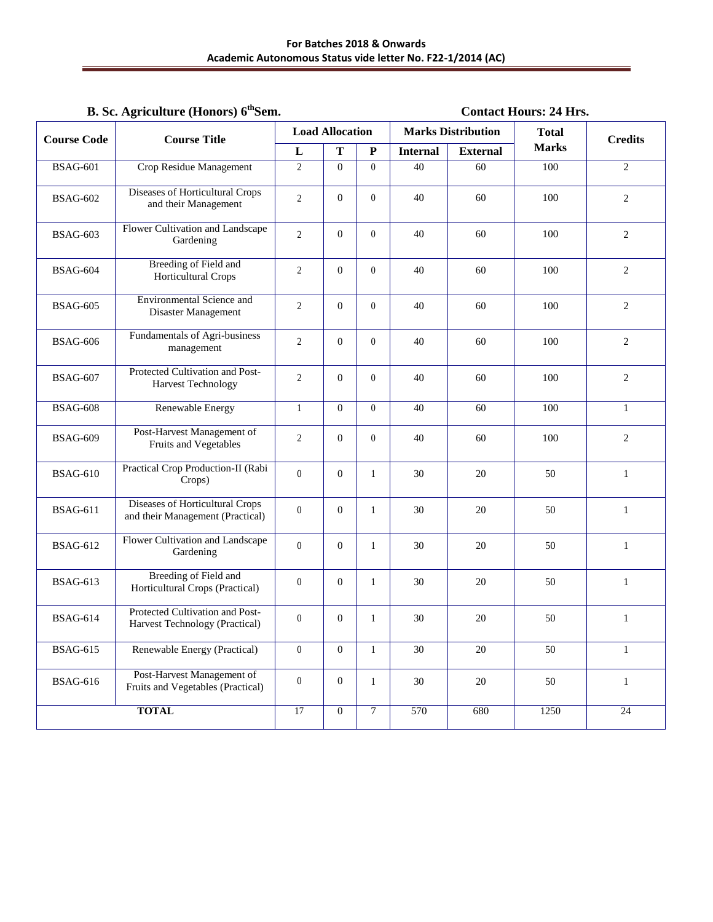# **B. Sc. Agriculture (Honors) 6<sup>th</sup>Sem. Contact Hours: 24 Hrs.**

| <b>Course Code</b> | <b>Course Title</b>                                                 |                  | <b>Load Allocation</b> |                |                 | <b>Marks Distribution</b> | <b>Total</b> | <b>Credits</b>  |
|--------------------|---------------------------------------------------------------------|------------------|------------------------|----------------|-----------------|---------------------------|--------------|-----------------|
|                    |                                                                     | $\mathbf L$      | T                      | ${\bf P}$      | <b>Internal</b> | <b>External</b>           | <b>Marks</b> |                 |
| <b>BSAG-601</b>    | Crop Residue Management                                             | $\overline{2}$   | $\Omega$               | $\Omega$       | 40              | 60                        | 100          | 2               |
| <b>BSAG-602</b>    | <b>Diseases of Horticultural Crops</b><br>and their Management      | $\overline{2}$   | $\mathbf{0}$           | $\mathbf{0}$   | 40              | 60                        | 100          | $\overline{c}$  |
| <b>BSAG-603</b>    | Flower Cultivation and Landscape<br>Gardening                       | 2                | $\mathbf{0}$           | $\theta$       | 40              | 60                        | 100          | 2               |
| <b>BSAG-604</b>    | <b>Breeding of Field and</b><br>Horticultural Crops                 | $\overline{2}$   | $\mathbf{0}$           | $\theta$       | 40              | 60                        | 100          | 2               |
| <b>BSAG-605</b>    | <b>Environmental Science and</b><br>Disaster Management             | $\overline{2}$   | $\mathbf{0}$           | $\mathbf{0}$   | 40              | 60                        | 100          | 2               |
| <b>BSAG-606</b>    | Fundamentals of Agri-business<br>management                         | $\overline{2}$   | $\mathbf{0}$           | $\mathbf{0}$   | 40              | 60                        | 100          | 2               |
| <b>BSAG-607</b>    | Protected Cultivation and Post-<br>Harvest Technology               | $\overline{2}$   | $\mathbf{0}$           | $\theta$       | 40              | 60                        | 100          | 2               |
| <b>BSAG-608</b>    | Renewable Energy                                                    | $\mathbf{1}$     | $\overline{0}$         | $\Omega$       | 40              | 60                        | 100          | $\mathbf{1}$    |
| <b>BSAG-609</b>    | Post-Harvest Management of<br>Fruits and Vegetables                 | $\mathfrak{2}$   | $\overline{0}$         | $\theta$       | 40              | 60                        | 100          | 2               |
| <b>BSAG-610</b>    | Practical Crop Production-II (Rabi<br>Crops)                        | $\mathbf{0}$     | $\mathbf{0}$           | $\mathbf{1}$   | 30              | 20                        | 50           | 1               |
| <b>BSAG-611</b>    | Diseases of Horticultural Crops<br>and their Management (Practical) | $\theta$         | $\mathbf{0}$           | $\mathbf{1}$   | 30              | 20                        | 50           | $\mathbf{1}$    |
| <b>BSAG-612</b>    | Flower Cultivation and Landscape<br>Gardening                       | $\theta$         | $\overline{0}$         | $\mathbf{1}$   | 30              | 20                        | 50           | $\mathbf{1}$    |
| <b>BSAG-613</b>    | <b>Breeding of Field and</b><br>Horticultural Crops (Practical)     | $\theta$         | $\overline{0}$         | $\mathbf{1}$   | 30              | 20                        | 50           | 1               |
| <b>BSAG-614</b>    | Protected Cultivation and Post-<br>Harvest Technology (Practical)   | $\boldsymbol{0}$ | $\mathbf{0}$           | 1              | 30              | 20                        | 50           | $\mathbf{1}$    |
| <b>BSAG-615</b>    | Renewable Energy (Practical)                                        | $\boldsymbol{0}$ | $\boldsymbol{0}$       | 1              | $30\,$          | $20\,$                    | 50           | $\mathbf{1}$    |
| <b>BSAG-616</b>    | Post-Harvest Management of<br>Fruits and Vegetables (Practical)     | $\boldsymbol{0}$ | $\boldsymbol{0}$       | $\mathbf{1}$   | $30\,$          | $20\,$                    | 50           | $\mathbf{1}$    |
|                    | <b>TOTAL</b>                                                        | $\overline{17}$  | $\overline{0}$         | $\overline{7}$ | 570             | 680                       | 1250         | $\overline{24}$ |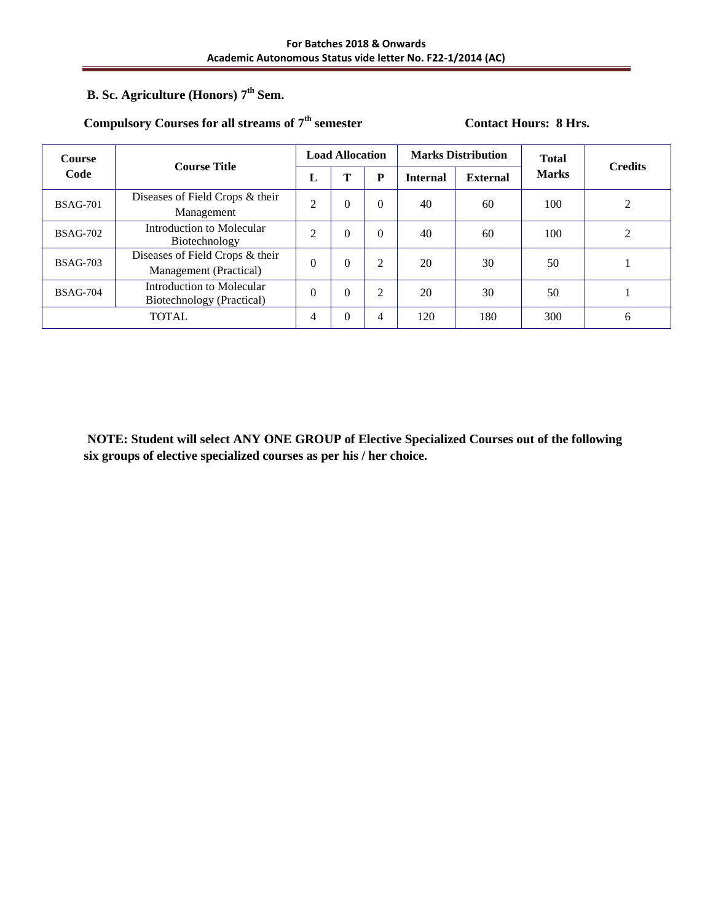# **B. Sc. Agriculture (Honors) 7th Sem.**

## Compulsory Courses for all streams of  $7<sup>th</sup>$  semester Contact Hours: 8 Hrs.

| <b>Course</b>   | <b>Course Title</b>                                       |                | <b>Load Allocation</b> |          |                 | <b>Marks Distribution</b> | <b>Total</b> | <b>Credits</b> |
|-----------------|-----------------------------------------------------------|----------------|------------------------|----------|-----------------|---------------------------|--------------|----------------|
| Code            |                                                           | L              | т                      | P        | <b>Internal</b> | <b>External</b>           | <b>Marks</b> |                |
| <b>BSAG-701</b> | Diseases of Field Crops & their<br>Management             | $\overline{2}$ | $\overline{0}$         | $\Omega$ | 40              | 60                        | 100          | 2              |
| <b>BSAG-702</b> | Introduction to Molecular<br>Biotechnology                | $\overline{2}$ | $\overline{0}$         | $\Omega$ | 40              | 60                        | 100          | 2              |
| <b>BSAG-703</b> | Diseases of Field Crops & their<br>Management (Practical) | $\theta$       | $\theta$               | 2        | 20              | 30                        | 50           |                |
| <b>BSAG-704</b> | Introduction to Molecular<br>Biotechnology (Practical)    | $\theta$       | $\theta$               | 2        | 20              | 30                        | 50           |                |
|                 | <b>TOTAL</b>                                              | 4              | $\theta$               | 4        | 120             | 180                       | 300          | 6              |

**NOTE: Student will select ANY ONE GROUP of Elective Specialized Courses out of the following six groups of elective specialized courses as per his / her choice.**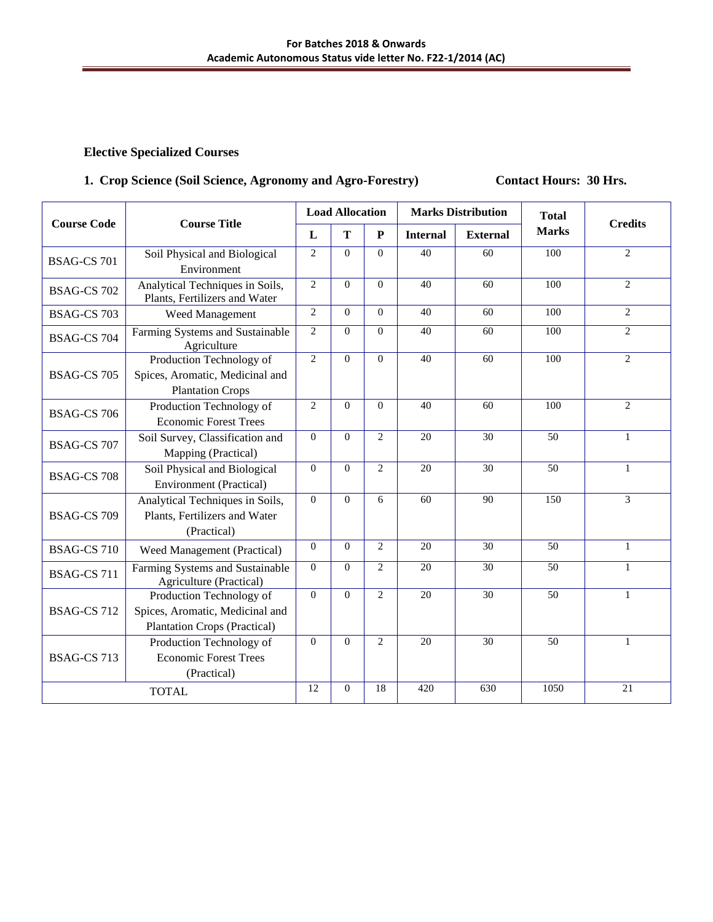## 1. Crop Science (Soil Science, Agronomy and Agro-Forestry) Contact Hours: 30 Hrs.

|                    |                                                                                                    |                | <b>Load Allocation</b> |                |                 | <b>Marks Distribution</b> | <b>Total</b>    | <b>Credits</b> |
|--------------------|----------------------------------------------------------------------------------------------------|----------------|------------------------|----------------|-----------------|---------------------------|-----------------|----------------|
| <b>Course Code</b> | <b>Course Title</b>                                                                                | L              | T                      | ${\bf P}$      | <b>Internal</b> | <b>External</b>           | <b>Marks</b>    |                |
| <b>BSAG-CS 701</b> | Soil Physical and Biological<br>Environment                                                        | $\overline{2}$ | $\Omega$               | $\Omega$       | 40              | 60                        | 100             | 2              |
| <b>BSAG-CS 702</b> | Analytical Techniques in Soils,<br>Plants, Fertilizers and Water                                   | $\overline{2}$ | $\mathbf{0}$           | $\overline{0}$ | 40              | 60                        | 100             | $\overline{2}$ |
| <b>BSAG-CS 703</b> | Weed Management                                                                                    | 2              | $\overline{0}$         | $\overline{0}$ | 40              | 60                        | 100             | 2              |
| BSAG-CS 704        | Farming Systems and Sustainable<br>Agriculture                                                     | $\overline{2}$ | $\overline{0}$         | $\overline{0}$ | 40              | 60                        | 100             | 2              |
| <b>BSAG-CS 705</b> | Production Technology of<br>Spices, Aromatic, Medicinal and<br><b>Plantation Crops</b>             | $\overline{2}$ | $\theta$               | $\theta$       | 40              | 60                        | 100             | $\overline{2}$ |
| <b>BSAG-CS 706</b> | Production Technology of<br><b>Economic Forest Trees</b>                                           | $\overline{c}$ | $\overline{0}$         | $\theta$       | 40              | 60                        | 100             | 2              |
| <b>BSAG-CS 707</b> | Soil Survey, Classification and<br>Mapping (Practical)                                             | $\mathbf{0}$   | $\theta$               | $\overline{c}$ | 20              | 30                        | 50              | $\mathbf{1}$   |
| <b>BSAG-CS 708</b> | Soil Physical and Biological<br><b>Environment</b> (Practical)                                     | $\mathbf{0}$   | $\mathbf{0}$           | $\overline{2}$ | 20              | 30                        | 50              | $\mathbf{1}$   |
| <b>BSAG-CS 709</b> | Analytical Techniques in Soils,<br>Plants, Fertilizers and Water<br>(Practical)                    | $\mathbf{0}$   | $\theta$               | 6              | 60              | 90                        | 150             | $\overline{3}$ |
| <b>BSAG-CS 710</b> | Weed Management (Practical)                                                                        | $\Omega$       | $\theta$               | $\overline{2}$ | 20              | 30                        | 50              | $\mathbf{1}$   |
| <b>BSAG-CS 711</b> | Farming Systems and Sustainable<br>Agriculture (Practical)                                         | $\mathbf{0}$   | $\theta$               | $\overline{2}$ | 20              | $\overline{30}$           | 50              | $\mathbf{1}$   |
| <b>BSAG-CS 712</b> | Production Technology of<br>Spices, Aromatic, Medicinal and<br><b>Plantation Crops (Practical)</b> | $\Omega$       | $\theta$               | $\overline{c}$ | 20              | 30                        | 50              | $\mathbf{1}$   |
| BSAG-CS 713        | Production Technology of<br><b>Economic Forest Trees</b><br>(Practical)                            | $\mathbf{0}$   | $\mathbf{0}$           | $\overline{2}$ | $\overline{20}$ | $\overline{30}$           | $\overline{50}$ | $\mathbf{1}$   |
|                    | <b>TOTAL</b>                                                                                       | 12             | $\mathbf{0}$           | 18             | 420             | 630                       | 1050            | 21             |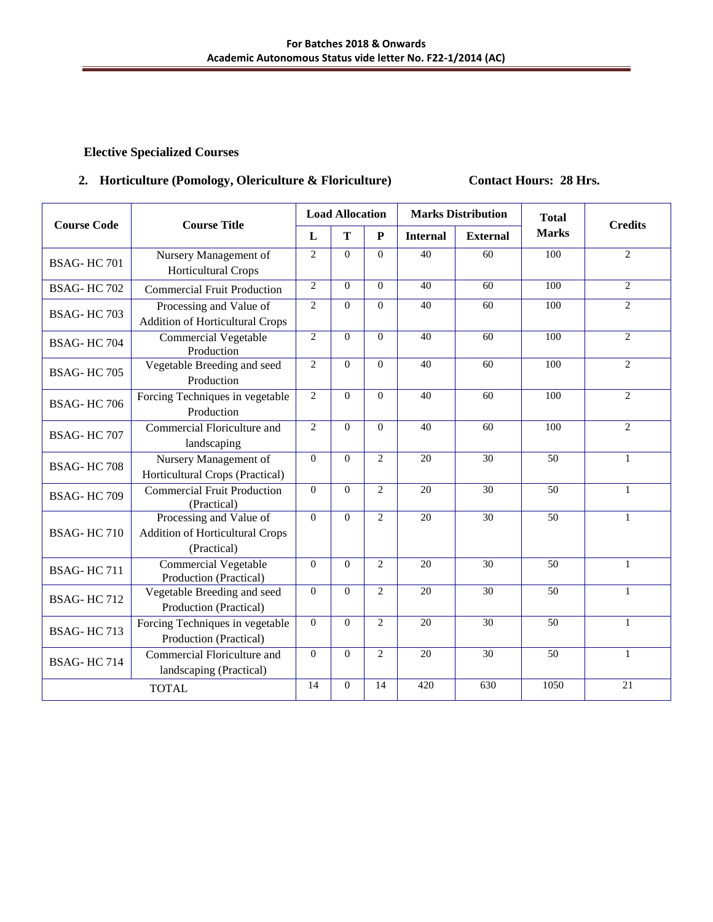## 2. Horticulture (Pomology, Olericulture & Floriculture) **Contact Hours: 28 Hrs.**

|                    | <b>Course Title</b>                                                              |                | <b>Load Allocation</b> |                |                 | <b>Marks Distribution</b> | <b>Total</b>    | <b>Credits</b> |
|--------------------|----------------------------------------------------------------------------------|----------------|------------------------|----------------|-----------------|---------------------------|-----------------|----------------|
| <b>Course Code</b> |                                                                                  | L              | T                      | ${\bf P}$      | <b>Internal</b> | <b>External</b>           | <b>Marks</b>    |                |
| <b>BSAG-HC701</b>  | Nursery Management of<br><b>Horticultural Crops</b>                              | 2              | $\Omega$               | $\Omega$       | 40              | 60                        | 100             | $\overline{2}$ |
| <b>BSAG-HC702</b>  | <b>Commercial Fruit Production</b>                                               | $\overline{2}$ | $\theta$               | $\Omega$       | 40              | 60                        | 100             | 2              |
| BSAG-HC703         | Processing and Value of<br><b>Addition of Horticultural Crops</b>                | $\overline{c}$ | $\theta$               | $\theta$       | 40              | 60                        | 100             | 2              |
| <b>BSAG-HC704</b>  | <b>Commercial Vegetable</b><br>Production                                        | $\overline{2}$ | $\mathbf{0}$           | $\theta$       | 40              | 60                        | 100             | $\overline{2}$ |
| <b>BSAG-HC705</b>  | Vegetable Breeding and seed<br>Production                                        | $\overline{2}$ | $\mathbf{0}$           | $\theta$       | 40              | 60                        | 100             | 2              |
| <b>BSAG-HC706</b>  | Forcing Techniques in vegetable<br>Production                                    | 2              | $\theta$               | $\Omega$       | 40              | 60                        | 100             | 2              |
| <b>BSAG-HC707</b>  | Commercial Floriculture and<br>landscaping                                       | $\overline{2}$ | $\theta$               | $\Omega$       | 40              | 60                        | 100             | $\overline{c}$ |
| <b>BSAG-HC708</b>  | Nursery Management of<br>Horticultural Crops (Practical)                         | $\theta$       | $\theta$               | $\overline{2}$ | 20              | 30                        | 50              | $\mathbf{1}$   |
| <b>BSAG-HC709</b>  | <b>Commercial Fruit Production</b><br>(Practical)                                | $\Omega$       | $\theta$               | $\overline{c}$ | $\overline{20}$ | 30                        | 50              | 1              |
| <b>BSAG-HC710</b>  | Processing and Value of<br><b>Addition of Horticultural Crops</b><br>(Practical) | $\overline{0}$ | $\theta$               | 2              | 20              | 30                        | 50              | $\mathbf{1}$   |
| <b>BSAG-HC711</b>  | <b>Commercial Vegetable</b><br>Production (Practical)                            | $\overline{0}$ | $\overline{0}$         | $\overline{2}$ | 20              | 30                        | 50              | $\mathbf{1}$   |
| <b>BSAG-HC712</b>  | Vegetable Breeding and seed<br>Production (Practical)                            | $\Omega$       | $\theta$               | $\overline{c}$ | 20              | 30                        | 50              | $\mathbf{1}$   |
| BSAG-HC713         | Forcing Techniques in vegetable<br>Production (Practical)                        | $\Omega$       | $\theta$               | $\overline{2}$ | 20              | 30                        | 50              | $\mathbf{1}$   |
| <b>BSAG-HC714</b>  | Commercial Floriculture and<br>landscaping (Practical)                           | $\mathbf{0}$   | $\mathbf{0}$           | $\overline{2}$ | 20              | 30                        | $\overline{50}$ | $\mathbf{1}$   |
|                    | <b>TOTAL</b>                                                                     | 14             | $\theta$               | 14             | 420             | 630                       | 1050            | 21             |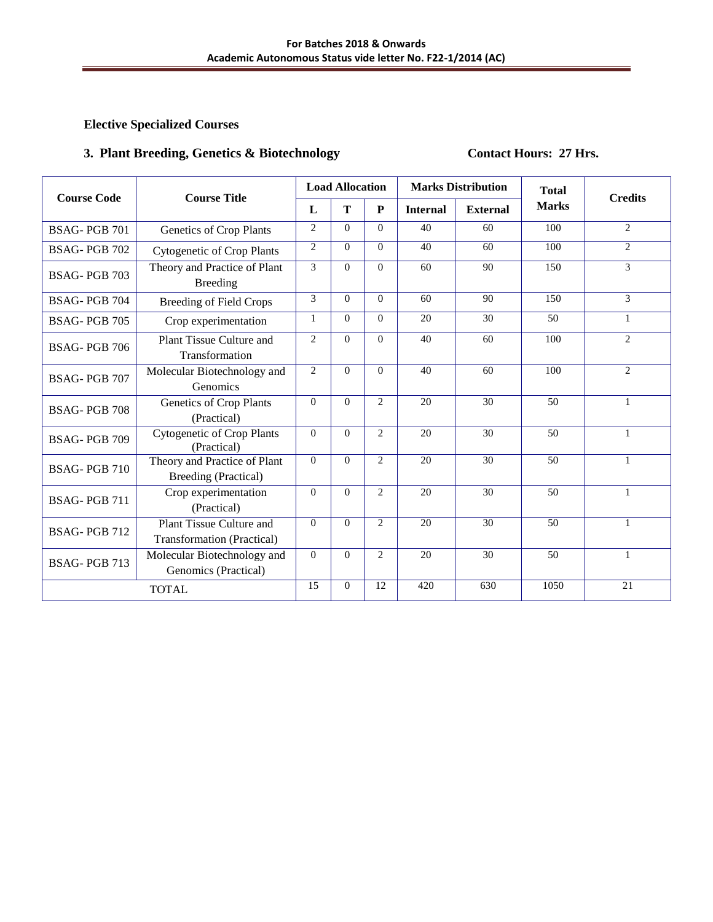## **3. Plant Breeding, Genetics & Biotechnology Contact Hours: 27 Hrs.**

| <b>Course Code</b>  | <b>Course Title</b>                                           |                | <b>Load Allocation</b> |                |                 | <b>Marks Distribution</b> | <b>Total</b> | <b>Credits</b>              |
|---------------------|---------------------------------------------------------------|----------------|------------------------|----------------|-----------------|---------------------------|--------------|-----------------------------|
|                     |                                                               | L              | T                      | ${\bf P}$      | <b>Internal</b> | <b>External</b>           | <b>Marks</b> |                             |
| BSAG-PGB 701        | Genetics of Crop Plants                                       | $\overline{c}$ | $\Omega$               | $\Omega$       | 40              | 60                        | 100          | 2                           |
| BSAG-PGB 702        | <b>Cytogenetic of Crop Plants</b>                             | $\overline{c}$ | $\Omega$               | $\Omega$       | 40              | 60                        | 100          | 2                           |
| BSAG-PGB 703        | Theory and Practice of Plant<br><b>Breeding</b>               | 3              | $\Omega$               | $\Omega$       | 60              | 90                        | 150          | $\overline{3}$              |
| BSAG-PGB 704        | <b>Breeding of Field Crops</b>                                | 3              | $\Omega$               | $\Omega$       | 60              | 90                        | 150          | $\mathcal{E}$               |
| <b>BSAG-PGB 705</b> | Crop experimentation                                          | $\mathbf{1}$   | $\Omega$               | $\Omega$       | 20              | 30                        | 50           | $\mathbf{1}$                |
| BSAG-PGB 706        | Plant Tissue Culture and<br>Transformation                    | $\overline{c}$ | $\Omega$               | $\Omega$       | 40              | 60                        | 100          | $\mathcal{D}_{\mathcal{L}}$ |
| <b>BSAG-PGB 707</b> | Molecular Biotechnology and<br>Genomics                       | $\overline{c}$ | $\overline{0}$         | $\overline{0}$ | 40              | 60                        | 100          | 2                           |
| <b>BSAG-PGB 708</b> | Genetics of Crop Plants<br>(Practical)                        | $\Omega$       | $\Omega$               | 2              | 20              | 30                        | 50           | $\mathbf{1}$                |
| BSAG-PGB 709        | <b>Cytogenetic of Crop Plants</b><br>(Practical)              | $\Omega$       | $\Omega$               | $\overline{2}$ | 20              | 30                        | 50           | $\mathbf{1}$                |
| BSAG-PGB 710        | Theory and Practice of Plant<br>Breeding (Practical)          | $\theta$       | $\theta$               | $\overline{2}$ | 20              | 30                        | 50           | 1                           |
| BSAG-PGB 711        | Crop experimentation<br>(Practical)                           | $\theta$       | $\theta$               | $\overline{c}$ | 20              | 30                        | 50           | $\mathbf{1}$                |
| BSAG-PGB 712        | Plant Tissue Culture and<br><b>Transformation</b> (Practical) | $\Omega$       | $\Omega$               | $\overline{2}$ | 20              | 30                        | 50           | 1                           |
| BSAG-PGB 713        | Molecular Biotechnology and<br>Genomics (Practical)           | $\theta$       | $\theta$               | $\overline{c}$ | 20              | 30                        | 50           | $\mathbf{1}$                |
|                     | <b>TOTAL</b>                                                  | 15             | $\Omega$               | 12             | 420             | 630                       | 1050         | 21                          |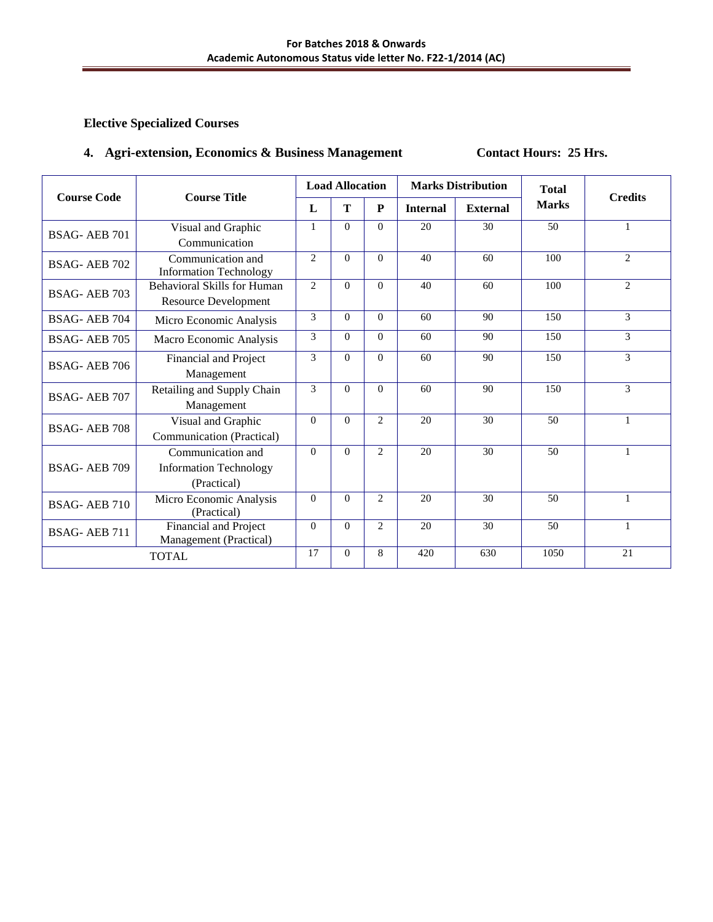## **4. Agri-extension, Economics & Business Management <b>Contact Hours: 25 Hrs.**

| <b>Course Code</b>  | <b>Course Title</b>                                               |                | <b>Load Allocation</b> |                |                 | <b>Marks Distribution</b> | <b>Total</b> | <b>Credits</b> |
|---------------------|-------------------------------------------------------------------|----------------|------------------------|----------------|-----------------|---------------------------|--------------|----------------|
|                     |                                                                   | L              | T                      | ${\bf P}$      | <b>Internal</b> | <b>External</b>           | <b>Marks</b> |                |
| BSAG-AEB 701        | Visual and Graphic<br>Communication                               | $\mathbf{1}$   | $\Omega$               | $\Omega$       | 20              | 30                        | 50           | 1              |
| BSAG-AEB 702        | Communication and<br><b>Information Technology</b>                | $\overline{2}$ | $\Omega$               | $\Omega$       | 40              | 60                        | 100          | 2              |
| BSAG-AEB 703        | Behavioral Skills for Human<br><b>Resource Development</b>        | $\overline{2}$ | $\Omega$               | $\Omega$       | 40              | 60                        | 100          | $\mathcal{L}$  |
| BSAG-AEB 704        | Micro Economic Analysis                                           | 3              | $\Omega$               | $\Omega$       | 60              | 90                        | 150          | 3              |
| BSAG-AEB 705        | Macro Economic Analysis                                           | 3              | $\Omega$               | $\Omega$       | 60              | 90                        | 150          | 3              |
| BSAG-AEB 706        | Financial and Project<br>Management                               | 3              | $\Omega$               | $\Omega$       | 60              | 90                        | 150          | $\mathcal{E}$  |
| <b>BSAG-AEB 707</b> | Retailing and Supply Chain<br>Management                          | 3              | $\Omega$               | $\Omega$       | 60              | 90                        | 150          | 3              |
| BSAG-AEB 708        | Visual and Graphic<br>Communication (Practical)                   | $\Omega$       | $\Omega$               | $\overline{2}$ | 20              | 30 <sub>2</sub>           | 50           | $\mathbf{1}$   |
| BSAG-AEB 709        | Communication and<br><b>Information Technology</b><br>(Practical) | $\theta$       | $\Omega$               | $\overline{2}$ | 20              | 30                        | 50           | $\mathbf{1}$   |
| BSAG-AEB 710        | Micro Economic Analysis<br>(Practical)                            | $\Omega$       | $\Omega$               | $\overline{2}$ | 20              | 30                        | 50           | $\mathbf{1}$   |
| BSAG-AEB 711        | Financial and Project<br>Management (Practical)                   | $\Omega$       | $\Omega$               | $\overline{2}$ | 20              | 30                        | 50           | $\mathbf{1}$   |
|                     | <b>TOTAL</b>                                                      | 17             | $\Omega$               | 8              | 420             | 630                       | 1050         | 21             |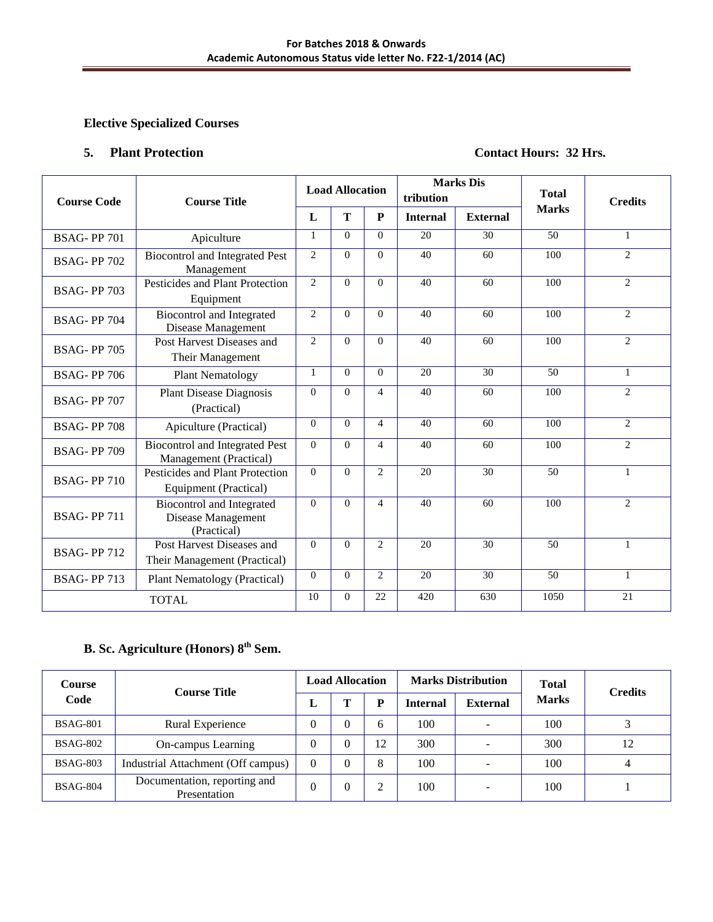#### **5. Plant Protection Contact Hours: 32 Hrs.**

| <b>Course Code</b> | <b>Course Title</b>                                            |                | <b>Load Allocation</b> |                | tribution       | <b>Marks</b> Dis | <b>Total</b> | <b>Credits</b> |
|--------------------|----------------------------------------------------------------|----------------|------------------------|----------------|-----------------|------------------|--------------|----------------|
|                    |                                                                | L              | T                      | ${\bf P}$      | <b>Internal</b> | <b>External</b>  | <b>Marks</b> |                |
| <b>BSAG-PP701</b>  | Apiculture                                                     | $\mathbf{1}$   | $\Omega$               | $\Omega$       | 20              | 30               | 50           | $\mathbf{1}$   |
| <b>BSAG-PP 702</b> | <b>Biocontrol and Integrated Pest</b><br>Management            | $\overline{2}$ | $\theta$               | $\Omega$       | 40              | 60               | 100          | 2              |
| <b>BSAG-PP703</b>  | Pesticides and Plant Protection<br>Equipment                   | $\overline{2}$ | $\Omega$               | $\Omega$       | 40              | 60               | 100          | $\overline{2}$ |
| <b>BSAG-PP704</b>  | Biocontrol and Integrated<br>Disease Management                | $\overline{c}$ | $\theta$               | $\Omega$       | 40              | 60               | 100          | $\overline{2}$ |
| <b>BSAG-PP 705</b> | Post Harvest Diseases and<br>Their Management                  | $\overline{2}$ | $\Omega$               | $\Omega$       | 40              | 60               | 100          | 2              |
| <b>BSAG-PP706</b>  | <b>Plant Nematology</b>                                        | 1              | $\theta$               | $\Omega$       | 20              | 30               | 50           | $\mathbf{1}$   |
| <b>BSAG-PP 707</b> | <b>Plant Disease Diagnosis</b><br>(Practical)                  | $\Omega$       | $\Omega$               | $\overline{4}$ | 40              | 60               | 100          | $\overline{2}$ |
| <b>BSAG-PP708</b>  | Apiculture (Practical)                                         | $\Omega$       | $\theta$               | $\overline{4}$ | 40              | 60               | 100          | 2              |
| <b>BSAG-PP709</b>  | Biocontrol and Integrated Pest<br>Management (Practical)       | $\Omega$       | $\theta$               | $\overline{4}$ | 40              | 60               | 100          | 2              |
| <b>BSAG-PP710</b>  | Pesticides and Plant Protection<br>Equipment (Practical)       | $\Omega$       | $\Omega$               | $\overline{2}$ | 20              | 30               | 50           | $\mathbf{1}$   |
| <b>BSAG-PP711</b>  | Biocontrol and Integrated<br>Disease Management<br>(Practical) | $\Omega$       | $\theta$               | $\overline{4}$ | 40              | 60               | 100          | 2              |
| <b>BSAG-PP712</b>  | Post Harvest Diseases and<br>Their Management (Practical)      | $\Omega$       | $\Omega$               | 2              | 20              | 30               | 50           | $\mathbf{1}$   |
| <b>BSAG-PP713</b>  | <b>Plant Nematology (Practical)</b>                            | $\Omega$       | $\theta$               | $\overline{2}$ | 20              | $\overline{30}$  | 50           | $\mathbf{1}$   |
|                    | <b>TOTAL</b>                                                   | 10             | $\theta$               | 22             | 420             | 630              | 1050         | 21             |

# **B. Sc. Agriculture (Honors) 8th Sem.**

| <b>Course</b>   | <b>Course Title</b>                          | <b>Load Allocation</b> |          |    |                 | <b>Marks Distribution</b> | <b>Total</b> | <b>Credits</b> |
|-----------------|----------------------------------------------|------------------------|----------|----|-----------------|---------------------------|--------------|----------------|
| Code            |                                              | L                      | Т        | D  | <b>Internal</b> | <b>External</b>           | <b>Marks</b> |                |
| <b>BSAG-801</b> | Rural Experience                             | $\boldsymbol{0}$       |          | 6  | 100             |                           | 100          |                |
| <b>BSAG-802</b> | On-campus Learning                           | $\theta$               |          | 12 | 300             |                           | 300          | 12             |
| <b>BSAG-803</b> | Industrial Attachment (Off campus)           | $\theta$               |          | 8  | 100             |                           | 100          | 4              |
| <b>BSAG-804</b> | Documentation, reporting and<br>Presentation | $\theta$               | $\theta$ | 2  | 100             | -                         | 100          |                |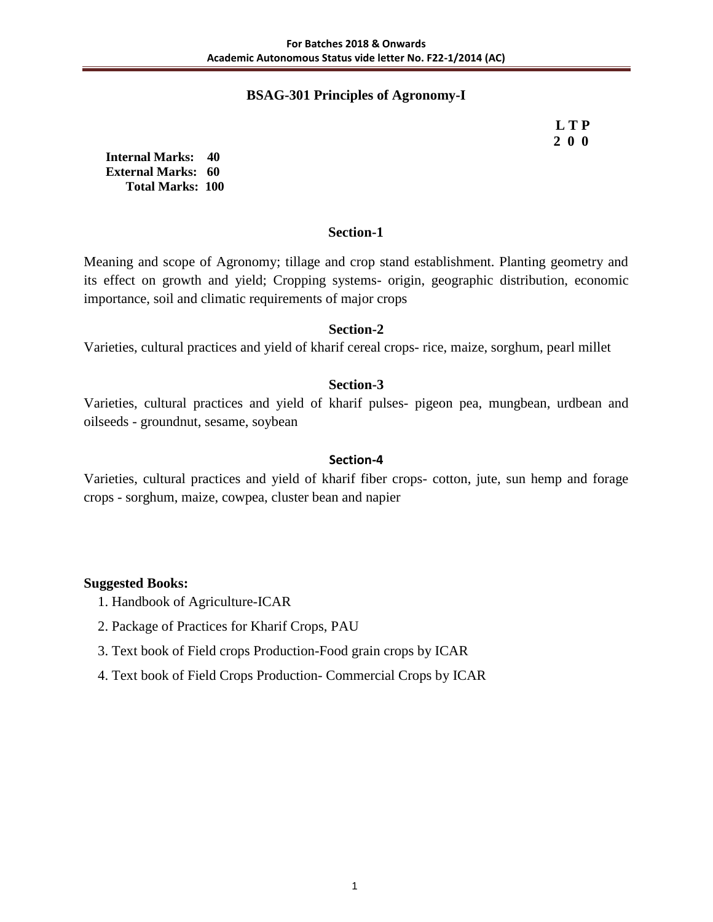## **BSAG-301 Principles of Agronomy-I**

 **L T P 2 0 0**

**Internal Marks: 40 External Marks: 60 Total Marks: 100** 

#### **Section-1**

Meaning and scope of Agronomy; tillage and crop stand establishment. Planting geometry and its effect on growth and yield; Cropping systems- origin, geographic distribution, economic importance, soil and climatic requirements of major crops

## **Section-2**

Varieties, cultural practices and yield of kharif cereal crops- rice, maize, sorghum, pearl millet

## **Section-3**

Varieties, cultural practices and yield of kharif pulses- pigeon pea, mungbean, urdbean and oilseeds - groundnut, sesame, soybean

#### **Section-4**

Varieties, cultural practices and yield of kharif fiber crops- cotton, jute, sun hemp and forage crops - sorghum, maize, cowpea, cluster bean and napier

- 1. Handbook of Agriculture-ICAR
- 2. Package of Practices for Kharif Crops, PAU
- 3. Text book of Field crops Production-Food grain crops by ICAR
- 4. Text book of Field Crops Production- Commercial Crops by ICAR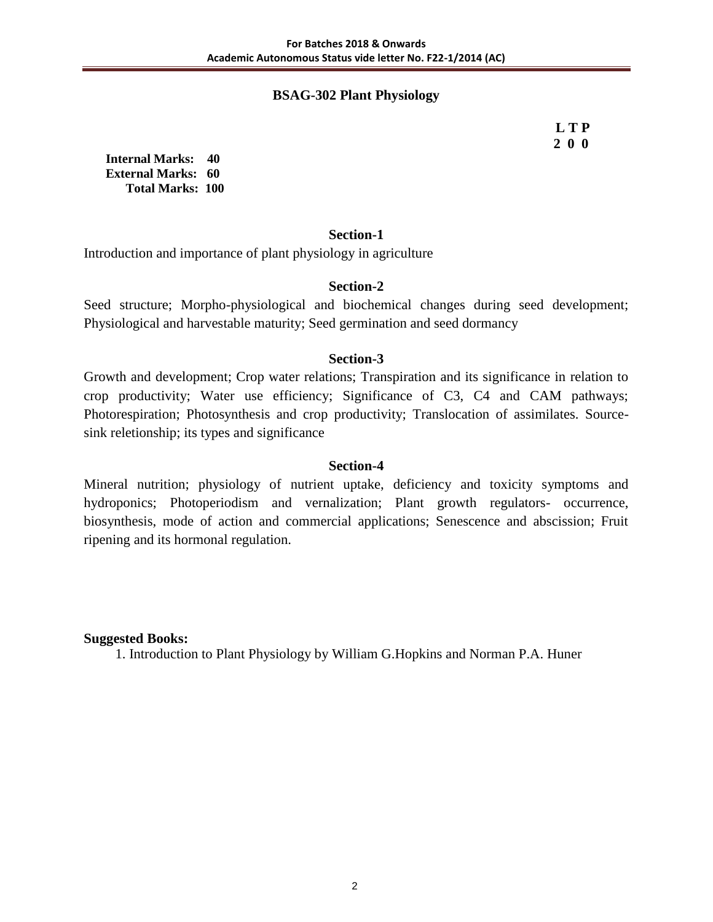## **BSAG-302 Plant Physiology**

 **L T P 2 0 0**

**Internal Marks: 40 External Marks: 60 Total Marks: 100** 

## **Section-1**

Introduction and importance of plant physiology in agriculture

## **Section-2**

Seed structure; Morpho-physiological and biochemical changes during seed development; Physiological and harvestable maturity; Seed germination and seed dormancy

## **Section-3**

Growth and development; Crop water relations; Transpiration and its significance in relation to crop productivity; Water use efficiency; Significance of C3, C4 and CAM pathways; Photorespiration; Photosynthesis and crop productivity; Translocation of assimilates. Sourcesink reletionship; its types and significance

### **Section-4**

Mineral nutrition; physiology of nutrient uptake, deficiency and toxicity symptoms and hydroponics; Photoperiodism and vernalization; Plant growth regulators- occurrence, biosynthesis, mode of action and commercial applications; Senescence and abscission; Fruit ripening and its hormonal regulation.

**Suggested Books:** 

1. Introduction to Plant Physiology by William G.Hopkins and Norman P.A. Huner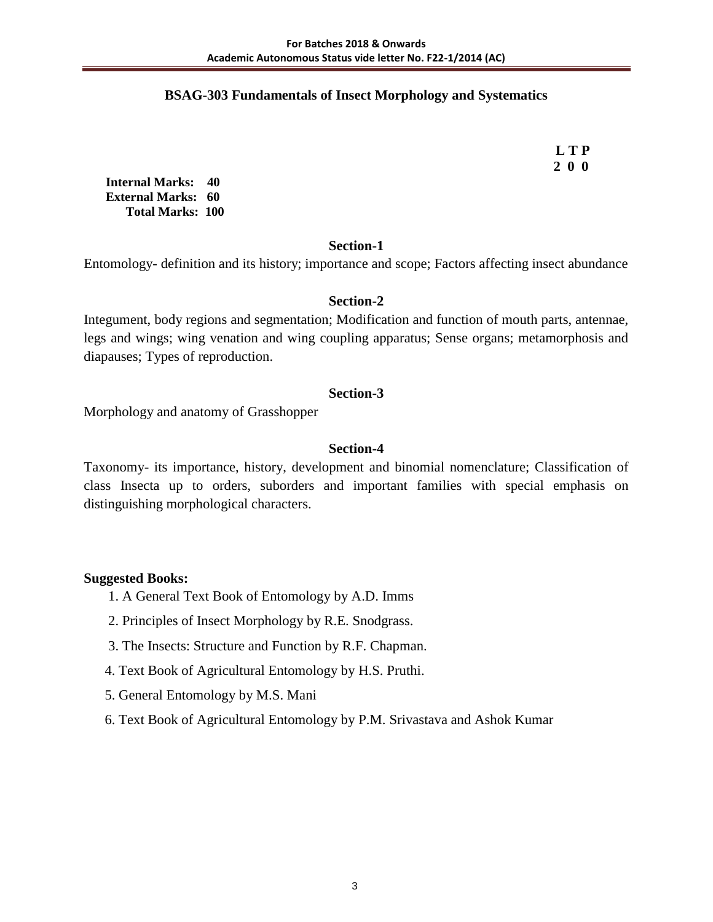## **BSAG-303 Fundamentals of Insect Morphology and Systematics**

 **L T P 2 0 0**

**Internal Marks: 40 External Marks: 60 Total Marks: 100** 

## **Section-1**

Entomology- definition and its history; importance and scope; Factors affecting insect abundance

### **Section-2**

Integument, body regions and segmentation; Modification and function of mouth parts, antennae, legs and wings; wing venation and wing coupling apparatus; Sense organs; metamorphosis and diapauses; Types of reproduction.

### **Section-3**

Morphology and anatomy of Grasshopper

## **Section-4**

Taxonomy- its importance, history, development and binomial nomenclature; Classification of class Insecta up to orders, suborders and important families with special emphasis on distinguishing morphological characters.

- 1. A General Text Book of Entomology by A.D. Imms
- 2. Principles of Insect Morphology by R.E. Snodgrass.
- 3. The Insects: Structure and Function by R.F. Chapman.
- 4. Text Book of Agricultural Entomology by H.S. Pruthi.
- 5. General Entomology by M.S. Mani
- 6. Text Book of Agricultural Entomology by P.M. Srivastava and Ashok Kumar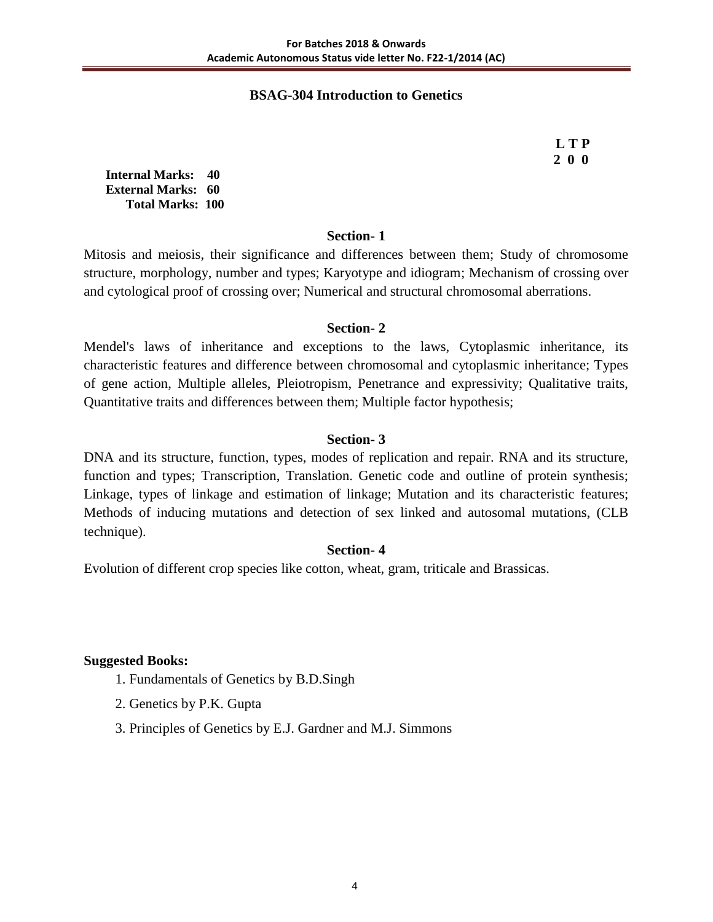## **BSAG-304 Introduction to Genetics**

 **L T P 2 0 0**

**Internal Marks: 40 External Marks: 60 Total Marks: 100** 

### **Section- 1**

Mitosis and meiosis, their significance and differences between them; Study of chromosome structure, morphology, number and types; Karyotype and idiogram; Mechanism of crossing over and cytological proof of crossing over; Numerical and structural chromosomal aberrations.

### **Section- 2**

Mendel's laws of inheritance and exceptions to the laws, Cytoplasmic inheritance, its characteristic features and difference between chromosomal and cytoplasmic inheritance; Types of gene action, Multiple alleles, Pleiotropism, Penetrance and expressivity; Qualitative traits, Quantitative traits and differences between them; Multiple factor hypothesis;

## **Section- 3**

DNA and its structure, function, types, modes of replication and repair. RNA and its structure, function and types; Transcription, Translation. Genetic code and outline of protein synthesis; Linkage, types of linkage and estimation of linkage; Mutation and its characteristic features; Methods of inducing mutations and detection of sex linked and autosomal mutations, (CLB technique).

#### **Section- 4**

Evolution of different crop species like cotton, wheat, gram, triticale and Brassicas.

- 1. Fundamentals of Genetics by B.D.Singh
- 2. Genetics by P.K. Gupta
- 3. Principles of Genetics by E.J. Gardner and M.J. Simmons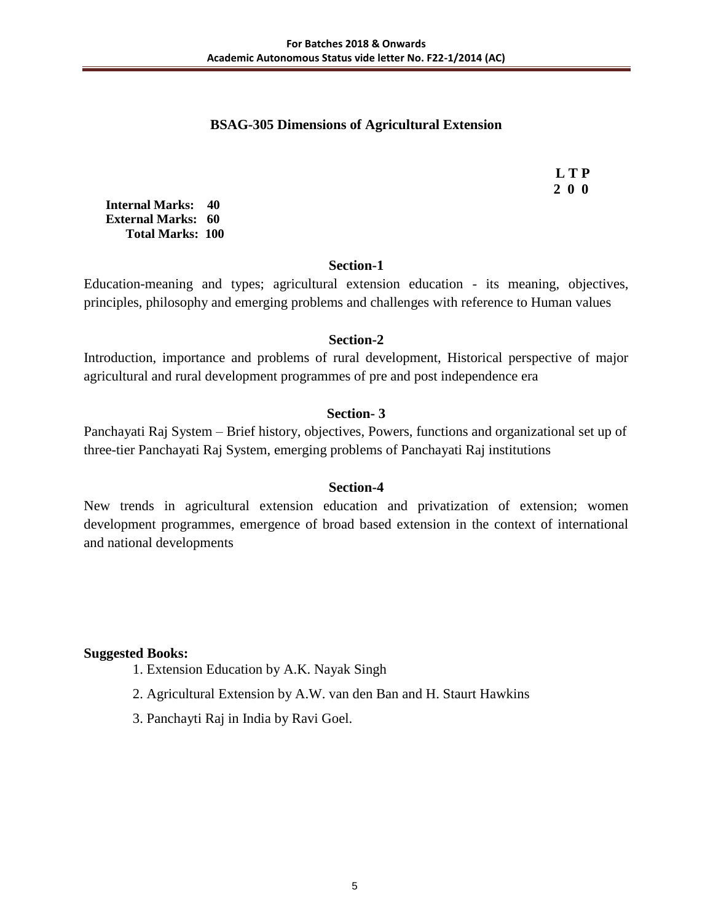## **BSAG-305 Dimensions of Agricultural Extension**

 **L T P 2 0 0**

**Internal Marks: 40 External Marks: 60 Total Marks: 100** 

### **Section-1**

Education-meaning and types; agricultural extension education - its meaning, objectives, principles, philosophy and emerging problems and challenges with reference to Human values

## **Section-2**

Introduction, importance and problems of rural development, Historical perspective of major agricultural and rural development programmes of pre and post independence era

## **Section- 3**

Panchayati Raj System – Brief history, objectives, Powers, functions and organizational set up of three-tier Panchayati Raj System, emerging problems of Panchayati Raj institutions

#### **Section-4**

New trends in agricultural extension education and privatization of extension; women development programmes, emergence of broad based extension in the context of international and national developments

- 1. Extension Education by A.K. Nayak Singh
- 2. Agricultural Extension by A.W. van den Ban and H. Staurt Hawkins
- 3. Panchayti Raj in India by Ravi Goel.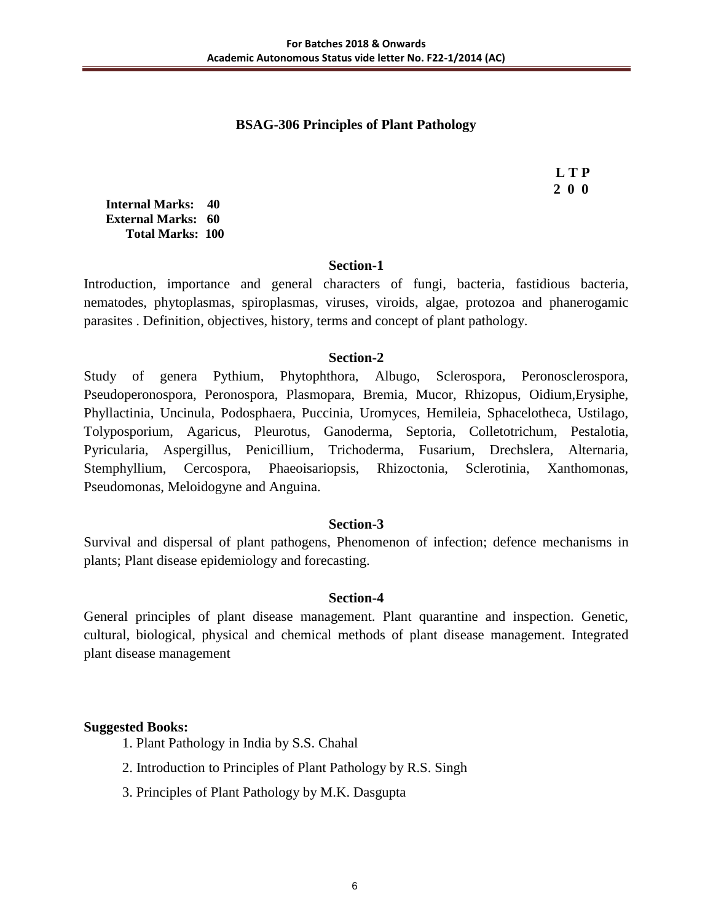## **BSAG-306 Principles of Plant Pathology**

 **L T P 2 0 0**

**Internal Marks: 40 External Marks: 60 Total Marks: 100** 

#### **Section-1**

Introduction, importance and general characters of fungi, bacteria, fastidious bacteria, nematodes, phytoplasmas, spiroplasmas, viruses, viroids, algae, protozoa and phanerogamic parasites . Definition, objectives, history, terms and concept of plant pathology.

#### **Section-2**

Study of genera Pythium, Phytophthora, Albugo, Sclerospora, Peronosclerospora, Pseudoperonospora, Peronospora, Plasmopara, Bremia, Mucor, Rhizopus, Oidium,Erysiphe, Phyllactinia, Uncinula, Podosphaera, Puccinia, Uromyces, Hemileia, Sphacelotheca, Ustilago, Tolyposporium, Agaricus, Pleurotus, Ganoderma, Septoria, Colletotrichum, Pestalotia, Pyricularia, Aspergillus, Penicillium, Trichoderma, Fusarium, Drechslera, Alternaria, Stemphyllium, Cercospora, Phaeoisariopsis, Rhizoctonia, Sclerotinia, Xanthomonas, Pseudomonas, Meloidogyne and Anguina.

#### **Section-3**

Survival and dispersal of plant pathogens, Phenomenon of infection; defence mechanisms in plants; Plant disease epidemiology and forecasting.

## **Section-4**

General principles of plant disease management. Plant quarantine and inspection. Genetic, cultural, biological, physical and chemical methods of plant disease management. Integrated plant disease management

- 1. Plant Pathology in India by S.S. Chahal
- 2. Introduction to Principles of Plant Pathology by R.S. Singh
- 3. Principles of Plant Pathology by M.K. Dasgupta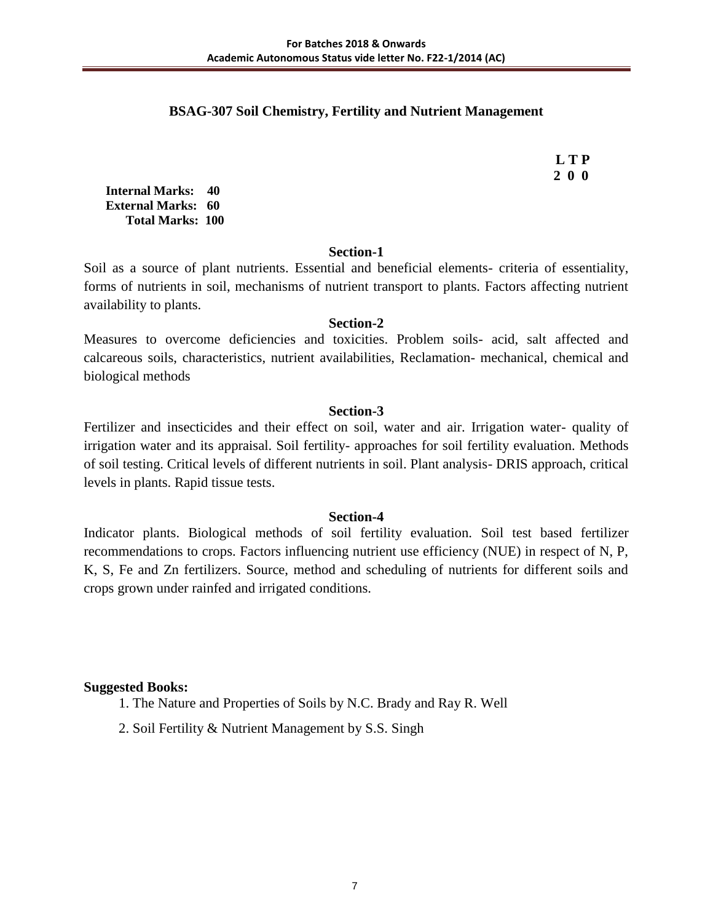## **BSAG-307 Soil Chemistry, Fertility and Nutrient Management**

 **L T P 2 0 0**

**Internal Marks: 40 External Marks: 60 Total Marks: 100** 

#### **Section-1**

Soil as a source of plant nutrients. Essential and beneficial elements- criteria of essentiality, forms of nutrients in soil, mechanisms of nutrient transport to plants. Factors affecting nutrient availability to plants.

#### **Section-2**

Measures to overcome deficiencies and toxicities. Problem soils- acid, salt affected and calcareous soils, characteristics, nutrient availabilities, Reclamation- mechanical, chemical and biological methods

#### **Section-3**

Fertilizer and insecticides and their effect on soil, water and air. Irrigation water- quality of irrigation water and its appraisal. Soil fertility- approaches for soil fertility evaluation. Methods of soil testing. Critical levels of different nutrients in soil. Plant analysis- DRIS approach, critical levels in plants. Rapid tissue tests.

#### **Section-4**

Indicator plants. Biological methods of soil fertility evaluation. Soil test based fertilizer recommendations to crops. Factors influencing nutrient use efficiency (NUE) in respect of N, P, K, S, Fe and Zn fertilizers. Source, method and scheduling of nutrients for different soils and crops grown under rainfed and irrigated conditions.

- 1. The Nature and Properties of Soils by N.C. Brady and Ray R. Well
- 2. Soil Fertility & Nutrient Management by S.S. Singh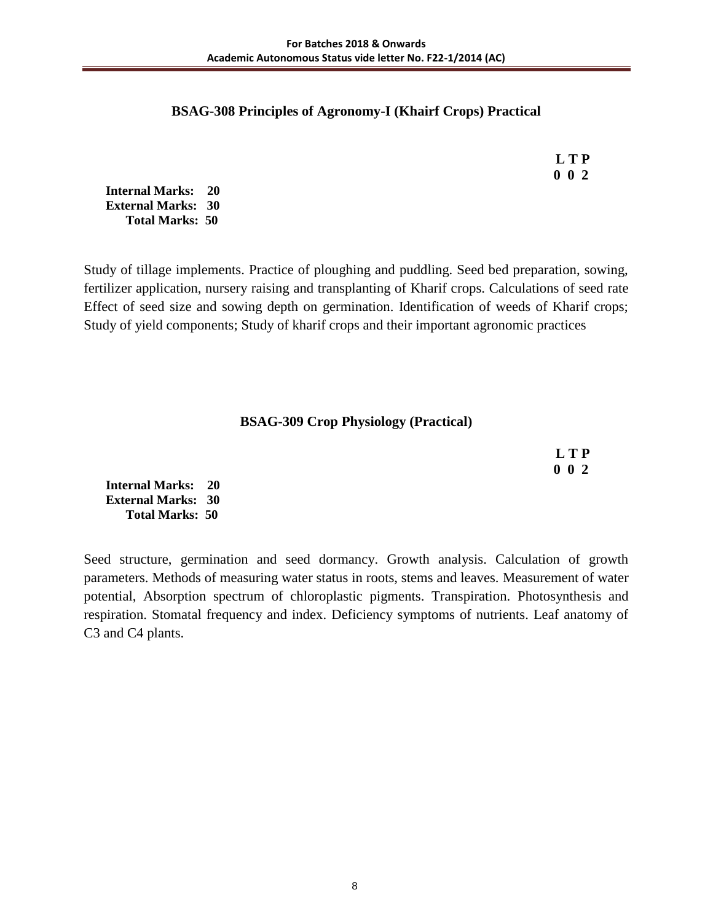#### **BSAG-308 Principles of Agronomy-I (Khairf Crops) Practical**

 **L T P 0 0 2**

**Internal Marks: 20 External Marks: 30 Total Marks: 50** 

Study of tillage implements. Practice of ploughing and puddling. Seed bed preparation, sowing, fertilizer application, nursery raising and transplanting of Kharif crops. Calculations of seed rate Effect of seed size and sowing depth on germination. Identification of weeds of Kharif crops; Study of yield components; Study of kharif crops and their important agronomic practices

#### **BSAG-309 Crop Physiology (Practical)**

 **L T P 0 0 2**

**Internal Marks: 20 External Marks: 30 Total Marks: 50** 

Seed structure, germination and seed dormancy. Growth analysis. Calculation of growth parameters. Methods of measuring water status in roots, stems and leaves. Measurement of water potential, Absorption spectrum of chloroplastic pigments. Transpiration. Photosynthesis and respiration. Stomatal frequency and index. Deficiency symptoms of nutrients. Leaf anatomy of C3 and C4 plants.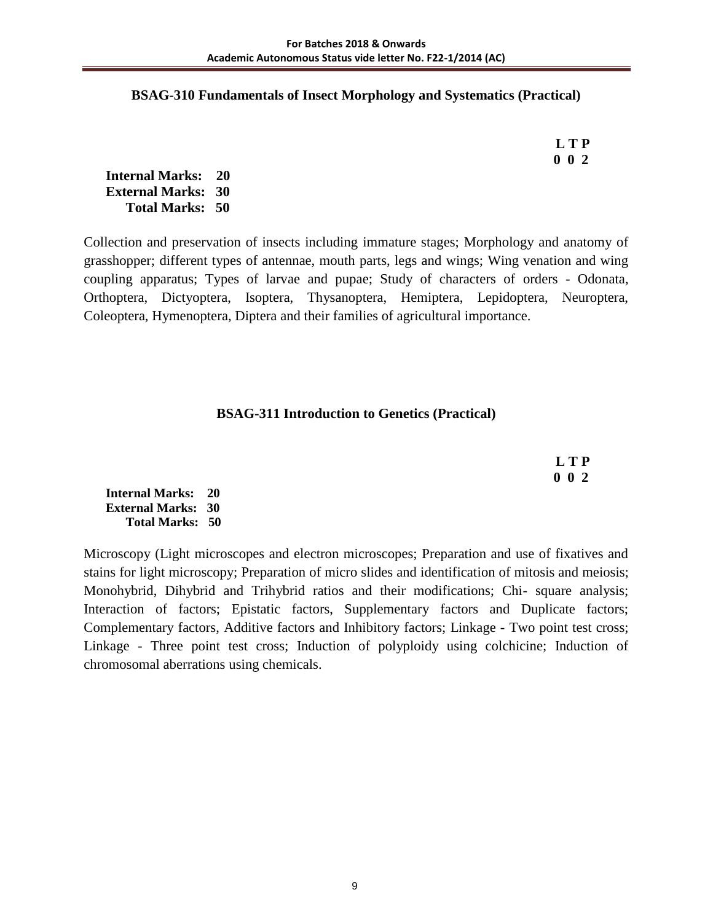#### **BSAG-310 Fundamentals of Insect Morphology and Systematics (Practical)**

| L T P       |
|-------------|
| $0\;\;0\;2$ |

**Internal Marks: 20 External Marks: 30 Total Marks: 50** 

Collection and preservation of insects including immature stages; Morphology and anatomy of grasshopper; different types of antennae, mouth parts, legs and wings; Wing venation and wing coupling apparatus; Types of larvae and pupae; Study of characters of orders - Odonata, Orthoptera, Dictyoptera, Isoptera, Thysanoptera, Hemiptera, Lepidoptera, Neuroptera, Coleoptera, Hymenoptera, Diptera and their families of agricultural importance.

### **BSAG-311 Introduction to Genetics (Practical)**

 **L T P 0 0 2**

**Internal Marks: 20 External Marks: 30 Total Marks: 50** 

Microscopy (Light microscopes and electron microscopes; Preparation and use of fixatives and stains for light microscopy; Preparation of micro slides and identification of mitosis and meiosis; Monohybrid, Dihybrid and Trihybrid ratios and their modifications; Chi- square analysis; Interaction of factors; Epistatic factors, Supplementary factors and Duplicate factors; Complementary factors, Additive factors and Inhibitory factors; Linkage - Two point test cross; Linkage - Three point test cross; Induction of polyploidy using colchicine; Induction of chromosomal aberrations using chemicals.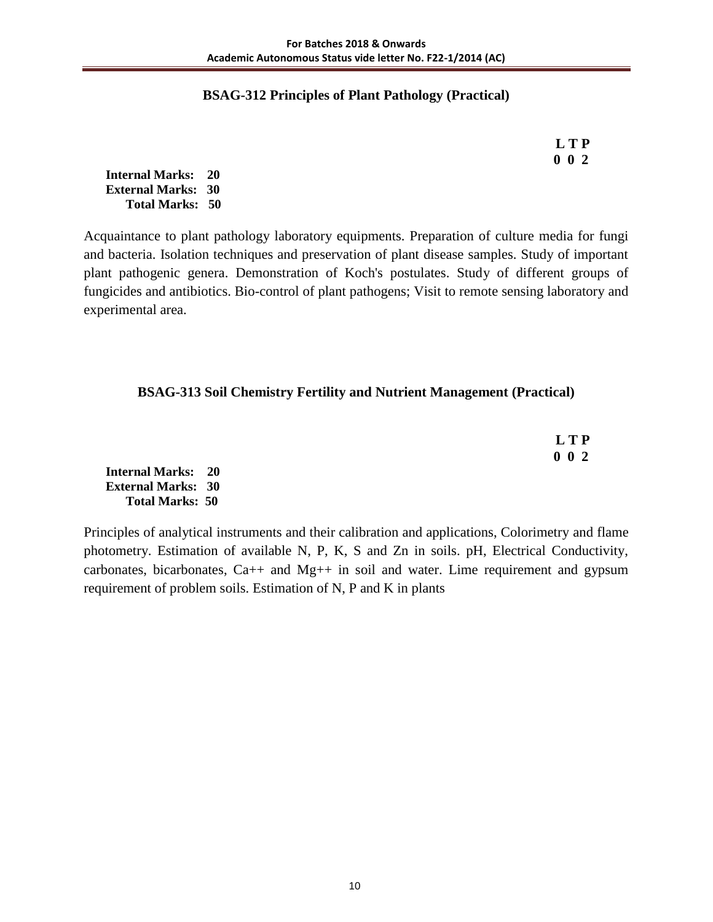## **BSAG-312 Principles of Plant Pathology (Practical)**

 **L T P 0 0 2**

**Internal Marks: 20 External Marks: 30 Total Marks: 50** 

Acquaintance to plant pathology laboratory equipments. Preparation of culture media for fungi and bacteria. Isolation techniques and preservation of plant disease samples. Study of important plant pathogenic genera. Demonstration of Koch's postulates. Study of different groups of fungicides and antibiotics. Bio-control of plant pathogens; Visit to remote sensing laboratory and experimental area.

### **BSAG-313 Soil Chemistry Fertility and Nutrient Management (Practical)**

| L T P       |
|-------------|
| $0 \t0 \t2$ |

**Internal Marks: 20 External Marks: 30 Total Marks: 50** 

Principles of analytical instruments and their calibration and applications, Colorimetry and flame photometry. Estimation of available N, P, K, S and Zn in soils. pH, Electrical Conductivity, carbonates, bicarbonates, Ca++ and Mg++ in soil and water. Lime requirement and gypsum requirement of problem soils. Estimation of N, P and K in plants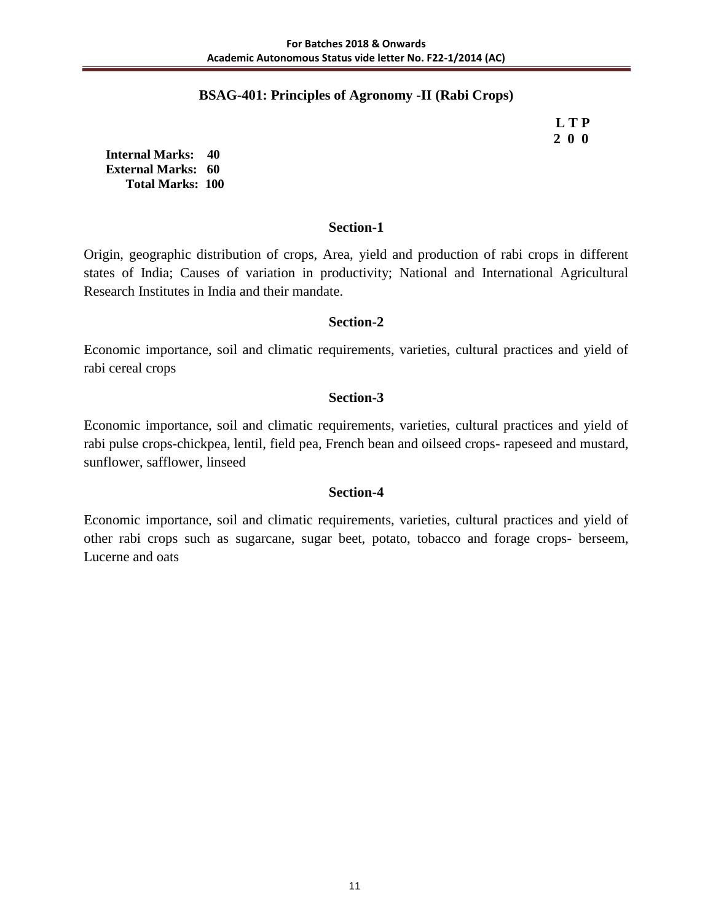## **BSAG-401: Principles of Agronomy -II (Rabi Crops)**

 **L T P 2 0 0**

**Internal Marks: 40 External Marks: 60 Total Marks: 100** 

#### **Section-1**

Origin, geographic distribution of crops, Area, yield and production of rabi crops in different states of India; Causes of variation in productivity; National and International Agricultural Research Institutes in India and their mandate.

#### **Section-2**

Economic importance, soil and climatic requirements, varieties, cultural practices and yield of rabi cereal crops

#### **Section-3**

Economic importance, soil and climatic requirements, varieties, cultural practices and yield of rabi pulse crops-chickpea, lentil, field pea, French bean and oilseed crops- rapeseed and mustard, sunflower, safflower, linseed

#### **Section-4**

Economic importance, soil and climatic requirements, varieties, cultural practices and yield of other rabi crops such as sugarcane, sugar beet, potato, tobacco and forage crops- berseem, Lucerne and oats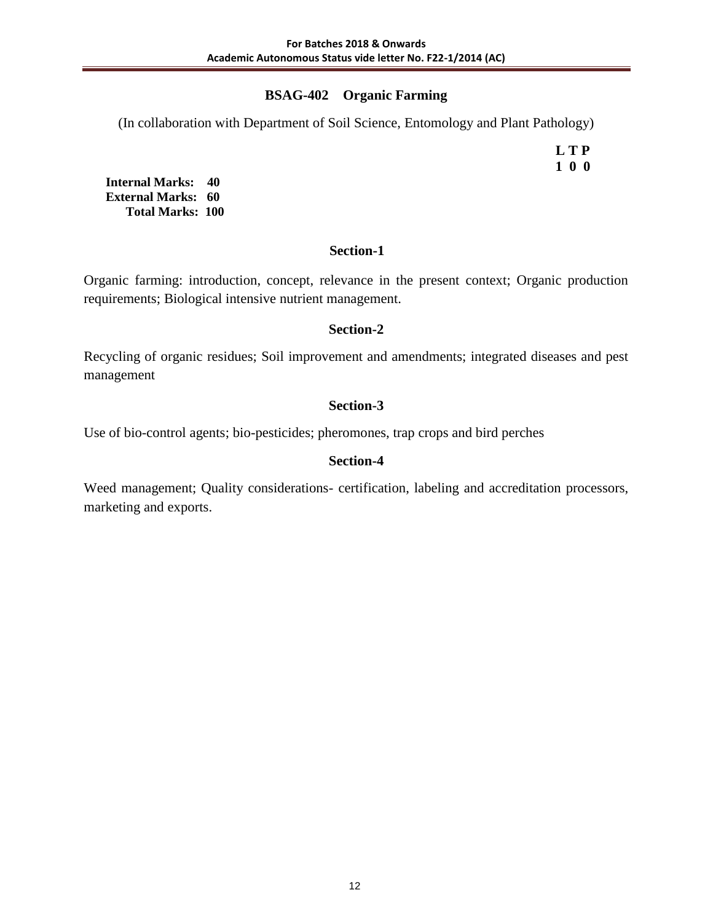## **BSAG-402 Organic Farming**

(In collaboration with Department of Soil Science, Entomology and Plant Pathology)

 **L T P 1 0 0**

**Internal Marks: 40 External Marks: 60 Total Marks: 100** 

## **Section-1**

Organic farming: introduction, concept, relevance in the present context; Organic production requirements; Biological intensive nutrient management.

## **Section-2**

Recycling of organic residues; Soil improvement and amendments; integrated diseases and pest management

## **Section-3**

Use of bio-control agents; bio-pesticides; pheromones, trap crops and bird perches

## **Section-4**

Weed management; Quality considerations- certification, labeling and accreditation processors, marketing and exports.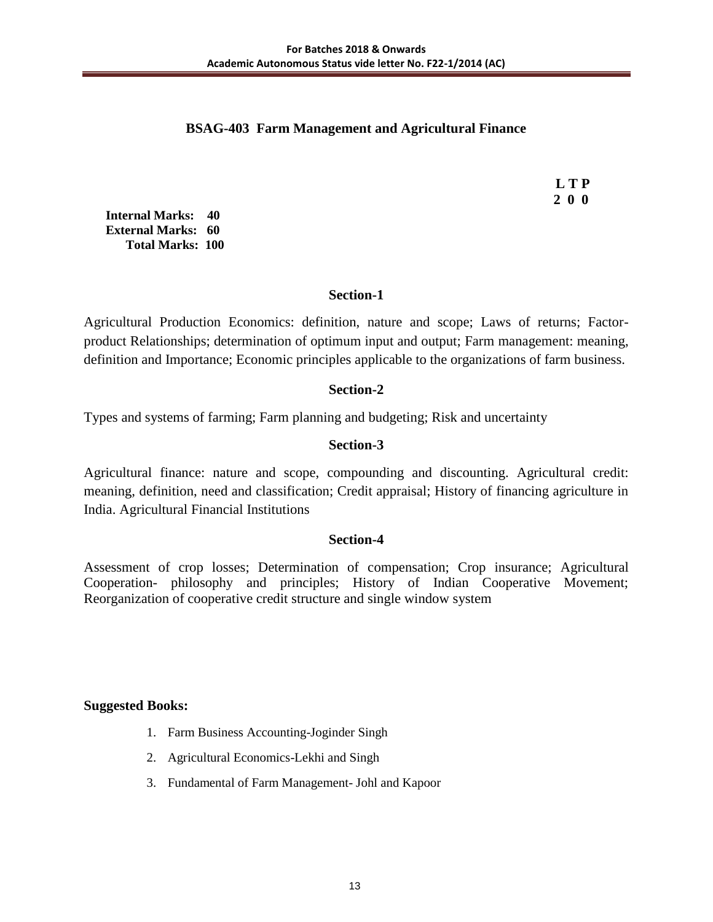## **BSAG-403 Farm Management and Agricultural Finance**

 **L T P 2 0 0**

**Internal Marks: 40 External Marks: 60 Total Marks: 100** 

## **Section-1**

Agricultural Production Economics: definition, nature and scope; Laws of returns; Factorproduct Relationships; determination of optimum input and output; Farm management: meaning, definition and Importance; Economic principles applicable to the organizations of farm business.

### **Section-2**

Types and systems of farming; Farm planning and budgeting; Risk and uncertainty

## **Section-3**

Agricultural finance: nature and scope, compounding and discounting. Agricultural credit: meaning, definition, need and classification; Credit appraisal; History of financing agriculture in India. Agricultural Financial Institutions

#### **Section-4**

Assessment of crop losses; Determination of compensation; Crop insurance; Agricultural Cooperation- philosophy and principles; History of Indian Cooperative Movement; Reorganization of cooperative credit structure and single window system

- 1. Farm Business Accounting-Joginder Singh
- 2. Agricultural Economics-Lekhi and Singh
- 3. Fundamental of Farm Management- Johl and Kapoor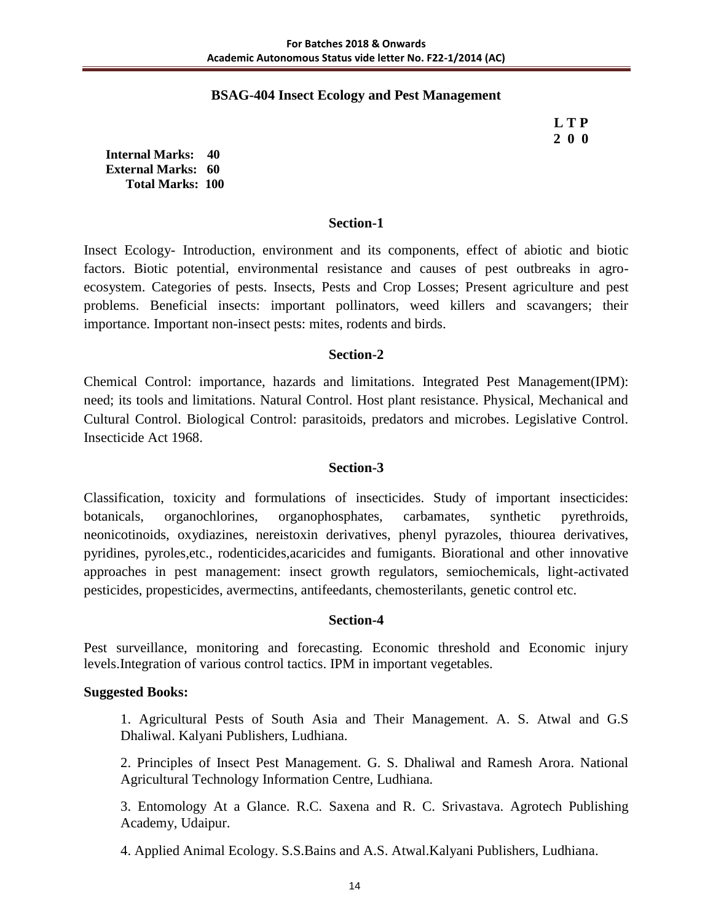### **BSAG-404 Insect Ecology and Pest Management**

 **L T P 2 0 0**

**Internal Marks: 40 External Marks: 60 Total Marks: 100** 

#### **Section-1**

Insect Ecology- Introduction, environment and its components, effect of abiotic and biotic factors. Biotic potential, environmental resistance and causes of pest outbreaks in agroecosystem. Categories of pests. Insects, Pests and Crop Losses; Present agriculture and pest problems. Beneficial insects: important pollinators, weed killers and scavangers; their importance. Important non-insect pests: mites, rodents and birds.

### **Section-2**

Chemical Control: importance, hazards and limitations. Integrated Pest Management(IPM): need; its tools and limitations. Natural Control. Host plant resistance. Physical, Mechanical and Cultural Control. Biological Control: parasitoids, predators and microbes. Legislative Control. Insecticide Act 1968.

## **Section-3**

Classification, toxicity and formulations of insecticides. Study of important insecticides: botanicals, organochlorines, organophosphates, carbamates, synthetic pyrethroids, neonicotinoids, oxydiazines, nereistoxin derivatives, phenyl pyrazoles, thiourea derivatives, pyridines, pyroles,etc., rodenticides,acaricides and fumigants. Biorational and other innovative approaches in pest management: insect growth regulators, semiochemicals, light-activated pesticides, propesticides, avermectins, antifeedants, chemosterilants, genetic control etc.

#### **Section-4**

Pest surveillance, monitoring and forecasting. Economic threshold and Economic injury levels.Integration of various control tactics. IPM in important vegetables.

#### **Suggested Books:**

1. Agricultural Pests of South Asia and Their Management. A. S. Atwal and G.S Dhaliwal. Kalyani Publishers, Ludhiana.

2. Principles of Insect Pest Management. G. S. Dhaliwal and Ramesh Arora. National Agricultural Technology Information Centre, Ludhiana.

3. Entomology At a Glance. R.C. Saxena and R. C. Srivastava. Agrotech Publishing Academy, Udaipur.

4. Applied Animal Ecology. S.S.Bains and A.S. Atwal.Kalyani Publishers, Ludhiana.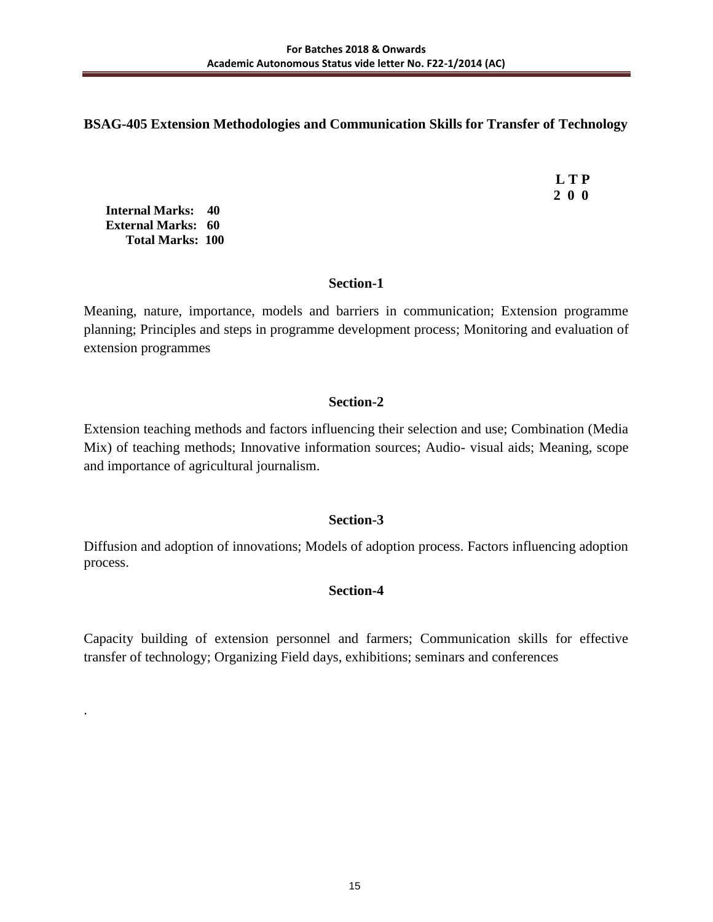## **BSAG-405 Extension Methodologies and Communication Skills for Transfer of Technology**

 **L T P 2 0 0**

**Internal Marks: 40 External Marks: 60 Total Marks: 100** 

.

## **Section-1**

Meaning, nature, importance, models and barriers in communication; Extension programme planning; Principles and steps in programme development process; Monitoring and evaluation of extension programmes

## **Section-2**

Extension teaching methods and factors influencing their selection and use; Combination (Media Mix) of teaching methods; Innovative information sources; Audio- visual aids; Meaning, scope and importance of agricultural journalism.

## **Section-3**

Diffusion and adoption of innovations; Models of adoption process. Factors influencing adoption process.

## **Section-4**

Capacity building of extension personnel and farmers; Communication skills for effective transfer of technology; Organizing Field days, exhibitions; seminars and conferences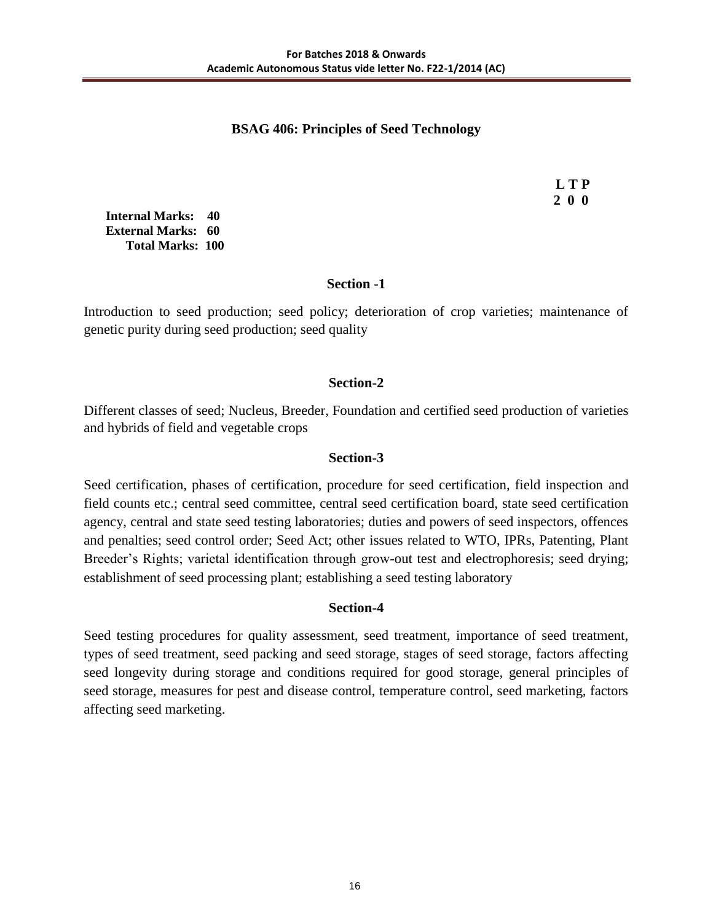## **BSAG 406: Principles of Seed Technology**

 **L T P 2 0 0**

**Internal Marks: 40 External Marks: 60 Total Marks: 100** 

### **Section -1**

Introduction to seed production; seed policy; deterioration of crop varieties; maintenance of genetic purity during seed production; seed quality

## **Section-2**

Different classes of seed; Nucleus, Breeder, Foundation and certified seed production of varieties and hybrids of field and vegetable crops

### **Section-3**

Seed certification, phases of certification, procedure for seed certification, field inspection and field counts etc.; central seed committee, central seed certification board, state seed certification agency, central and state seed testing laboratories; duties and powers of seed inspectors, offences and penalties; seed control order; Seed Act; other issues related to WTO, IPRs, Patenting, Plant Breeder's Rights; varietal identification through grow-out test and electrophoresis; seed drying; establishment of seed processing plant; establishing a seed testing laboratory

## **Section-4**

Seed testing procedures for quality assessment, seed treatment, importance of seed treatment, types of seed treatment, seed packing and seed storage, stages of seed storage, factors affecting seed longevity during storage and conditions required for good storage, general principles of seed storage, measures for pest and disease control, temperature control, seed marketing, factors affecting seed marketing.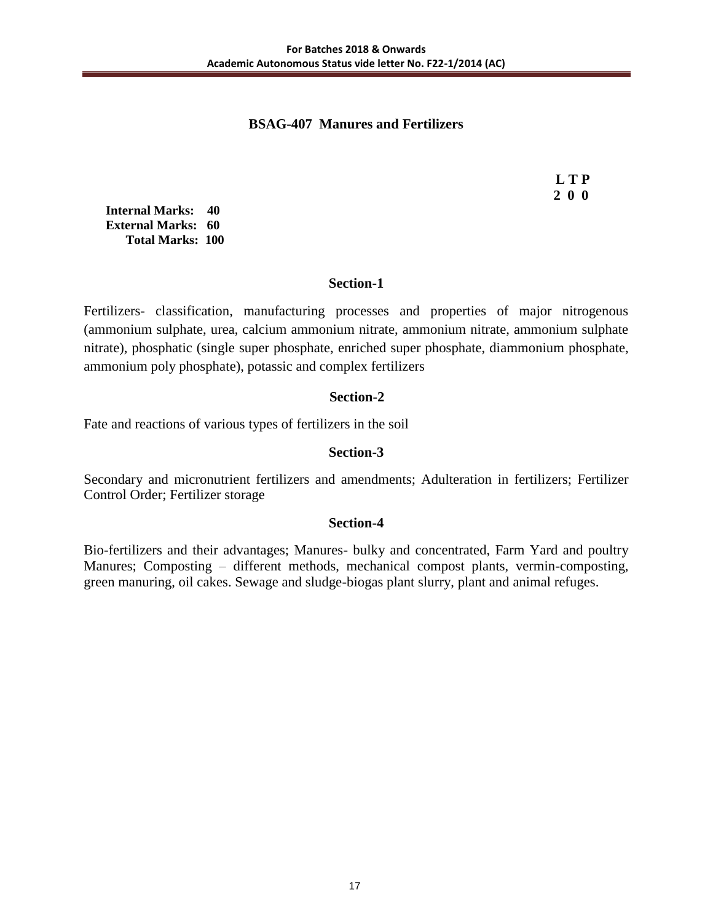## **BSAG-407 Manures and Fertilizers**

 **L T P 2 0 0**

**Internal Marks: 40 External Marks: 60 Total Marks: 100** 

### **Section-1**

Fertilizers- classification, manufacturing processes and properties of major nitrogenous (ammonium sulphate, urea, calcium ammonium nitrate, ammonium nitrate, ammonium sulphate nitrate), phosphatic (single super phosphate, enriched super phosphate, diammonium phosphate, ammonium poly phosphate), potassic and complex fertilizers

## **Section-2**

Fate and reactions of various types of fertilizers in the soil

## **Section-3**

Secondary and micronutrient fertilizers and amendments; Adulteration in fertilizers; Fertilizer Control Order; Fertilizer storage

#### **Section-4**

Bio-fertilizers and their advantages; Manures- bulky and concentrated, Farm Yard and poultry Manures; Composting – different methods, mechanical compost plants, vermin-composting, green manuring, oil cakes. Sewage and sludge-biogas plant slurry, plant and animal refuges.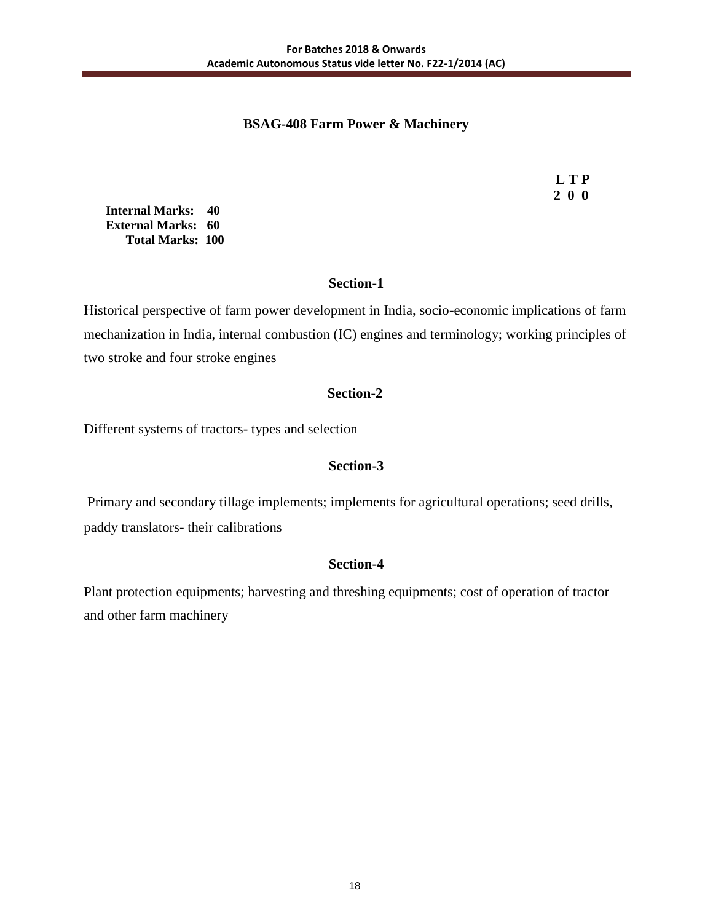## **BSAG-408 Farm Power & Machinery**

 **L T P 2 0 0**

**Internal Marks: 40 External Marks: 60 Total Marks: 100** 

## **Section-1**

Historical perspective of farm power development in India, socio-economic implications of farm mechanization in India, internal combustion (IC) engines and terminology; working principles of two stroke and four stroke engines

## **Section-2**

Different systems of tractors- types and selection

## **Section-3**

Primary and secondary tillage implements; implements for agricultural operations; seed drills, paddy translators- their calibrations

## **Section-4**

Plant protection equipments; harvesting and threshing equipments; cost of operation of tractor and other farm machinery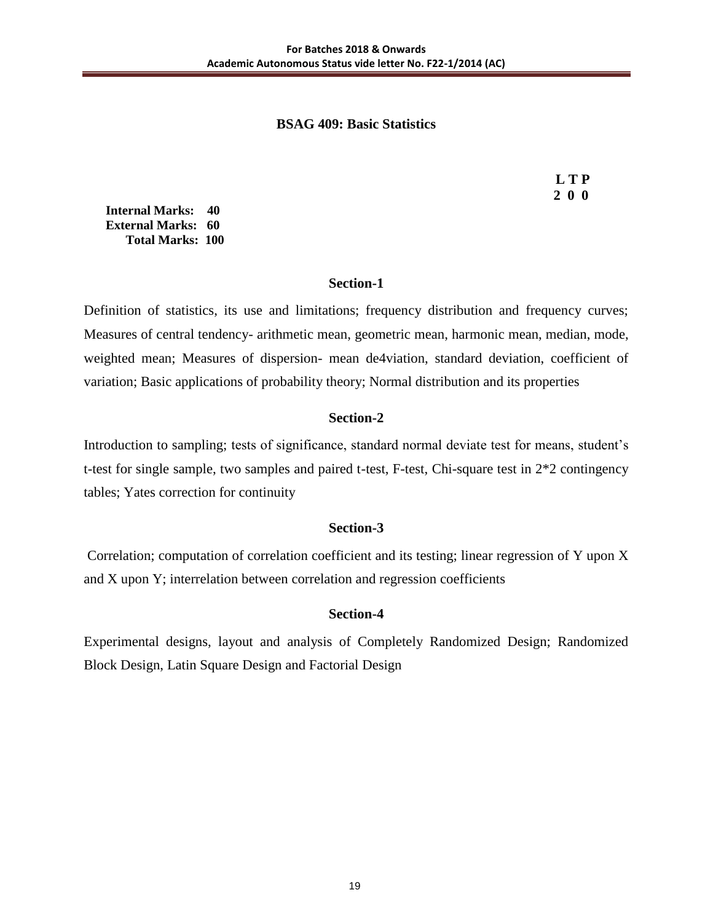### **BSAG 409: Basic Statistics**

 **L T P 2 0 0**

**Internal Marks: 40 External Marks: 60 Total Marks: 100** 

#### **Section-1**

Definition of statistics, its use and limitations; frequency distribution and frequency curves; Measures of central tendency- arithmetic mean, geometric mean, harmonic mean, median, mode, weighted mean; Measures of dispersion- mean de4viation, standard deviation, coefficient of variation; Basic applications of probability theory; Normal distribution and its properties

#### **Section-2**

Introduction to sampling; tests of significance, standard normal deviate test for means, student's t-test for single sample, two samples and paired t-test, F-test, Chi-square test in 2\*2 contingency tables; Yates correction for continuity

#### **Section-3**

Correlation; computation of correlation coefficient and its testing; linear regression of Y upon X and X upon Y; interrelation between correlation and regression coefficients

## **Section-4**

Experimental designs, layout and analysis of Completely Randomized Design; Randomized Block Design, Latin Square Design and Factorial Design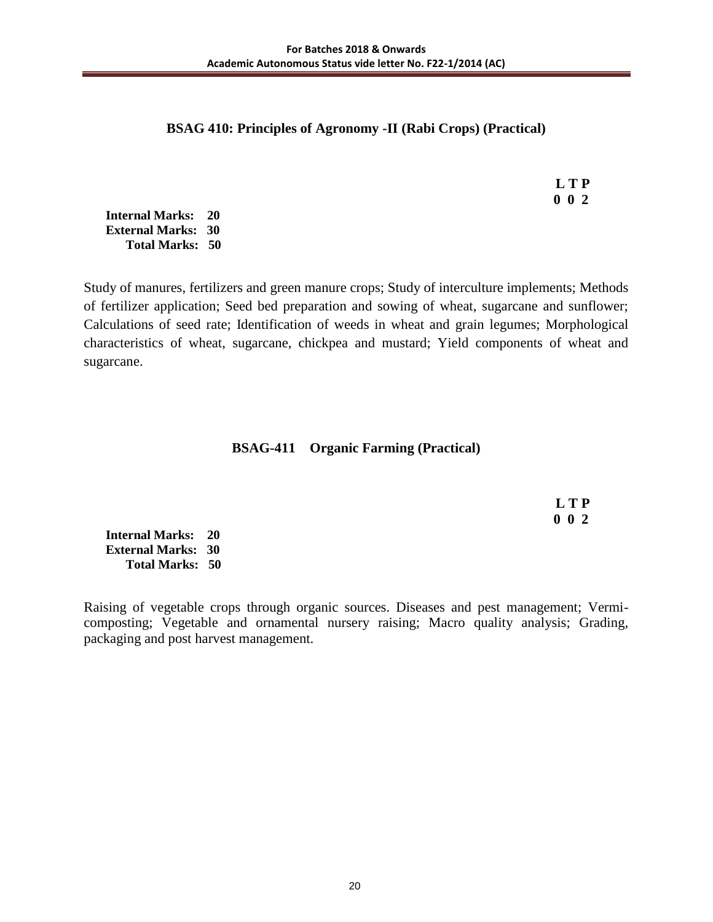## **BSAG 410: Principles of Agronomy -II (Rabi Crops) (Practical)**

 **L T P 0 0 2**

**Internal Marks: 20 External Marks: 30 Total Marks: 50** 

Study of manures, fertilizers and green manure crops; Study of interculture implements; Methods of fertilizer application; Seed bed preparation and sowing of wheat, sugarcane and sunflower; Calculations of seed rate; Identification of weeds in wheat and grain legumes; Morphological characteristics of wheat, sugarcane, chickpea and mustard; Yield components of wheat and sugarcane.

## **BSAG-411 Organic Farming (Practical)**

 **L T P 0 0 2**

**Internal Marks: 20 External Marks: 30 Total Marks: 50** 

Raising of vegetable crops through organic sources. Diseases and pest management; Vermicomposting; Vegetable and ornamental nursery raising; Macro quality analysis; Grading, packaging and post harvest management.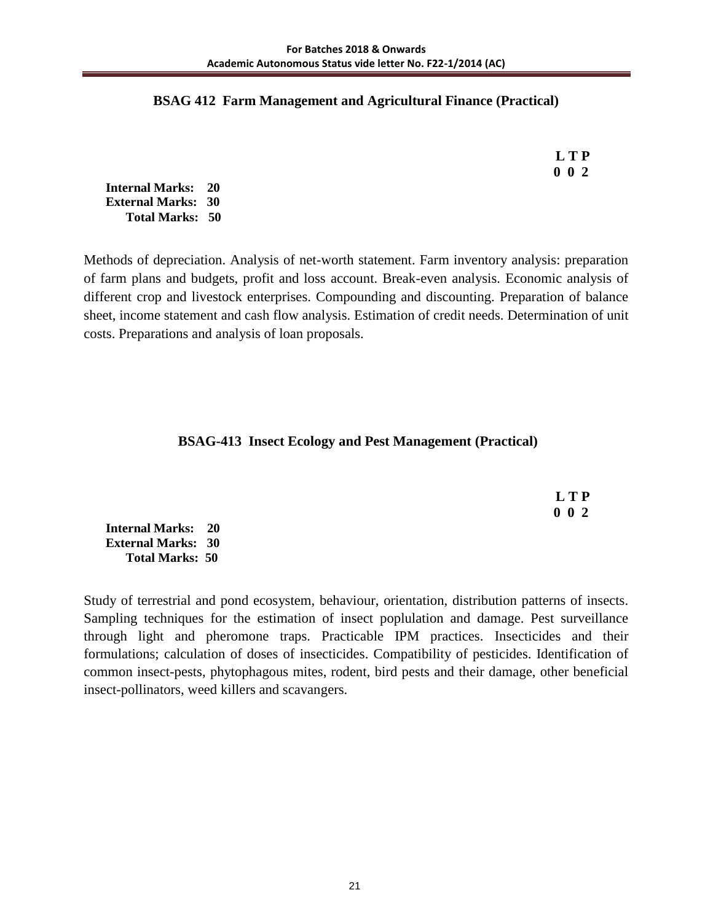#### **BSAG 412 Farm Management and Agricultural Finance (Practical)**

 **L T P 0 0 2**

**Internal Marks: 20 External Marks: 30 Total Marks: 50** 

Methods of depreciation. Analysis of net-worth statement. Farm inventory analysis: preparation of farm plans and budgets, profit and loss account. Break-even analysis. Economic analysis of different crop and livestock enterprises. Compounding and discounting. Preparation of balance sheet, income statement and cash flow analysis. Estimation of credit needs. Determination of unit costs. Preparations and analysis of loan proposals.

## **BSAG-413 Insect Ecology and Pest Management (Practical)**

 **L T P 0 0 2**

**Internal Marks: 20 External Marks: 30 Total Marks: 50** 

Study of terrestrial and pond ecosystem, behaviour, orientation, distribution patterns of insects. Sampling techniques for the estimation of insect poplulation and damage. Pest surveillance through light and pheromone traps. Practicable IPM practices. Insecticides and their formulations; calculation of doses of insecticides. Compatibility of pesticides. Identification of common insect-pests, phytophagous mites, rodent, bird pests and their damage, other beneficial insect-pollinators, weed killers and scavangers.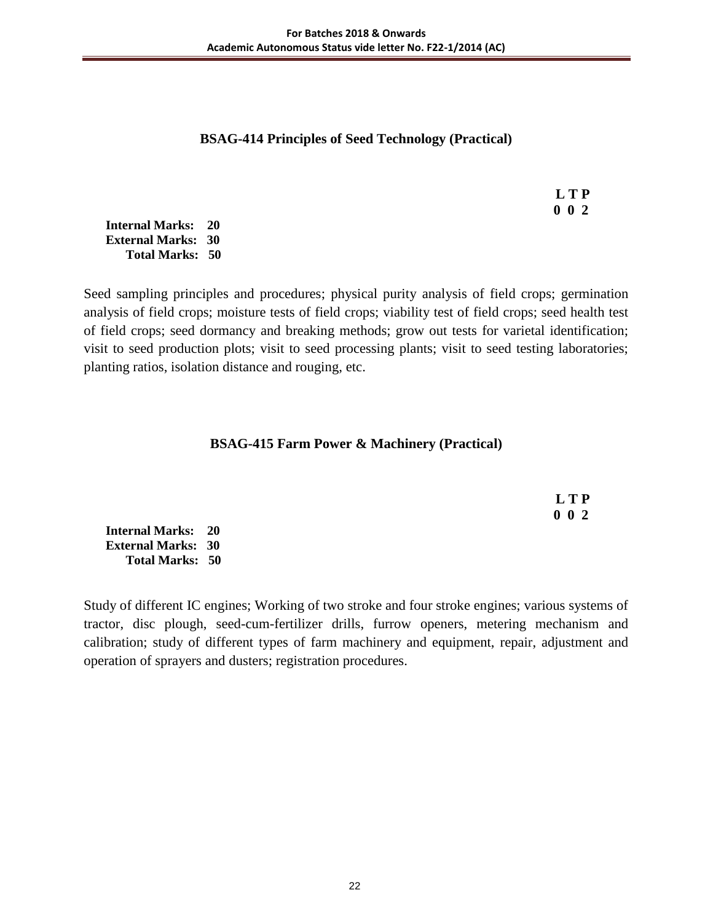## **BSAG-414 Principles of Seed Technology (Practical)**

 **L T P 0 0 2**

**Internal Marks: 20 External Marks: 30 Total Marks: 50** 

Seed sampling principles and procedures; physical purity analysis of field crops; germination analysis of field crops; moisture tests of field crops; viability test of field crops; seed health test of field crops; seed dormancy and breaking methods; grow out tests for varietal identification; visit to seed production plots; visit to seed processing plants; visit to seed testing laboratories; planting ratios, isolation distance and rouging, etc.

## **BSAG-415 Farm Power & Machinery (Practical)**

 **L T P 0 0 2**

**Internal Marks: 20 External Marks: 30 Total Marks: 50** 

Study of different IC engines; Working of two stroke and four stroke engines; various systems of tractor, disc plough, seed-cum-fertilizer drills, furrow openers, metering mechanism and calibration; study of different types of farm machinery and equipment, repair, adjustment and operation of sprayers and dusters; registration procedures.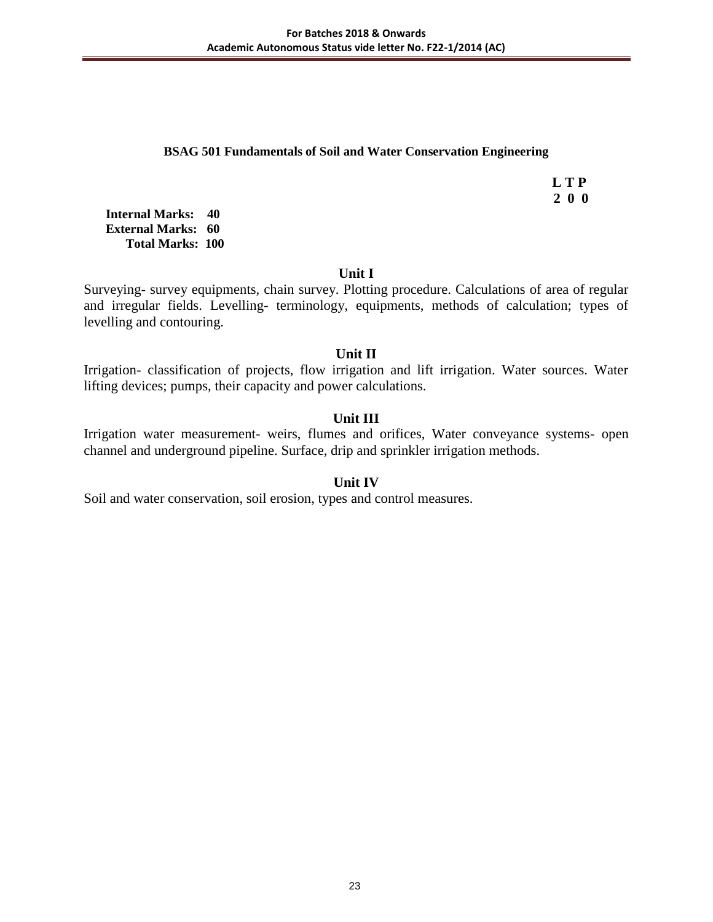#### **BSAG 501 Fundamentals of Soil and Water Conservation Engineering**

 **L T P 2 0 0**

**Internal Marks: 40 External Marks: 60 Total Marks: 100** 

#### **Unit I**

Surveying- survey equipments, chain survey. Plotting procedure. Calculations of area of regular and irregular fields. Levelling- terminology, equipments, methods of calculation; types of levelling and contouring.

### **Unit II**

Irrigation- classification of projects, flow irrigation and lift irrigation. Water sources. Water lifting devices; pumps, their capacity and power calculations.

### **Unit III**

Irrigation water measurement- weirs, flumes and orifices, Water conveyance systems- open channel and underground pipeline. Surface, drip and sprinkler irrigation methods.

#### **Unit IV**

Soil and water conservation, soil erosion, types and control measures.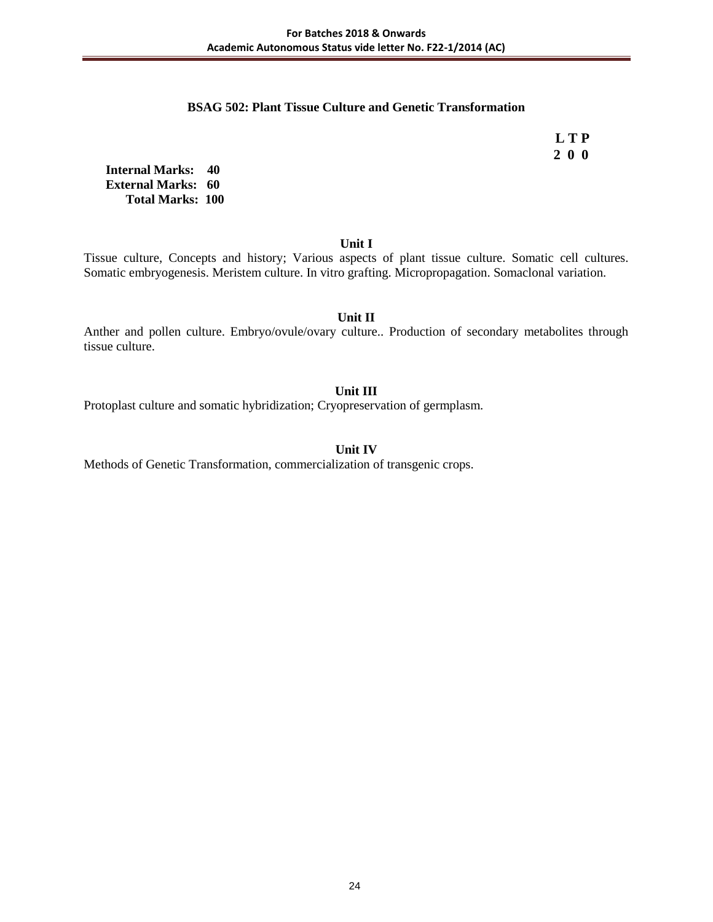#### **BSAG 502: Plant Tissue Culture and Genetic Transformation**

 **L T P 2 0 0**

**Internal Marks: 40 External Marks: 60 Total Marks: 100** 

**Unit I**

Tissue culture, Concepts and history; Various aspects of plant tissue culture. Somatic cell cultures. Somatic embryogenesis. Meristem culture. In vitro grafting. Micropropagation. Somaclonal variation.

**Unit II**

Anther and pollen culture. Embryo/ovule/ovary culture.. Production of secondary metabolites through tissue culture.

#### **Unit III**

Protoplast culture and somatic hybridization; Cryopreservation of germplasm.

#### **Unit IV**

Methods of Genetic Transformation, commercialization of transgenic crops.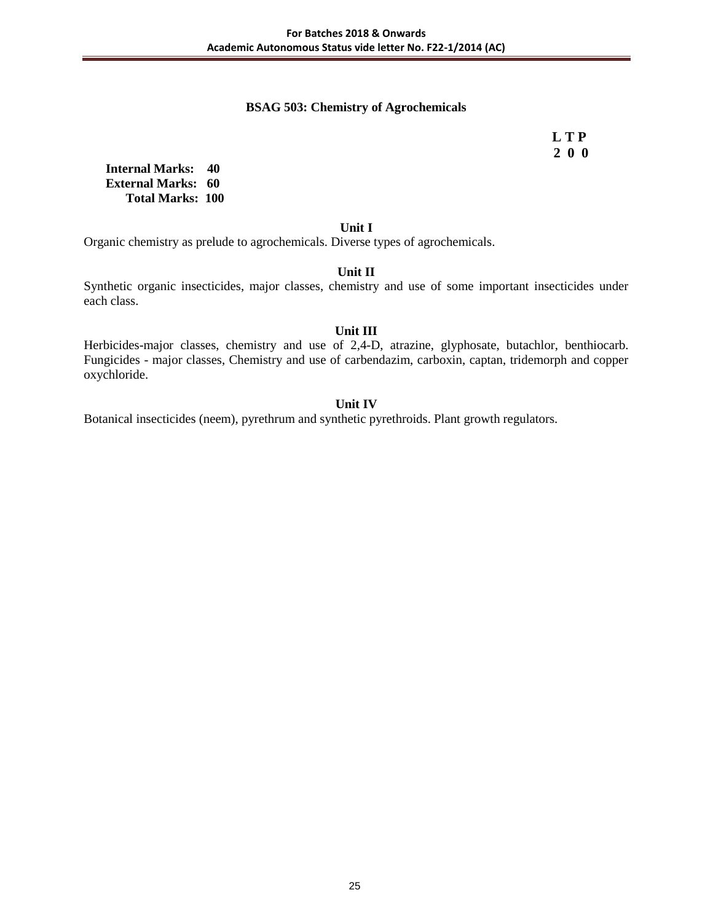#### **BSAG 503: Chemistry of Agrochemicals**

 **L T P 2 0 0**

**Internal Marks: 40 External Marks: 60 Total Marks: 100** 

#### **Unit I**

Organic chemistry as prelude to agrochemicals. Diverse types of agrochemicals.

#### **Unit II**

Synthetic organic insecticides, major classes, chemistry and use of some important insecticides under each class.

#### **Unit III**

Herbicides-major classes, chemistry and use of 2,4-D, atrazine, glyphosate, butachlor, benthiocarb. Fungicides - major classes, Chemistry and use of carbendazim, carboxin, captan, tridemorph and copper oxychloride.

#### **Unit IV**

Botanical insecticides (neem), pyrethrum and synthetic pyrethroids. Plant growth regulators.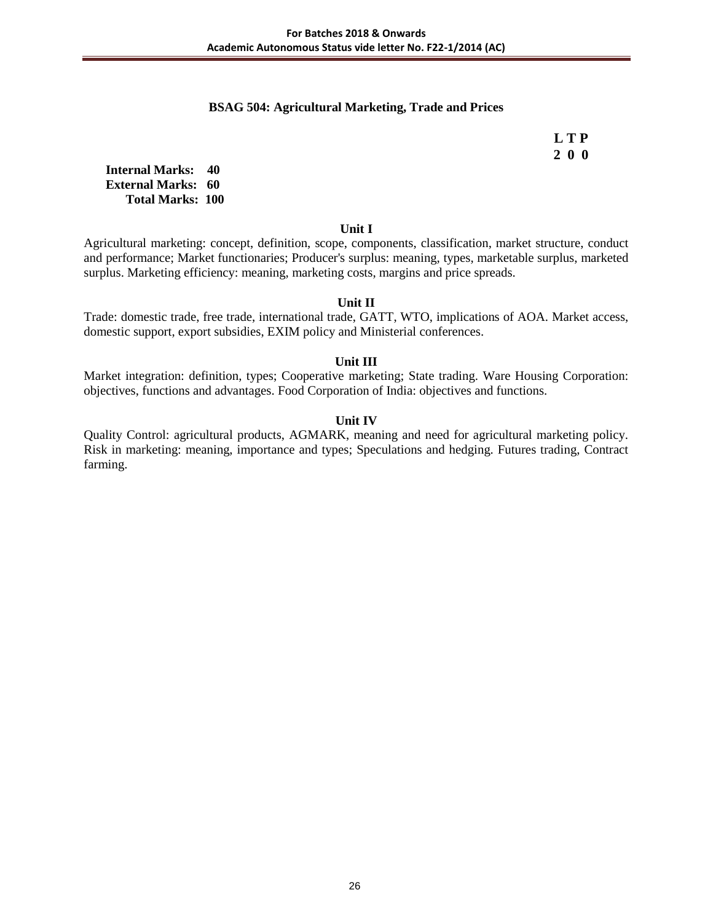#### **BSAG 504: Agricultural Marketing, Trade and Prices**

 **L T P 2 0 0**

**Internal Marks: 40 External Marks: 60 Total Marks: 100** 

#### **Unit I**

Agricultural marketing: concept, definition, scope, components, classification, market structure, conduct and performance; Market functionaries; Producer's surplus: meaning, types, marketable surplus, marketed surplus. Marketing efficiency: meaning, marketing costs, margins and price spreads.

#### **Unit II**

Trade: domestic trade, free trade, international trade, GATT, WTO, implications of AOA. Market access, domestic support, export subsidies, EXIM policy and Ministerial conferences.

#### **Unit III**

Market integration: definition, types; Cooperative marketing; State trading. Ware Housing Corporation: objectives, functions and advantages. Food Corporation of India: objectives and functions.

#### **Unit IV**

Quality Control: agricultural products, AGMARK, meaning and need for agricultural marketing policy. Risk in marketing: meaning, importance and types; Speculations and hedging. Futures trading, Contract farming.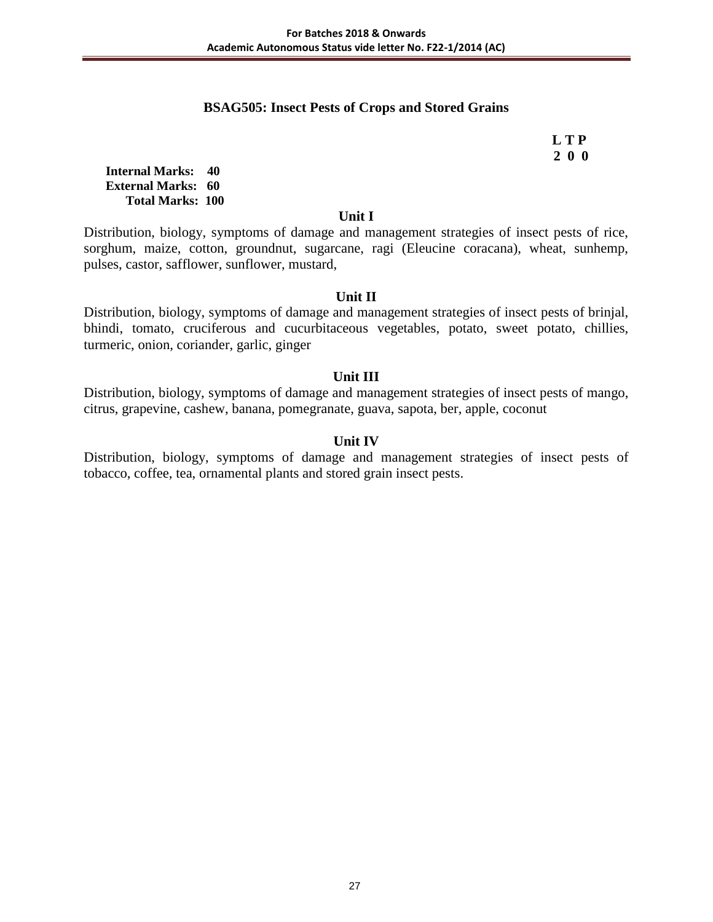### **BSAG505: Insect Pests of Crops and Stored Grains**

 **L T P 2 0 0**

**Internal Marks: 40 External Marks: 60 Total Marks: 100** 

#### **Unit I**

Distribution, biology, symptoms of damage and management strategies of insect pests of rice, sorghum, maize, cotton, groundnut, sugarcane, ragi (Eleucine coracana), wheat, sunhemp, pulses, castor, safflower, sunflower, mustard,

### **Unit II**

Distribution, biology, symptoms of damage and management strategies of insect pests of brinjal, bhindi, tomato, cruciferous and cucurbitaceous vegetables, potato, sweet potato, chillies, turmeric, onion, coriander, garlic, ginger

### **Unit III**

Distribution, biology, symptoms of damage and management strategies of insect pests of mango, citrus, grapevine, cashew, banana, pomegranate, guava, sapota, ber, apple, coconut

### **Unit IV**

Distribution, biology, symptoms of damage and management strategies of insect pests of tobacco, coffee, tea, ornamental plants and stored grain insect pests.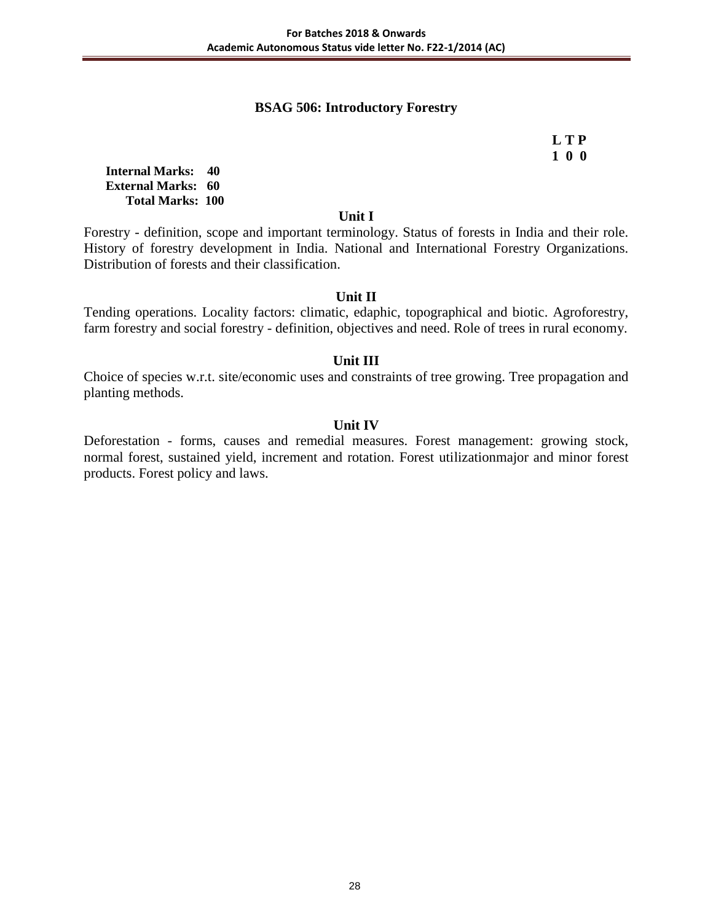### **BSAG 506: Introductory Forestry**

# **L T P 1 0 0**

**Internal Marks: 40 External Marks: 60 Total Marks: 100** 

#### **Unit I**

Forestry - definition, scope and important terminology. Status of forests in India and their role. History of forestry development in India. National and International Forestry Organizations. Distribution of forests and their classification.

### **Unit II**

Tending operations. Locality factors: climatic, edaphic, topographical and biotic. Agroforestry, farm forestry and social forestry - definition, objectives and need. Role of trees in rural economy.

### **Unit III**

Choice of species w.r.t. site/economic uses and constraints of tree growing. Tree propagation and planting methods.

### **Unit IV**

Deforestation - forms, causes and remedial measures. Forest management: growing stock, normal forest, sustained yield, increment and rotation. Forest utilizationmajor and minor forest products. Forest policy and laws.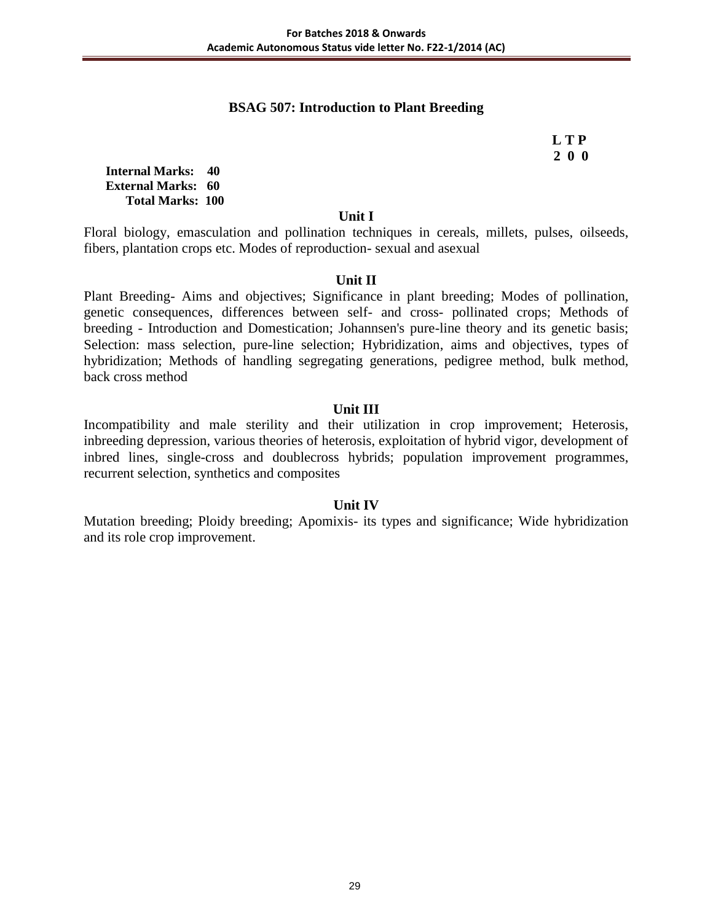## **BSAG 507: Introduction to Plant Breeding**

 **L T P 2 0 0**

**Internal Marks: 40 External Marks: 60 Total Marks: 100** 

#### **Unit I**

Floral biology, emasculation and pollination techniques in cereals, millets, pulses, oilseeds, fibers, plantation crops etc. Modes of reproduction- sexual and asexual

#### **Unit II**

Plant Breeding- Aims and objectives; Significance in plant breeding; Modes of pollination, genetic consequences, differences between self- and cross- pollinated crops; Methods of breeding - Introduction and Domestication; Johannsen's pure-line theory and its genetic basis; Selection: mass selection, pure-line selection; Hybridization, aims and objectives, types of hybridization; Methods of handling segregating generations, pedigree method, bulk method, back cross method

#### **Unit III**

Incompatibility and male sterility and their utilization in crop improvement; Heterosis, inbreeding depression, various theories of heterosis, exploitation of hybrid vigor, development of inbred lines, single-cross and doublecross hybrids; population improvement programmes, recurrent selection, synthetics and composites

#### **Unit IV**

Mutation breeding; Ploidy breeding; Apomixis- its types and significance; Wide hybridization and its role crop improvement.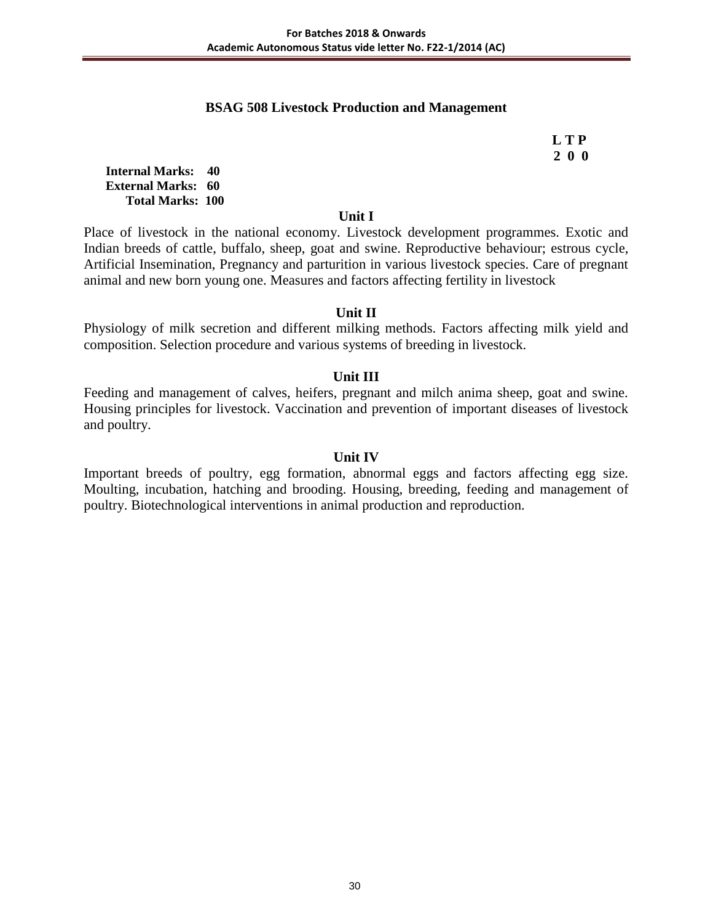#### **BSAG 508 Livestock Production and Management**

 **L T P 2 0 0**

**Internal Marks: 40 External Marks: 60 Total Marks: 100** 

#### **Unit I**

Place of livestock in the national economy. Livestock development programmes. Exotic and Indian breeds of cattle, buffalo, sheep, goat and swine. Reproductive behaviour; estrous cycle, Artificial Insemination, Pregnancy and parturition in various livestock species. Care of pregnant animal and new born young one. Measures and factors affecting fertility in livestock

#### **Unit II**

Physiology of milk secretion and different milking methods. Factors affecting milk yield and composition. Selection procedure and various systems of breeding in livestock.

#### **Unit III**

Feeding and management of calves, heifers, pregnant and milch anima sheep, goat and swine. Housing principles for livestock. Vaccination and prevention of important diseases of livestock and poultry.

#### **Unit IV**

Important breeds of poultry, egg formation, abnormal eggs and factors affecting egg size. Moulting, incubation, hatching and brooding. Housing, breeding, feeding and management of poultry. Biotechnological interventions in animal production and reproduction.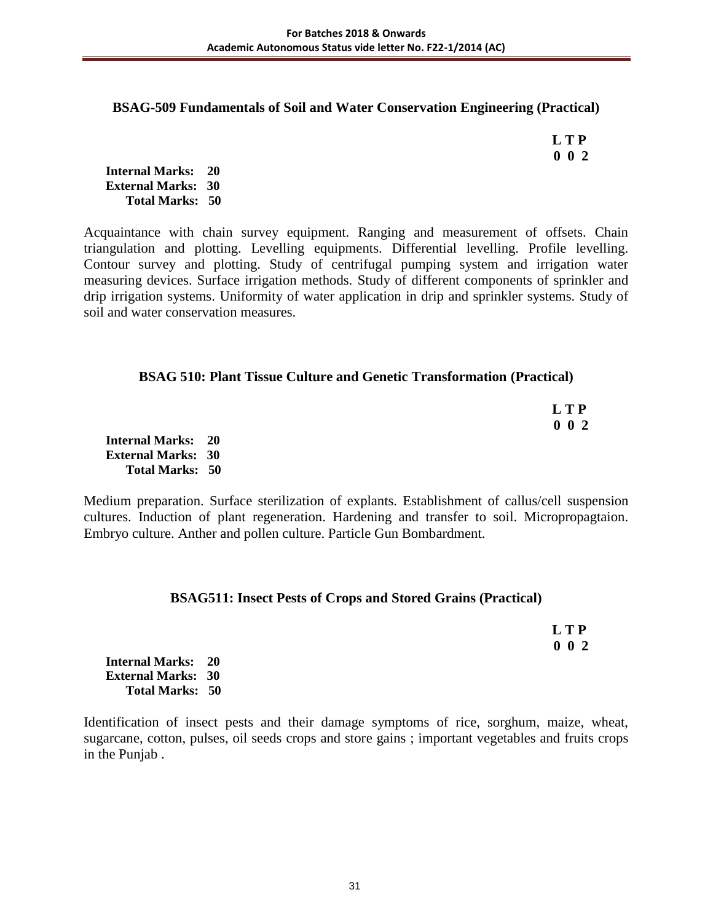#### **BSAG-509 Fundamentals of Soil and Water Conservation Engineering (Practical)**

 **L T P 0 0 2**

**Internal Marks: 20 External Marks: 30 Total Marks: 50** 

Acquaintance with chain survey equipment. Ranging and measurement of offsets. Chain triangulation and plotting. Levelling equipments. Differential levelling. Profile levelling. Contour survey and plotting. Study of centrifugal pumping system and irrigation water measuring devices. Surface irrigation methods. Study of different components of sprinkler and drip irrigation systems. Uniformity of water application in drip and sprinkler systems. Study of soil and water conservation measures.

#### **BSAG 510: Plant Tissue Culture and Genetic Transformation (Practical)**

|         |  |  | <b>LTP</b> |
|---------|--|--|------------|
| _______ |  |  | $0\ 0\ 2$  |

**Internal Marks: 20 External Marks: 30 Total Marks: 50** 

Medium preparation. Surface sterilization of explants. Establishment of callus/cell suspension cultures. Induction of plant regeneration. Hardening and transfer to soil. Micropropagtaion. Embryo culture. Anther and pollen culture. Particle Gun Bombardment.

#### **BSAG511: Insect Pests of Crops and Stored Grains (Practical)**

 **L T P 0 0 2**

**Internal Marks: 20 External Marks: 30 Total Marks: 50** 

Identification of insect pests and their damage symptoms of rice, sorghum, maize, wheat, sugarcane, cotton, pulses, oil seeds crops and store gains ; important vegetables and fruits crops in the Punjab .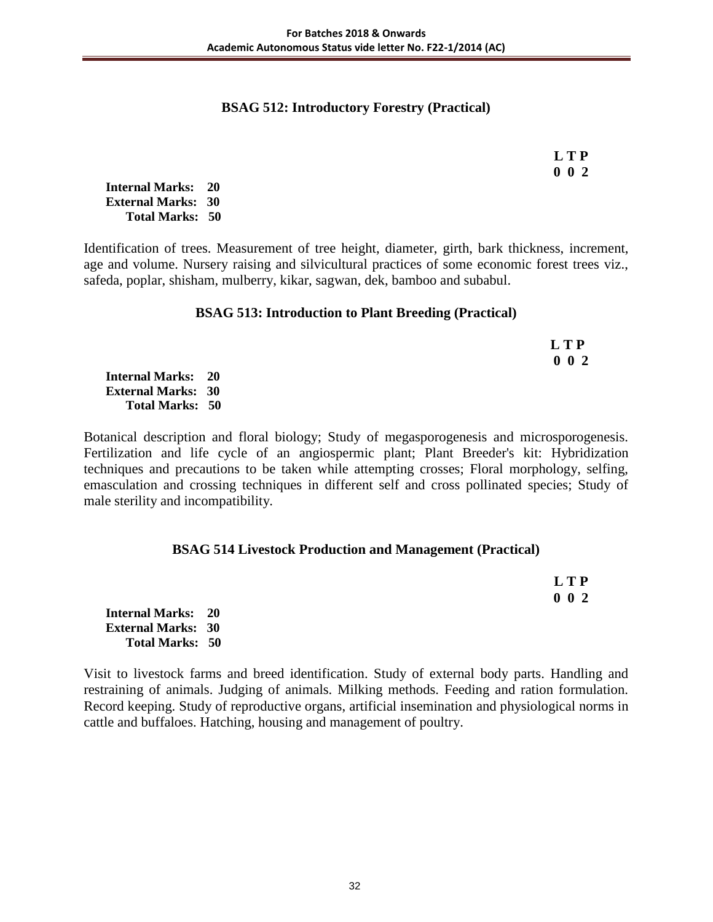### **BSAG 512: Introductory Forestry (Practical)**

| LTP         |
|-------------|
| $0 \t0 \t2$ |

**Internal Marks: 20 External Marks: 30 Total Marks: 50** 

Identification of trees. Measurement of tree height, diameter, girth, bark thickness, increment, age and volume. Nursery raising and silvicultural practices of some economic forest trees viz., safeda, poplar, shisham, mulberry, kikar, sagwan, dek, bamboo and subabul.

#### **BSAG 513: Introduction to Plant Breeding (Practical)**

|                           | L T P       |
|---------------------------|-------------|
|                           | $0\;\;0\;2$ |
| <b>Internal Marks: 20</b> |             |
| <b>External Marks: 30</b> |             |
| <b>Total Marks: 50</b>    |             |

Botanical description and floral biology; Study of megasporogenesis and microsporogenesis. Fertilization and life cycle of an angiospermic plant; Plant Breeder's kit: Hybridization techniques and precautions to be taken while attempting crosses; Floral morphology, selfing, emasculation and crossing techniques in different self and cross pollinated species; Study of male sterility and incompatibility.

#### **BSAG 514 Livestock Production and Management (Practical)**

|                           | <b>LTP</b>  |
|---------------------------|-------------|
|                           | $0\;\;0\;2$ |
| <b>Internal Marks: 20</b> |             |
| <b>External Marks: 30</b> |             |
| <b>Total Marks: 50</b>    |             |

Visit to livestock farms and breed identification. Study of external body parts. Handling and restraining of animals. Judging of animals. Milking methods. Feeding and ration formulation. Record keeping. Study of reproductive organs, artificial insemination and physiological norms in cattle and buffaloes. Hatching, housing and management of poultry.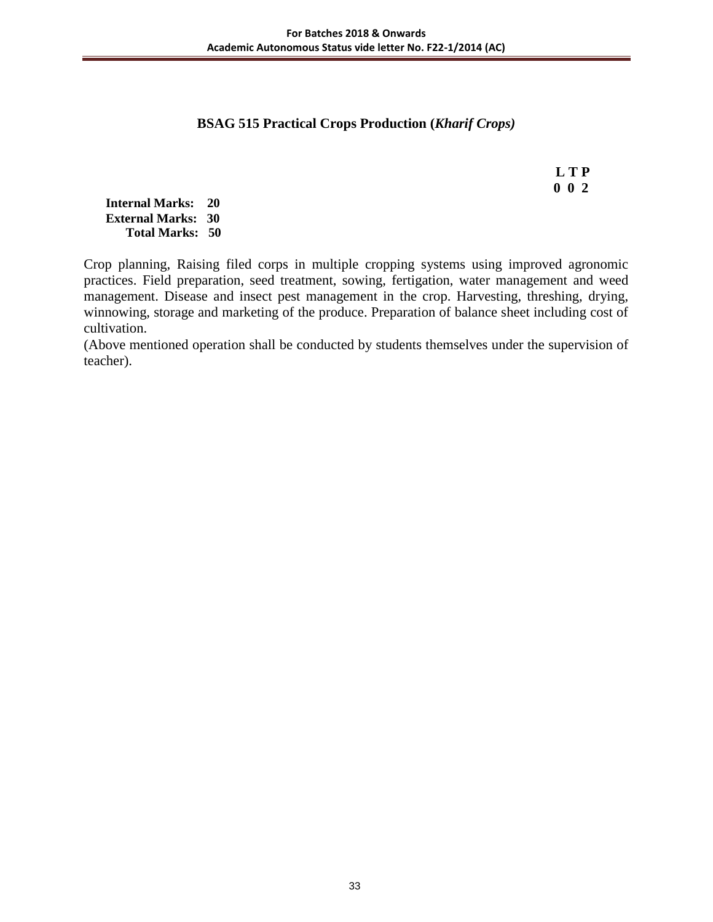### **BSAG 515 Practical Crops Production (***Kharif Crops)*

 **L T P 0 0 2**

**Internal Marks: 20 External Marks: 30 Total Marks: 50** 

Crop planning, Raising filed corps in multiple cropping systems using improved agronomic practices. Field preparation, seed treatment, sowing, fertigation, water management and weed management. Disease and insect pest management in the crop. Harvesting, threshing, drying, winnowing, storage and marketing of the produce. Preparation of balance sheet including cost of cultivation.

(Above mentioned operation shall be conducted by students themselves under the supervision of teacher).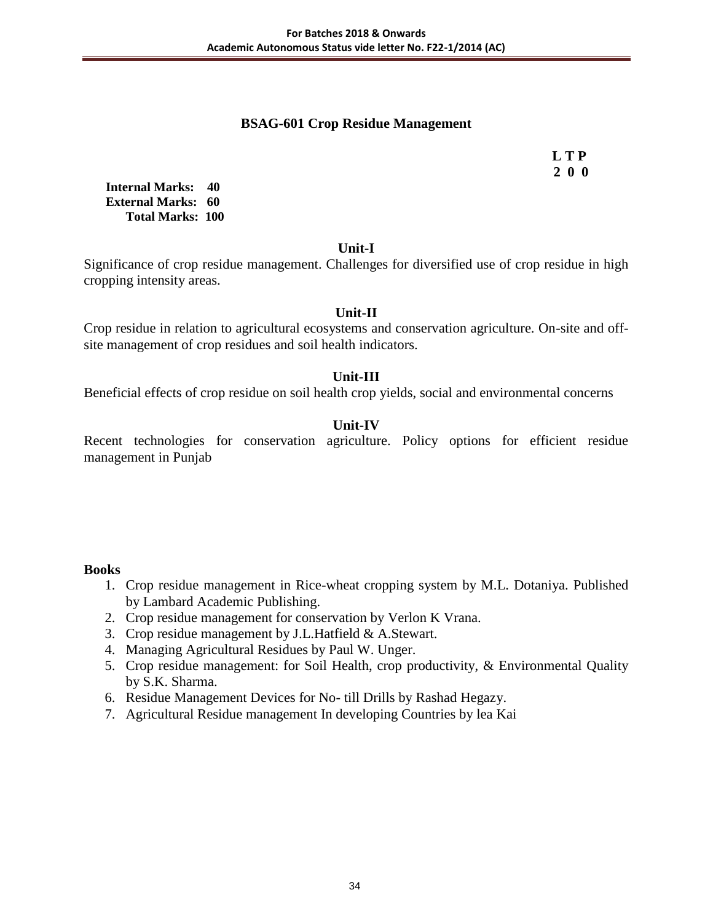## **BSAG-601 Crop Residue Management**

 **L T P 2 0 0**

**Internal Marks: 40 External Marks: 60 Total Marks: 100** 

#### **Unit-I**

Significance of crop residue management. Challenges for diversified use of crop residue in high cropping intensity areas.

### **Unit-II**

Crop residue in relation to agricultural ecosystems and conservation agriculture. On-site and offsite management of crop residues and soil health indicators.

### **Unit-III**

Beneficial effects of crop residue on soil health crop yields, social and environmental concerns

## **Unit-IV**

Recent technologies for conservation agriculture. Policy options for efficient residue management in Punjab

#### **Books**

- 1. Crop residue management in Rice-wheat cropping system by M.L. Dotaniya. Published by Lambard Academic Publishing.
- 2. Crop residue management for conservation by Verlon K Vrana.
- 3. Crop residue management by J.L.Hatfield & A.Stewart.
- 4. Managing Agricultural Residues by Paul W. Unger.
- 5. Crop residue management: for Soil Health, crop productivity, & Environmental Quality by S.K. Sharma.
- 6. Residue Management Devices for No- till Drills by Rashad Hegazy.
- 7. Agricultural Residue management In developing Countries by lea Kai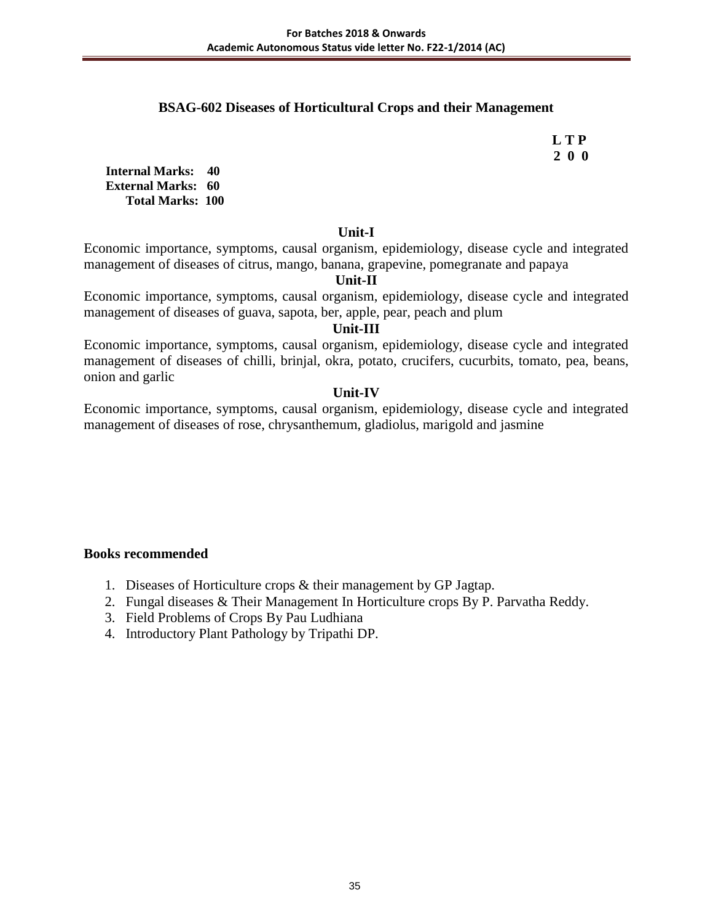## **BSAG-602 Diseases of Horticultural Crops and their Management**

 **L T P 2 0 0**

**Internal Marks: 40 External Marks: 60 Total Marks: 100** 

#### **Unit-I**

Economic importance, symptoms, causal organism, epidemiology, disease cycle and integrated management of diseases of citrus, mango, banana, grapevine, pomegranate and papaya

#### **Unit-II**

Economic importance, symptoms, causal organism, epidemiology, disease cycle and integrated management of diseases of guava, sapota, ber, apple, pear, peach and plum

## **Unit-III**

Economic importance, symptoms, causal organism, epidemiology, disease cycle and integrated management of diseases of chilli, brinjal, okra, potato, crucifers, cucurbits, tomato, pea, beans, onion and garlic

## **Unit-IV**

Economic importance, symptoms, causal organism, epidemiology, disease cycle and integrated management of diseases of rose, chrysanthemum, gladiolus, marigold and jasmine

- 1. Diseases of Horticulture crops & their management by GP Jagtap.
- 2. Fungal diseases & Their Management In Horticulture crops By P. Parvatha Reddy.
- 3. Field Problems of Crops By Pau Ludhiana
- 4. Introductory Plant Pathology by Tripathi DP.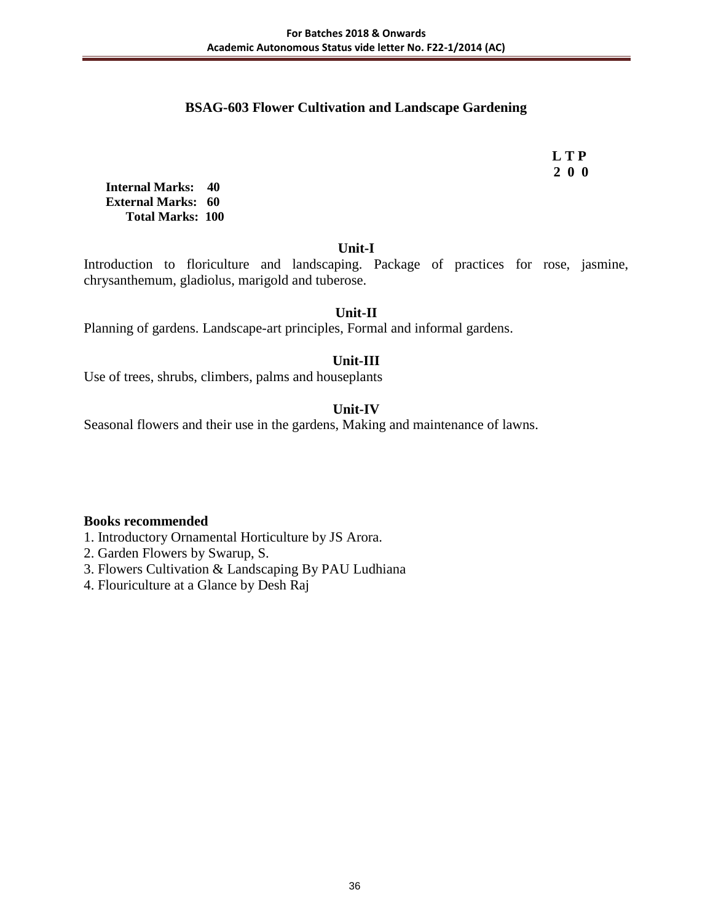### **BSAG-603 Flower Cultivation and Landscape Gardening**

 **L T P 2 0 0**

**Internal Marks: 40 External Marks: 60 Total Marks: 100** 

**Unit-I**

Introduction to floriculture and landscaping. Package of practices for rose, jasmine, chrysanthemum, gladiolus, marigold and tuberose.

### **Unit-II**

Planning of gardens. Landscape-art principles, Formal and informal gardens.

### **Unit-III**

Use of trees, shrubs, climbers, palms and houseplants

### **Unit-IV**

Seasonal flowers and their use in the gardens, Making and maintenance of lawns.

#### **Books recommended**

1. Introductory Ornamental Horticulture by JS Arora.

- 2. Garden Flowers by Swarup, S.
- 3. Flowers Cultivation & Landscaping By PAU Ludhiana
- 4. Flouriculture at a Glance by Desh Raj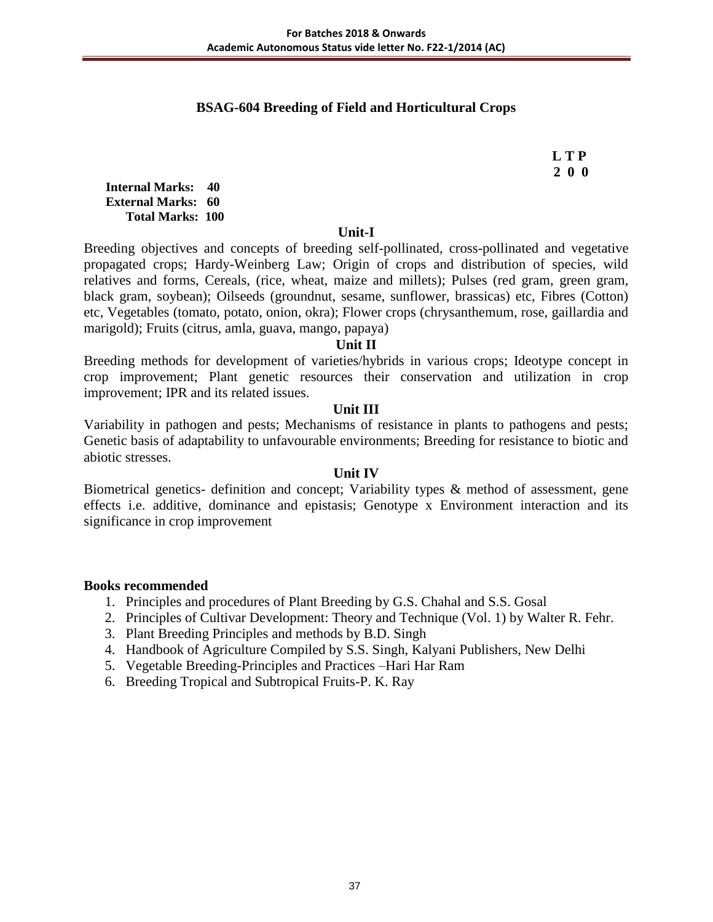### **BSAG-604 Breeding of Field and Horticultural Crops**

 **L T P 2 0 0**

**Internal Marks: 40 External Marks: 60 Total Marks: 100** 

#### **Unit-I**

Breeding objectives and concepts of breeding self-pollinated, cross-pollinated and vegetative propagated crops; Hardy-Weinberg Law; Origin of crops and distribution of species, wild relatives and forms, Cereals, (rice, wheat, maize and millets); Pulses (red gram, green gram, black gram, soybean); Oilseeds (groundnut, sesame, sunflower, brassicas) etc, Fibres (Cotton) etc, Vegetables (tomato, potato, onion, okra); Flower crops (chrysanthemum, rose, gaillardia and marigold); Fruits (citrus, amla, guava, mango, papaya)

#### **Unit II**

Breeding methods for development of varieties/hybrids in various crops; Ideotype concept in crop improvement; Plant genetic resources their conservation and utilization in crop improvement; IPR and its related issues.

#### **Unit III**

Variability in pathogen and pests; Mechanisms of resistance in plants to pathogens and pests; Genetic basis of adaptability to unfavourable environments; Breeding for resistance to biotic and abiotic stresses.

### **Unit IV**

Biometrical genetics- definition and concept; Variability types & method of assessment, gene effects i.e. additive, dominance and epistasis; Genotype x Environment interaction and its significance in crop improvement

- 1. Principles and procedures of Plant Breeding by G.S. Chahal and S.S. Gosal
- 2. Principles of Cultivar Development: Theory and Technique (Vol. 1) by Walter R. Fehr.
- 3. Plant Breeding Principles and methods by B.D. Singh
- 4. Handbook of Agriculture Compiled by S.S. Singh, Kalyani Publishers, New Delhi
- 5. Vegetable Breeding-Principles and Practices –Hari Har Ram
- 6. Breeding Tropical and Subtropical Fruits-P. K. Ray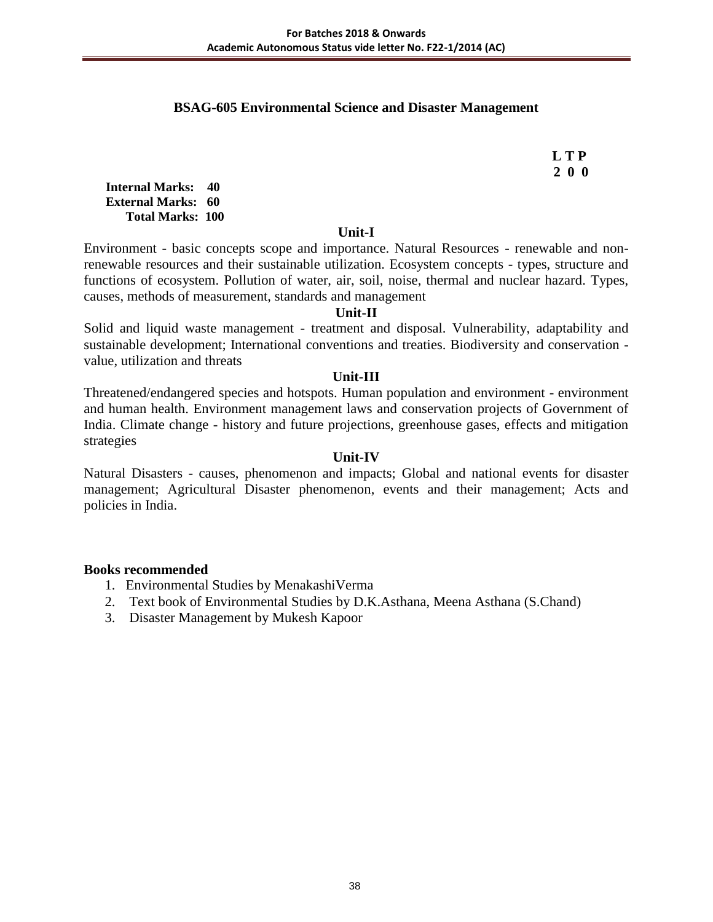### **BSAG-605 Environmental Science and Disaster Management**

 **L T P 2 0 0**

**Internal Marks: 40 External Marks: 60 Total Marks: 100** 

#### **Unit-I**

Environment - basic concepts scope and importance. Natural Resources - renewable and nonrenewable resources and their sustainable utilization. Ecosystem concepts - types, structure and functions of ecosystem. Pollution of water, air, soil, noise, thermal and nuclear hazard. Types, causes, methods of measurement, standards and management

#### **Unit-II**

Solid and liquid waste management - treatment and disposal. Vulnerability, adaptability and sustainable development; International conventions and treaties. Biodiversity and conservation value, utilization and threats

#### **Unit-III**

Threatened/endangered species and hotspots. Human population and environment - environment and human health. Environment management laws and conservation projects of Government of India. Climate change - history and future projections, greenhouse gases, effects and mitigation strategies

### **Unit-IV**

Natural Disasters - causes, phenomenon and impacts; Global and national events for disaster management; Agricultural Disaster phenomenon, events and their management; Acts and policies in India.

- 1. Environmental Studies by MenakashiVerma
- 2. Text book of Environmental Studies by D.K.Asthana, Meena Asthana (S.Chand)
- 3. Disaster Management by Mukesh Kapoor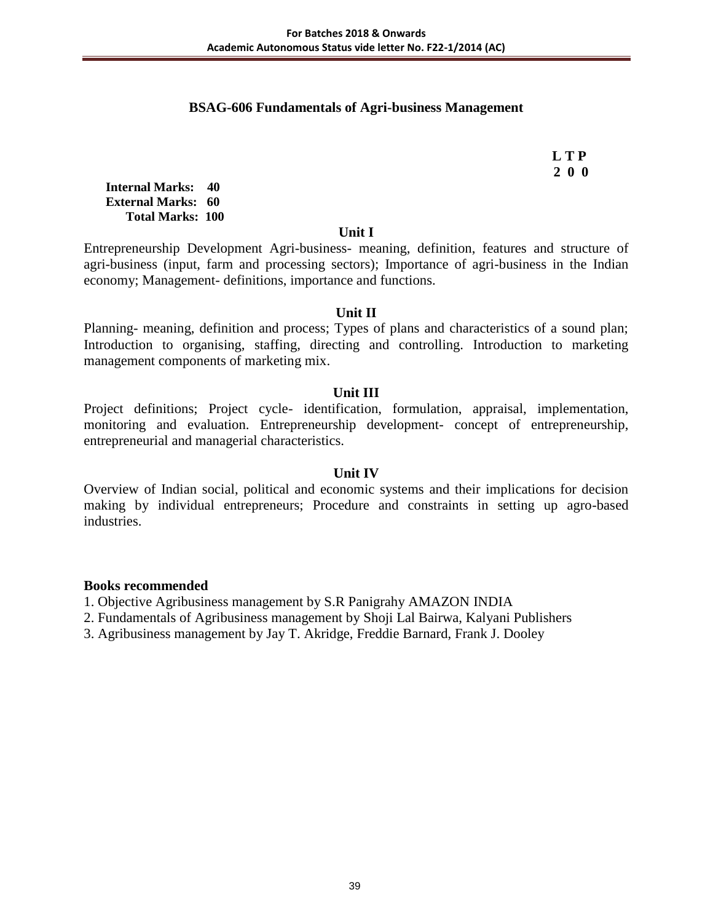### **BSAG-606 Fundamentals of Agri-business Management**

 **L T P 2 0 0**

**Internal Marks: 40 External Marks: 60 Total Marks: 100** 

#### **Unit I**

Entrepreneurship Development Agri-business- meaning, definition, features and structure of agri-business (input, farm and processing sectors); Importance of agri-business in the Indian economy; Management- definitions, importance and functions.

#### **Unit II**

Planning- meaning, definition and process; Types of plans and characteristics of a sound plan; Introduction to organising, staffing, directing and controlling. Introduction to marketing management components of marketing mix.

### **Unit III**

Project definitions; Project cycle- identification, formulation, appraisal, implementation, monitoring and evaluation. Entrepreneurship development- concept of entrepreneurship, entrepreneurial and managerial characteristics.

#### **Unit IV**

Overview of Indian social, political and economic systems and their implications for decision making by individual entrepreneurs; Procedure and constraints in setting up agro-based industries.

- 1. Objective Agribusiness management by S.R Panigrahy AMAZON INDIA
- 2. Fundamentals of Agribusiness management by Shoji Lal Bairwa, Kalyani Publishers
- 3. Agribusiness management by Jay T. Akridge, Freddie Barnard, Frank J. Dooley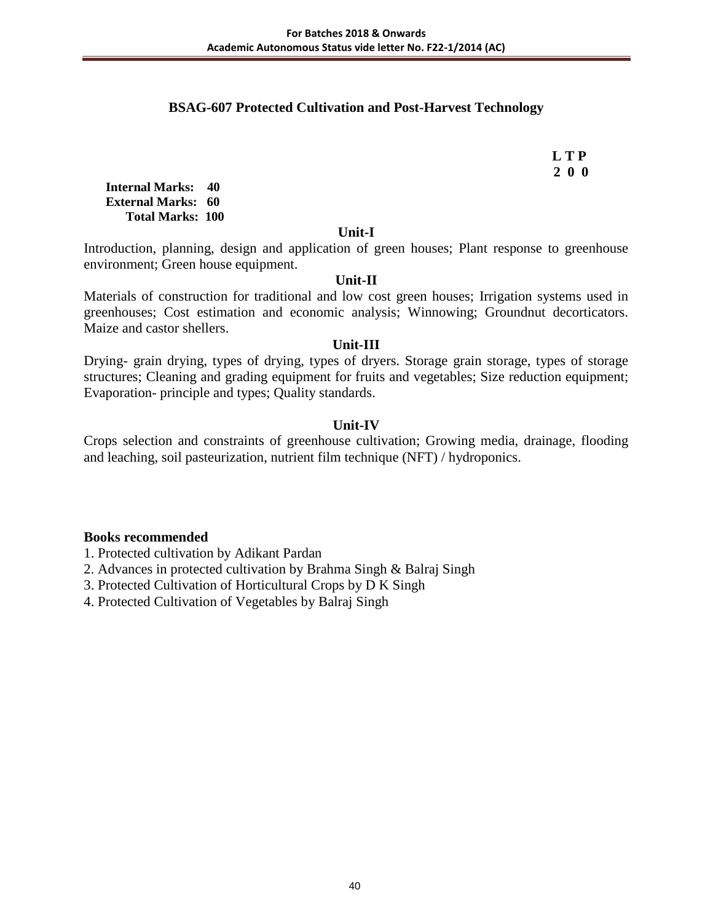## **BSAG-607 Protected Cultivation and Post-Harvest Technology**

 **L T P 2 0 0**

**Internal Marks: 40 External Marks: 60 Total Marks: 100** 

#### **Unit-I**

Introduction, planning, design and application of green houses; Plant response to greenhouse environment; Green house equipment.

#### **Unit-II**

Materials of construction for traditional and low cost green houses; Irrigation systems used in greenhouses; Cost estimation and economic analysis; Winnowing; Groundnut decorticators. Maize and castor shellers.

#### **Unit-III**

Drying- grain drying, types of drying, types of dryers. Storage grain storage, types of storage structures; Cleaning and grading equipment for fruits and vegetables; Size reduction equipment; Evaporation- principle and types; Quality standards.

#### **Unit-IV**

Crops selection and constraints of greenhouse cultivation; Growing media, drainage, flooding and leaching, soil pasteurization, nutrient film technique (NFT) / hydroponics.

#### **Books recommended**

1. Protected cultivation by Adikant Pardan

2. Advances in protected cultivation by Brahma Singh & Balraj Singh

3. Protected Cultivation of Horticultural Crops by D K Singh

4. Protected Cultivation of Vegetables by Balraj Singh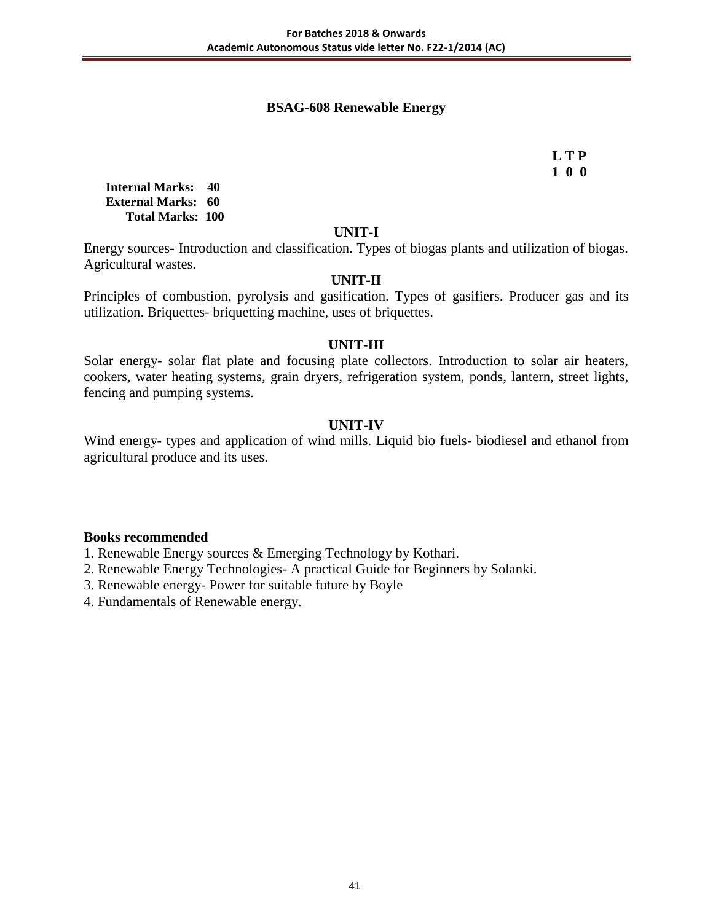### **BSAG-608 Renewable Energy**

 **L T P 1 0 0**

**Internal Marks: 40 External Marks: 60 Total Marks: 100** 

#### **UNIT-I**

Energy sources- Introduction and classification. Types of biogas plants and utilization of biogas. Agricultural wastes.

#### **UNIT-II**

Principles of combustion, pyrolysis and gasification. Types of gasifiers. Producer gas and its utilization. Briquettes- briquetting machine, uses of briquettes.

#### **UNIT-III**

Solar energy- solar flat plate and focusing plate collectors. Introduction to solar air heaters, cookers, water heating systems, grain dryers, refrigeration system, ponds, lantern, street lights, fencing and pumping systems.

#### **UNIT-IV**

Wind energy- types and application of wind mills. Liquid bio fuels- biodiesel and ethanol from agricultural produce and its uses.

#### **Books recommended**

1. Renewable Energy sources & Emerging Technology by Kothari.

2. Renewable Energy Technologies- A practical Guide for Beginners by Solanki.

3. Renewable energy- Power for suitable future by Boyle

4. Fundamentals of Renewable energy.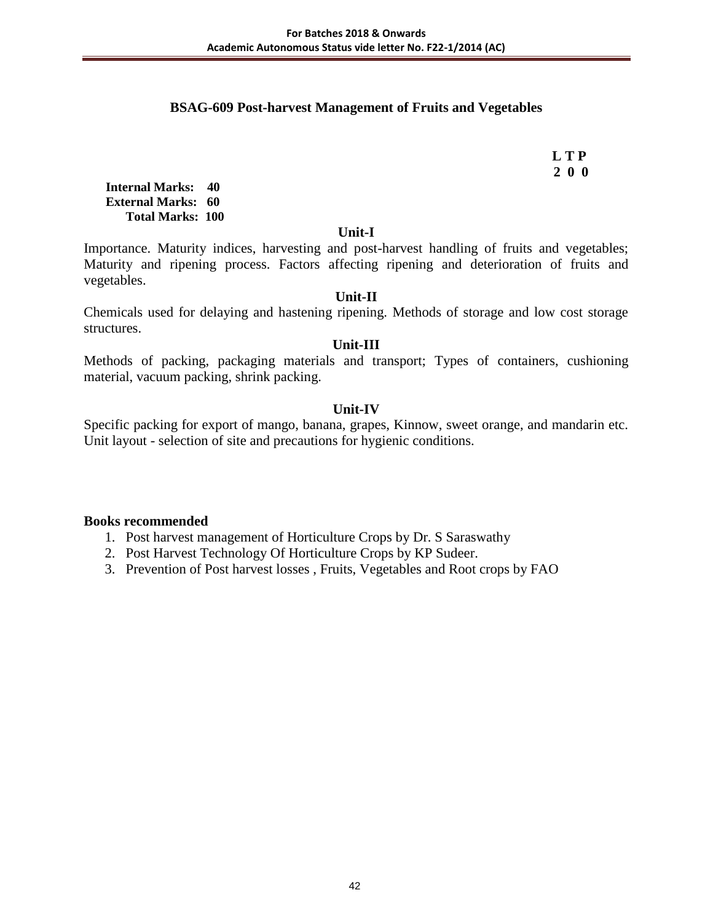### **BSAG-609 Post-harvest Management of Fruits and Vegetables**

 **L T P 2 0 0**

**Internal Marks: 40 External Marks: 60 Total Marks: 100** 

#### **Unit-I**

Importance. Maturity indices, harvesting and post-harvest handling of fruits and vegetables; Maturity and ripening process. Factors affecting ripening and deterioration of fruits and vegetables.

## **Unit-II**

Chemicals used for delaying and hastening ripening. Methods of storage and low cost storage structures.

### **Unit-III**

Methods of packing, packaging materials and transport; Types of containers, cushioning material, vacuum packing, shrink packing.

### **Unit-IV**

Specific packing for export of mango, banana, grapes, Kinnow, sweet orange, and mandarin etc. Unit layout - selection of site and precautions for hygienic conditions.

- 1. Post harvest management of Horticulture Crops by Dr. S Saraswathy
- 2. Post Harvest Technology Of Horticulture Crops by KP Sudeer.
- 3. Prevention of Post harvest losses , Fruits, Vegetables and Root crops by FAO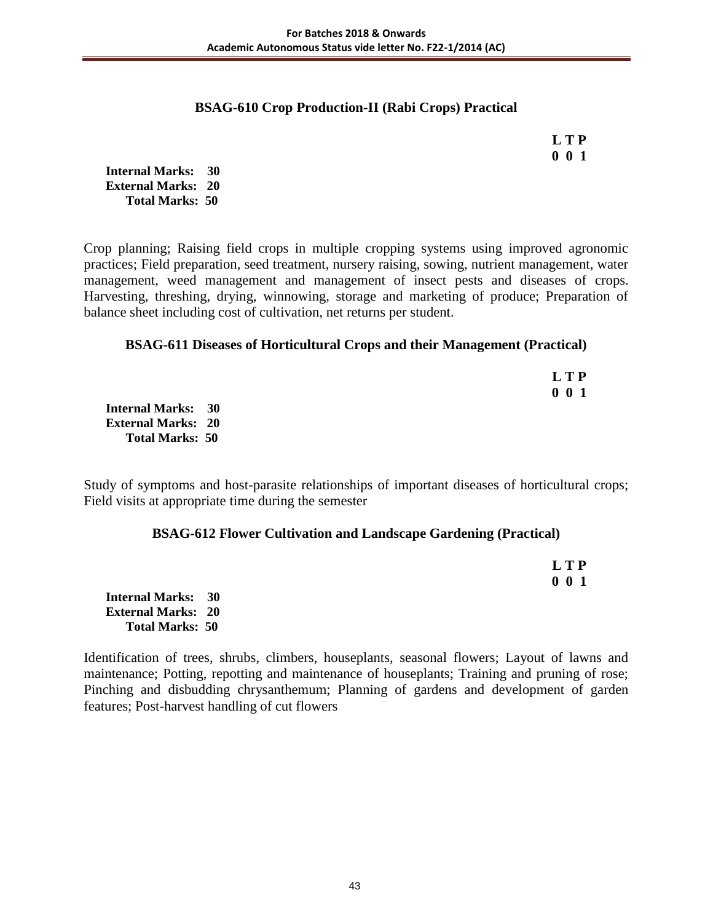### **BSAG-610 Crop Production-II (Rabi Crops) Practical**

 **L T P 0 0 1**

**Internal Marks: 30 External Marks: 20 Total Marks: 50** 

Crop planning; Raising field crops in multiple cropping systems using improved agronomic practices; Field preparation, seed treatment, nursery raising, sowing, nutrient management, water management, weed management and management of insect pests and diseases of crops. Harvesting, threshing, drying, winnowing, storage and marketing of produce; Preparation of balance sheet including cost of cultivation, net returns per student.

## **BSAG-611 Diseases of Horticultural Crops and their Management (Practical)**

|                           | <b>LTP</b>    |
|---------------------------|---------------|
|                           | $0\;\;0\;\;1$ |
| Internal Marks: 30        |               |
| <b>External Marks: 20</b> |               |
| <b>Total Marks: 50</b>    |               |

Study of symptoms and host-parasite relationships of important diseases of horticultural crops; Field visits at appropriate time during the semester

### **BSAG-612 Flower Cultivation and Landscape Gardening (Practical)**

|                           | <b>LTP</b>    |
|---------------------------|---------------|
|                           | $0\;\;0\;\;1$ |
| <b>Internal Marks: 30</b> |               |
| <b>External Marks: 20</b> |               |
| <b>Total Marks: 50</b>    |               |

Identification of trees, shrubs, climbers, houseplants, seasonal flowers; Layout of lawns and maintenance; Potting, repotting and maintenance of houseplants; Training and pruning of rose; Pinching and disbudding chrysanthemum; Planning of gardens and development of garden features; Post-harvest handling of cut flowers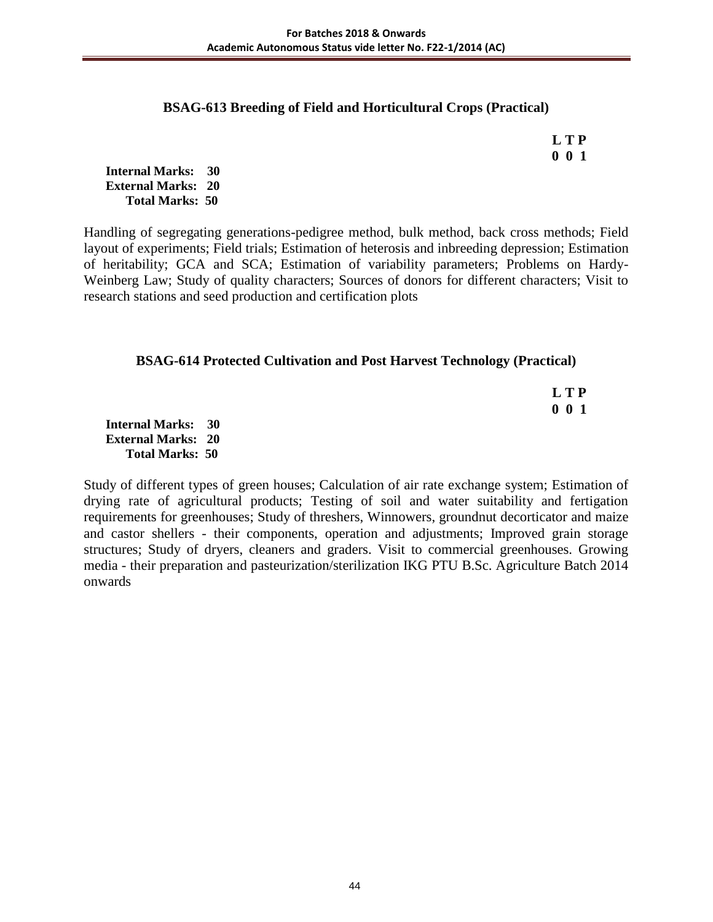### **BSAG-613 Breeding of Field and Horticultural Crops (Practical)**

 **L T P 0 0 1**

**Internal Marks: 30 External Marks: 20 Total Marks: 50** 

Handling of segregating generations-pedigree method, bulk method, back cross methods; Field layout of experiments; Field trials; Estimation of heterosis and inbreeding depression; Estimation of heritability; GCA and SCA; Estimation of variability parameters; Problems on Hardy-Weinberg Law; Study of quality characters; Sources of donors for different characters; Visit to research stations and seed production and certification plots

## **BSAG-614 Protected Cultivation and Post Harvest Technology (Practical)**

 **L T P 0 0 1**

**Internal Marks: 30 External Marks: 20 Total Marks: 50** 

Study of different types of green houses; Calculation of air rate exchange system; Estimation of drying rate of agricultural products; Testing of soil and water suitability and fertigation requirements for greenhouses; Study of threshers, Winnowers, groundnut decorticator and maize and castor shellers - their components, operation and adjustments; Improved grain storage structures; Study of dryers, cleaners and graders. Visit to commercial greenhouses. Growing media - their preparation and pasteurization/sterilization IKG PTU B.Sc. Agriculture Batch 2014 onwards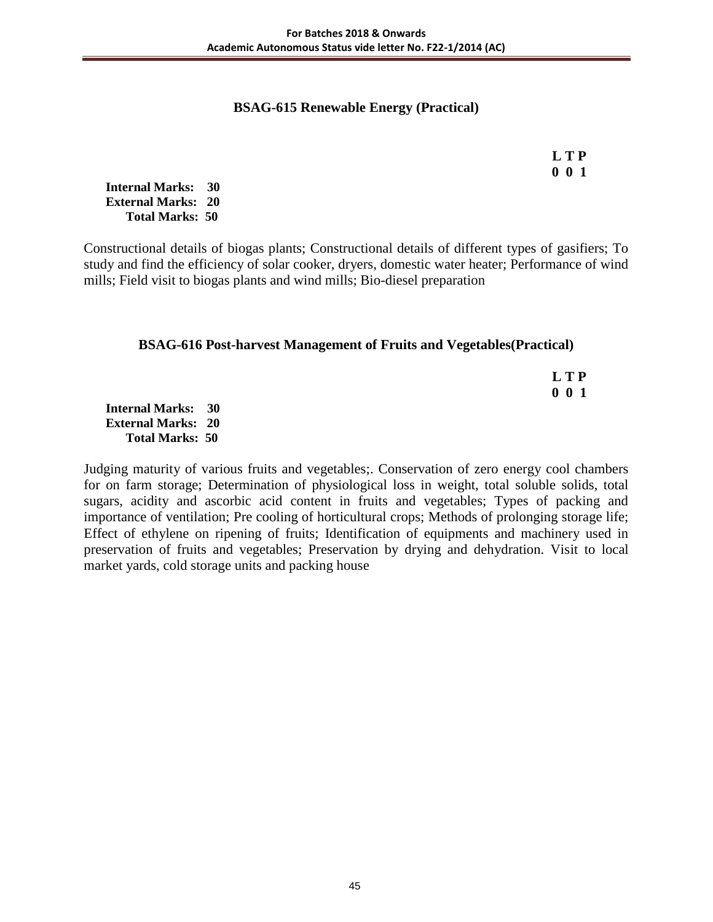### **BSAG-615 Renewable Energy (Practical)**

 **L T P 0 0 1**

**Internal Marks: 30 External Marks: 20 Total Marks: 50** 

Constructional details of biogas plants; Constructional details of different types of gasifiers; To study and find the efficiency of solar cooker, dryers, domestic water heater; Performance of wind mills; Field visit to biogas plants and wind mills; Bio-diesel preparation

## **BSAG-616 Post-harvest Management of Fruits and Vegetables(Practical)**

 **L T P 0 0 1**

**Internal Marks: 30 External Marks: 20 Total Marks: 50** 

Judging maturity of various fruits and vegetables;. Conservation of zero energy cool chambers for on farm storage; Determination of physiological loss in weight, total soluble solids, total sugars, acidity and ascorbic acid content in fruits and vegetables; Types of packing and importance of ventilation; Pre cooling of horticultural crops; Methods of prolonging storage life; Effect of ethylene on ripening of fruits; Identification of equipments and machinery used in preservation of fruits and vegetables; Preservation by drying and dehydration. Visit to local market yards, cold storage units and packing house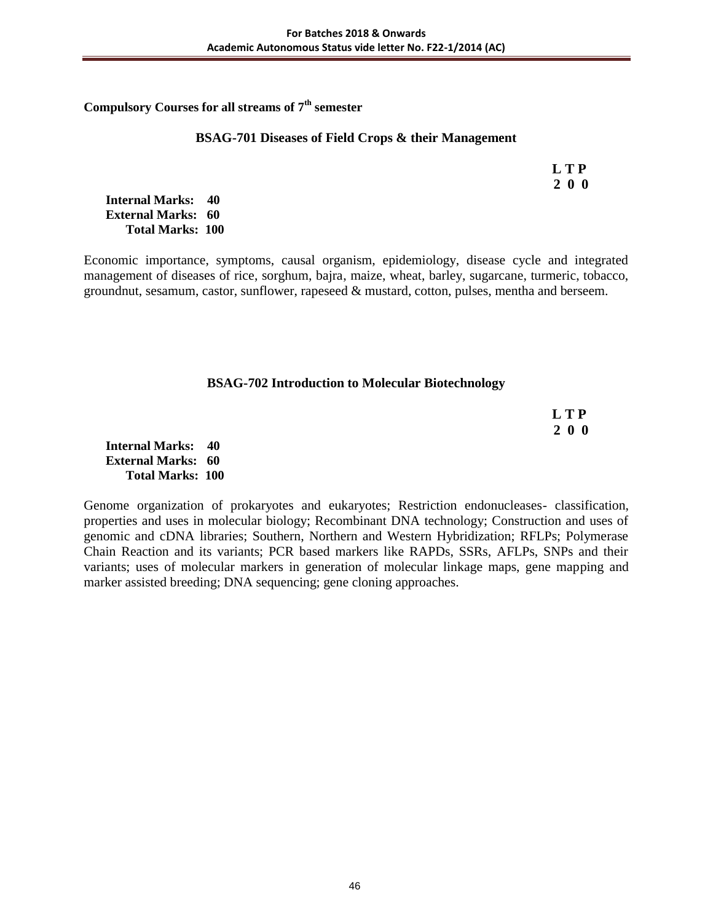**Compulsory Courses for all streams of 7th semester** 

#### **BSAG-701 Diseases of Field Crops & their Management**

 **L T P 2 0 0**

**Internal Marks: 40 External Marks: 60 Total Marks: 100** 

Economic importance, symptoms, causal organism, epidemiology, disease cycle and integrated management of diseases of rice, sorghum, bajra, maize, wheat, barley, sugarcane, turmeric, tobacco, groundnut, sesamum, castor, sunflower, rapeseed & mustard, cotton, pulses, mentha and berseem.

### **BSAG-702 Introduction to Molecular Biotechnology**

| <b>LTP</b> |
|------------|
| 200        |

**Internal Marks: 40 External Marks: 60 Total Marks: 100** 

Genome organization of prokaryotes and eukaryotes; Restriction endonucleases- classification, properties and uses in molecular biology; Recombinant DNA technology; Construction and uses of genomic and cDNA libraries; Southern, Northern and Western Hybridization; RFLPs; Polymerase Chain Reaction and its variants; PCR based markers like RAPDs, SSRs, AFLPs, SNPs and their variants; uses of molecular markers in generation of molecular linkage maps, gene mapping and marker assisted breeding; DNA sequencing; gene cloning approaches.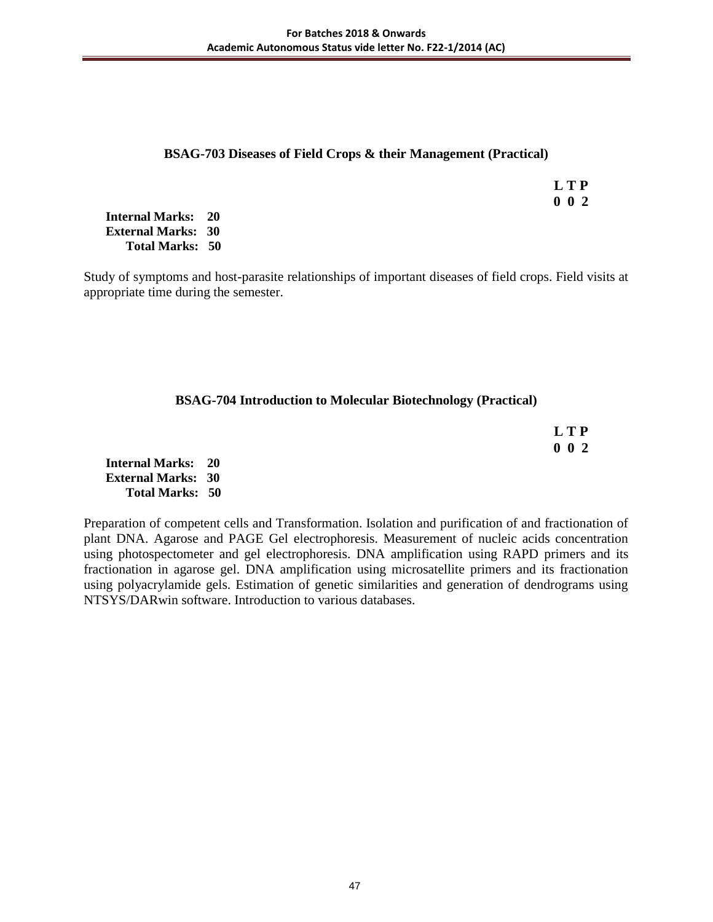### **BSAG-703 Diseases of Field Crops & their Management (Practical)**

 **L T P 0 0 2**

**Internal Marks: 20 External Marks: 30 Total Marks: 50** 

Study of symptoms and host-parasite relationships of important diseases of field crops. Field visits at appropriate time during the semester.

## **BSAG-704 Introduction to Molecular Biotechnology (Practical)**

| <b>LTP</b>  |
|-------------|
| $0 \t0 \t2$ |

**Internal Marks: 20 External Marks: 30 Total Marks: 50** 

Preparation of competent cells and Transformation. Isolation and purification of and fractionation of plant DNA. Agarose and PAGE Gel electrophoresis. Measurement of nucleic acids concentration using photospectometer and gel electrophoresis. DNA amplification using RAPD primers and its fractionation in agarose gel. DNA amplification using microsatellite primers and its fractionation using polyacrylamide gels. Estimation of genetic similarities and generation of dendrograms using NTSYS/DARwin software. Introduction to various databases.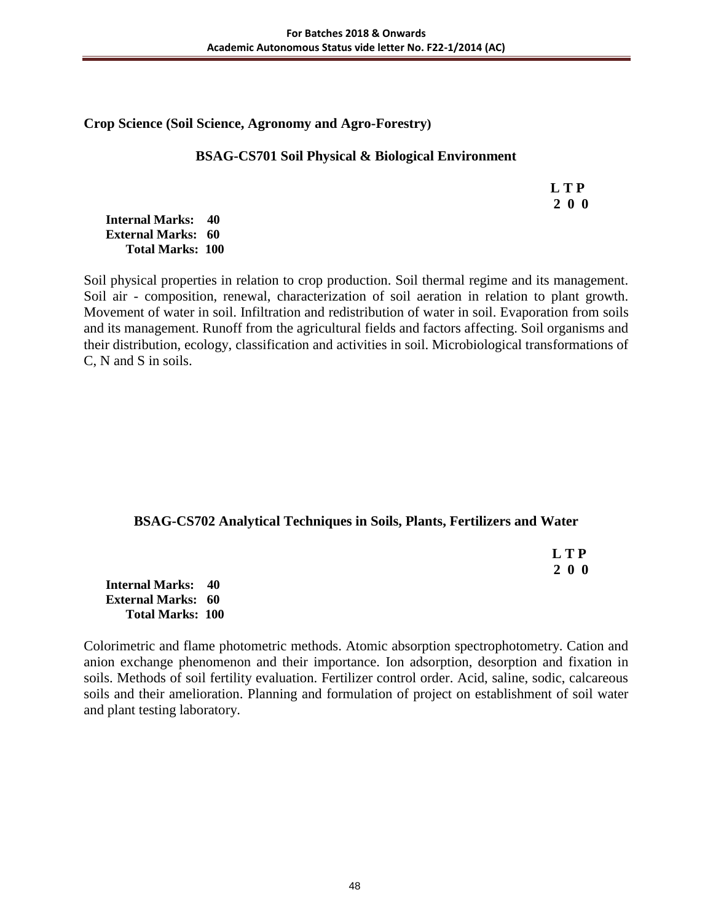### **Crop Science (Soil Science, Agronomy and Agro-Forestry)**

### **BSAG-CS701 Soil Physical & Biological Environment**

 **L T P 2 0 0**

#### **Internal Marks: 40 External Marks: 60 Total Marks: 100**

Soil physical properties in relation to crop production. Soil thermal regime and its management. Soil air - composition, renewal, characterization of soil aeration in relation to plant growth. Movement of water in soil. Infiltration and redistribution of water in soil. Evaporation from soils and its management. Runoff from the agricultural fields and factors affecting. Soil organisms and their distribution, ecology, classification and activities in soil. Microbiological transformations of C, N and S in soils.

## **BSAG-CS702 Analytical Techniques in Soils, Plants, Fertilizers and Water**

 **L T P 2 0 0**

**Internal Marks: 40 External Marks: 60 Total Marks: 100** 

Colorimetric and flame photometric methods. Atomic absorption spectrophotometry. Cation and anion exchange phenomenon and their importance. Ion adsorption, desorption and fixation in soils. Methods of soil fertility evaluation. Fertilizer control order. Acid, saline, sodic, calcareous soils and their amelioration. Planning and formulation of project on establishment of soil water and plant testing laboratory.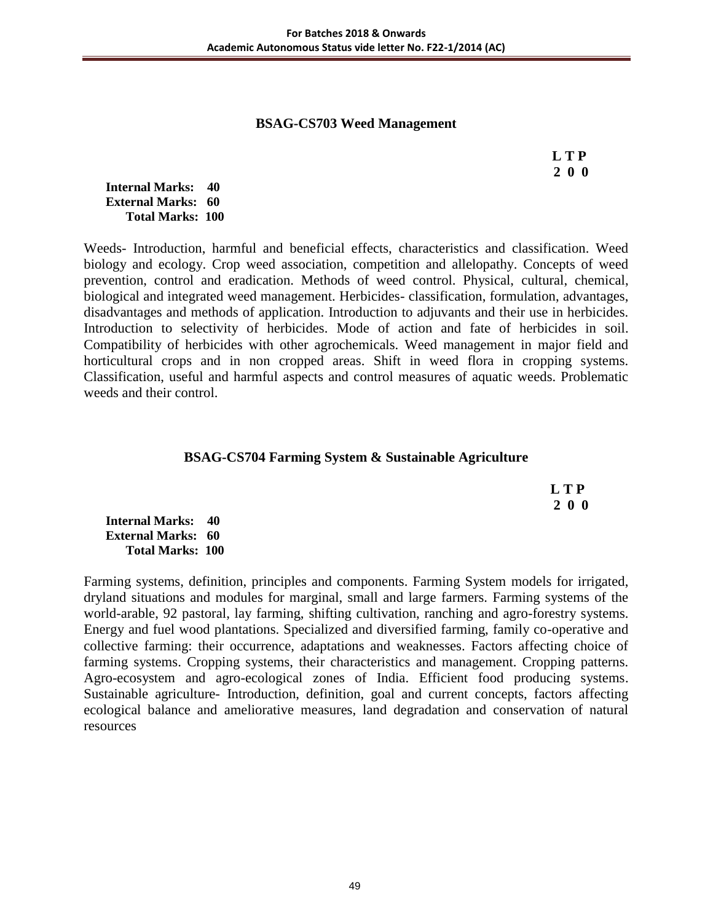### **BSAG-CS703 Weed Management**

 **L T P 2 0 0**

#### **Internal Marks: 40 External Marks: 60 Total Marks: 100**

Weeds- Introduction, harmful and beneficial effects, characteristics and classification. Weed biology and ecology. Crop weed association, competition and allelopathy. Concepts of weed prevention, control and eradication. Methods of weed control. Physical, cultural, chemical, biological and integrated weed management. Herbicides- classification, formulation, advantages, disadvantages and methods of application. Introduction to adjuvants and their use in herbicides. Introduction to selectivity of herbicides. Mode of action and fate of herbicides in soil. Compatibility of herbicides with other agrochemicals. Weed management in major field and horticultural crops and in non cropped areas. Shift in weed flora in cropping systems. Classification, useful and harmful aspects and control measures of aquatic weeds. Problematic weeds and their control.

### **BSAG-CS704 Farming System & Sustainable Agriculture**

 **L T P 2 0 0**

**Internal Marks: 40 External Marks: 60 Total Marks: 100** 

Farming systems, definition, principles and components. Farming System models for irrigated, dryland situations and modules for marginal, small and large farmers. Farming systems of the world-arable, 92 pastoral, lay farming, shifting cultivation, ranching and agro-forestry systems. Energy and fuel wood plantations. Specialized and diversified farming, family co-operative and collective farming: their occurrence, adaptations and weaknesses. Factors affecting choice of farming systems. Cropping systems, their characteristics and management. Cropping patterns. Agro-ecosystem and agro-ecological zones of India. Efficient food producing systems. Sustainable agriculture- Introduction, definition, goal and current concepts, factors affecting ecological balance and ameliorative measures, land degradation and conservation of natural resources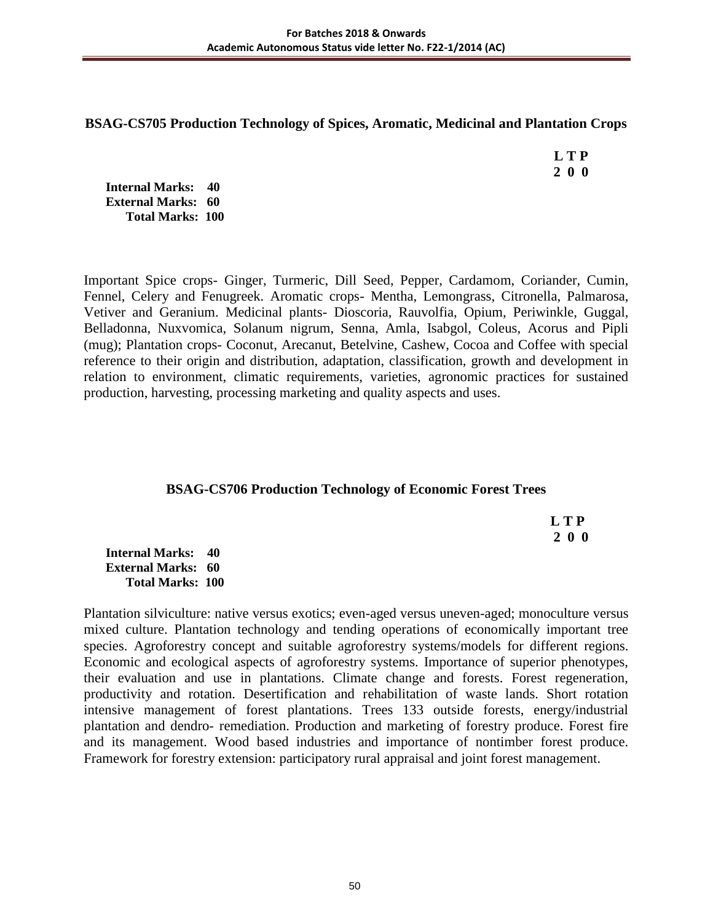## **BSAG-CS705 Production Technology of Spices, Aromatic, Medicinal and Plantation Crops**

 **L T P 2 0 0**

**Internal Marks: 40 External Marks: 60 Total Marks: 100** 

Important Spice crops- Ginger, Turmeric, Dill Seed, Pepper, Cardamom, Coriander, Cumin, Fennel, Celery and Fenugreek. Aromatic crops- Mentha, Lemongrass, Citronella, Palmarosa, Vetiver and Geranium. Medicinal plants- Dioscoria, Rauvolfia, Opium, Periwinkle, Guggal, Belladonna, Nuxvomica, Solanum nigrum, Senna, Amla, Isabgol, Coleus, Acorus and Pipli (mug); Plantation crops- Coconut, Arecanut, Betelvine, Cashew, Cocoa and Coffee with special reference to their origin and distribution, adaptation, classification, growth and development in relation to environment, climatic requirements, varieties, agronomic practices for sustained production, harvesting, processing marketing and quality aspects and uses.

## **BSAG-CS706 Production Technology of Economic Forest Trees**

 **L T P 2 0 0**

**Internal Marks: 40 External Marks: 60 Total Marks: 100** 

Plantation silviculture: native versus exotics; even-aged versus uneven-aged; monoculture versus mixed culture. Plantation technology and tending operations of economically important tree species. Agroforestry concept and suitable agroforestry systems/models for different regions. Economic and ecological aspects of agroforestry systems. Importance of superior phenotypes, their evaluation and use in plantations. Climate change and forests. Forest regeneration, productivity and rotation. Desertification and rehabilitation of waste lands. Short rotation intensive management of forest plantations. Trees 133 outside forests, energy/industrial plantation and dendro- remediation. Production and marketing of forestry produce. Forest fire and its management. Wood based industries and importance of nontimber forest produce. Framework for forestry extension: participatory rural appraisal and joint forest management.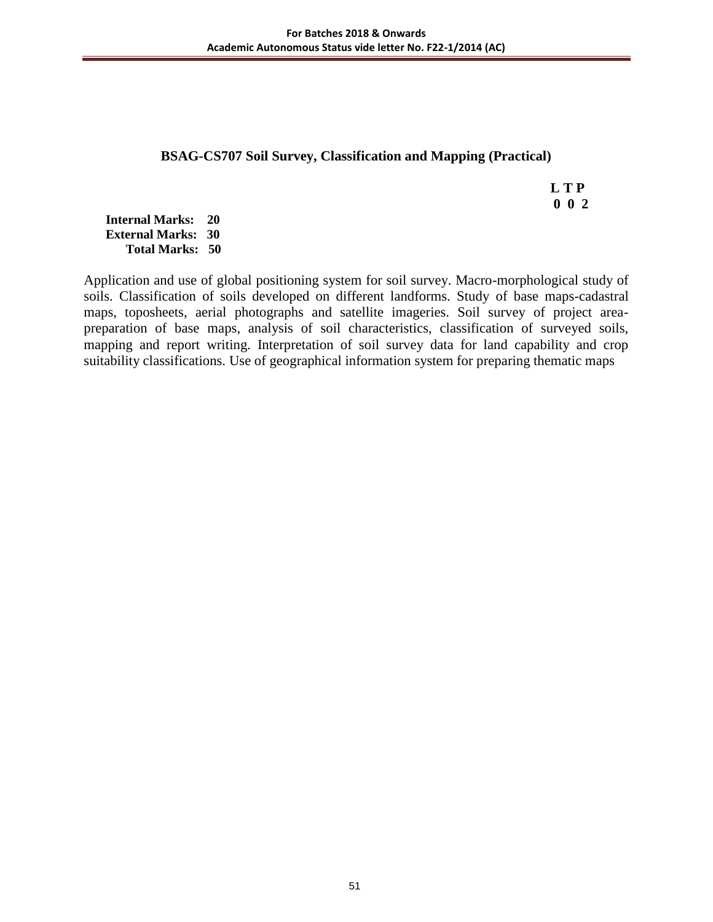## **BSAG-CS707 Soil Survey, Classification and Mapping (Practical)**

 **L T P 0 0 2**

**Internal Marks: 20 External Marks: 30 Total Marks: 50** 

Application and use of global positioning system for soil survey. Macro-morphological study of soils. Classification of soils developed on different landforms. Study of base maps-cadastral maps, toposheets, aerial photographs and satellite imageries. Soil survey of project areapreparation of base maps, analysis of soil characteristics, classification of surveyed soils, mapping and report writing. Interpretation of soil survey data for land capability and crop suitability classifications. Use of geographical information system for preparing thematic maps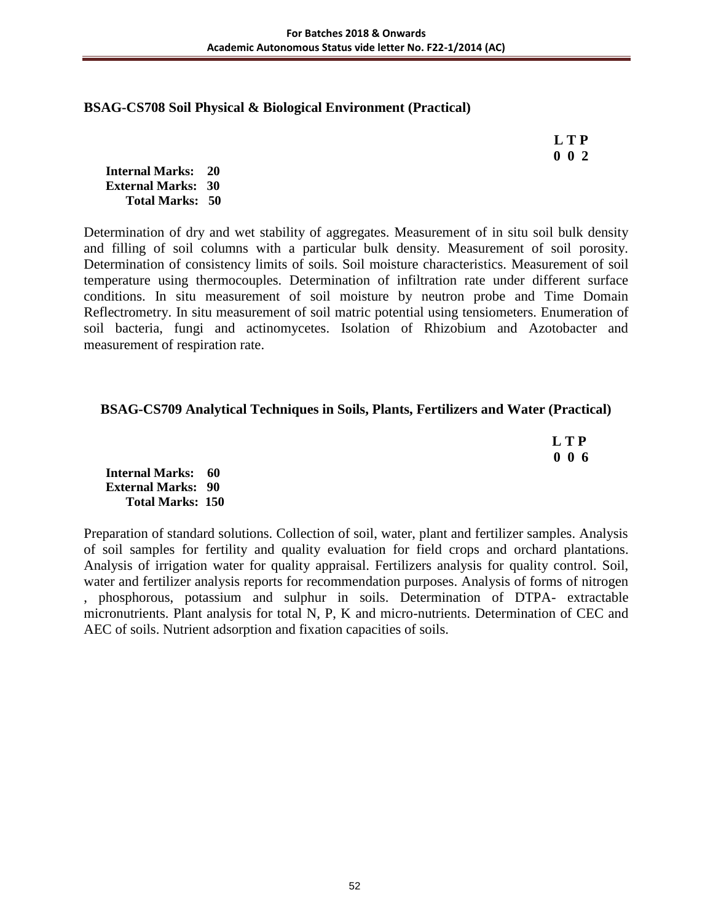### **BSAG-CS708 Soil Physical & Biological Environment (Practical)**

 **L T P 0 0 2**

**Internal Marks: 20 External Marks: 30 Total Marks: 50** 

Determination of dry and wet stability of aggregates. Measurement of in situ soil bulk density and filling of soil columns with a particular bulk density. Measurement of soil porosity. Determination of consistency limits of soils. Soil moisture characteristics. Measurement of soil temperature using thermocouples. Determination of infiltration rate under different surface conditions. In situ measurement of soil moisture by neutron probe and Time Domain Reflectrometry. In situ measurement of soil matric potential using tensiometers. Enumeration of soil bacteria, fungi and actinomycetes. Isolation of Rhizobium and Azotobacter and measurement of respiration rate.

### **BSAG-CS709 Analytical Techniques in Soils, Plants, Fertilizers and Water (Practical)**

 **L T P 0 0 6**

**Internal Marks: 60 External Marks: 90 Total Marks: 150** 

Preparation of standard solutions. Collection of soil, water, plant and fertilizer samples. Analysis of soil samples for fertility and quality evaluation for field crops and orchard plantations. Analysis of irrigation water for quality appraisal. Fertilizers analysis for quality control. Soil, water and fertilizer analysis reports for recommendation purposes. Analysis of forms of nitrogen , phosphorous, potassium and sulphur in soils. Determination of DTPA- extractable micronutrients. Plant analysis for total N, P, K and micro-nutrients. Determination of CEC and AEC of soils. Nutrient adsorption and fixation capacities of soils.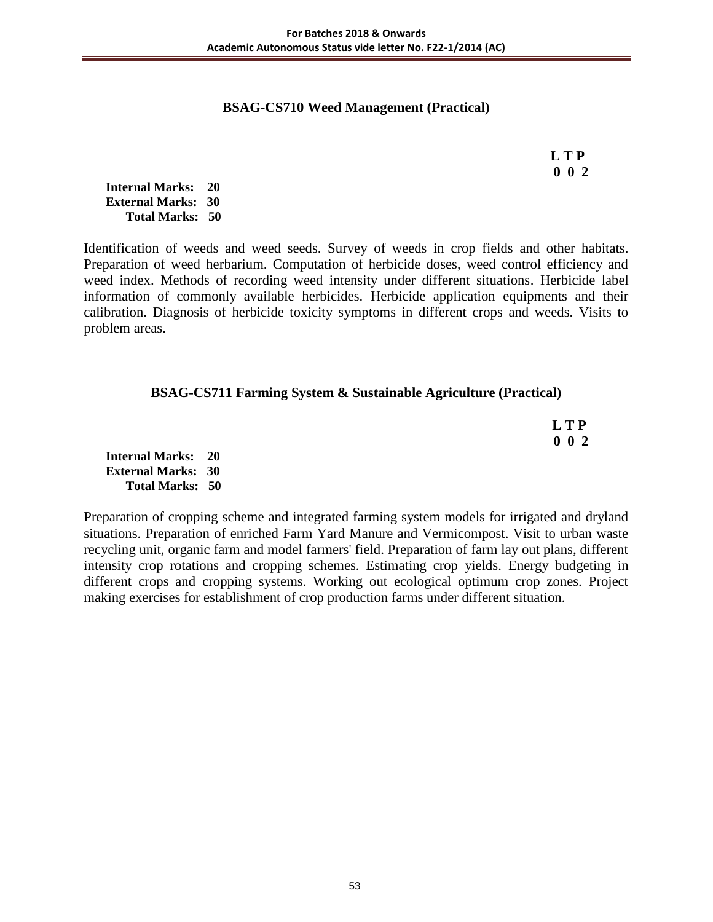## **BSAG-CS710 Weed Management (Practical)**

 **L T P 0 0 2**

**Internal Marks: 20 External Marks: 30 Total Marks: 50** 

Identification of weeds and weed seeds. Survey of weeds in crop fields and other habitats. Preparation of weed herbarium. Computation of herbicide doses, weed control efficiency and weed index. Methods of recording weed intensity under different situations. Herbicide label information of commonly available herbicides. Herbicide application equipments and their calibration. Diagnosis of herbicide toxicity symptoms in different crops and weeds. Visits to problem areas.

### **BSAG-CS711 Farming System & Sustainable Agriculture (Practical)**

 **L T P 0 0 2**

**Internal Marks: 20 External Marks: 30 Total Marks: 50** 

Preparation of cropping scheme and integrated farming system models for irrigated and dryland situations. Preparation of enriched Farm Yard Manure and Vermicompost. Visit to urban waste recycling unit, organic farm and model farmers' field. Preparation of farm lay out plans, different intensity crop rotations and cropping schemes. Estimating crop yields. Energy budgeting in different crops and cropping systems. Working out ecological optimum crop zones. Project making exercises for establishment of crop production farms under different situation.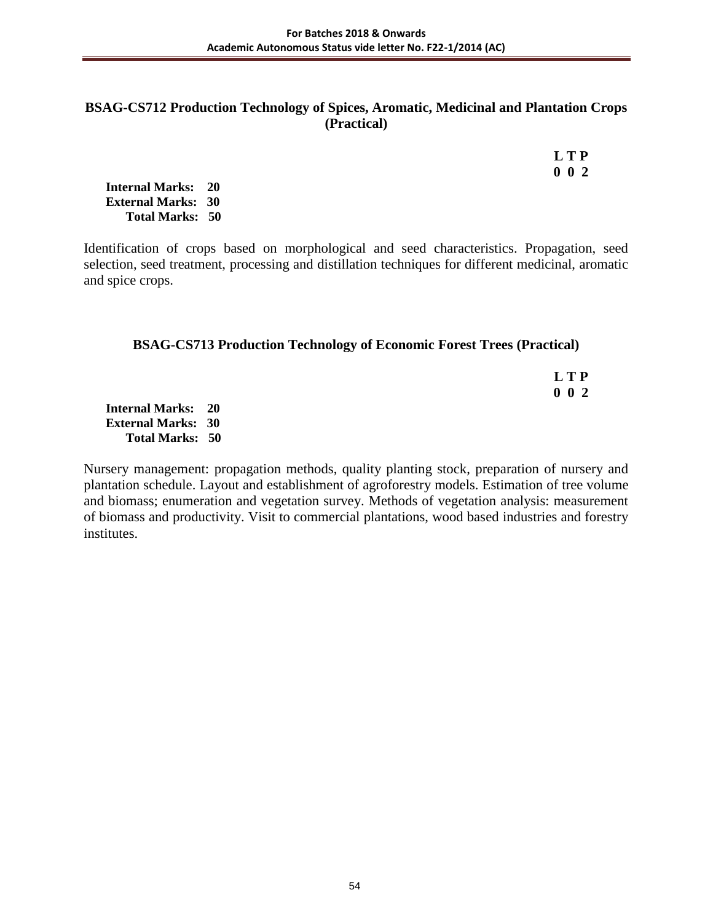### **BSAG-CS712 Production Technology of Spices, Aromatic, Medicinal and Plantation Crops (Practical)**

|  | L T P       |
|--|-------------|
|  | $0 \t0 \t2$ |

**Internal Marks: 20 External Marks: 30 Total Marks: 50** 

Identification of crops based on morphological and seed characteristics. Propagation, seed selection, seed treatment, processing and distillation techniques for different medicinal, aromatic and spice crops.

### **BSAG-CS713 Production Technology of Economic Forest Trees (Practical)**

 **L T P 0 0 2**

**Internal Marks: 20 External Marks: 30 Total Marks: 50** 

Nursery management: propagation methods, quality planting stock, preparation of nursery and plantation schedule. Layout and establishment of agroforestry models. Estimation of tree volume and biomass; enumeration and vegetation survey. Methods of vegetation analysis: measurement of biomass and productivity. Visit to commercial plantations, wood based industries and forestry institutes.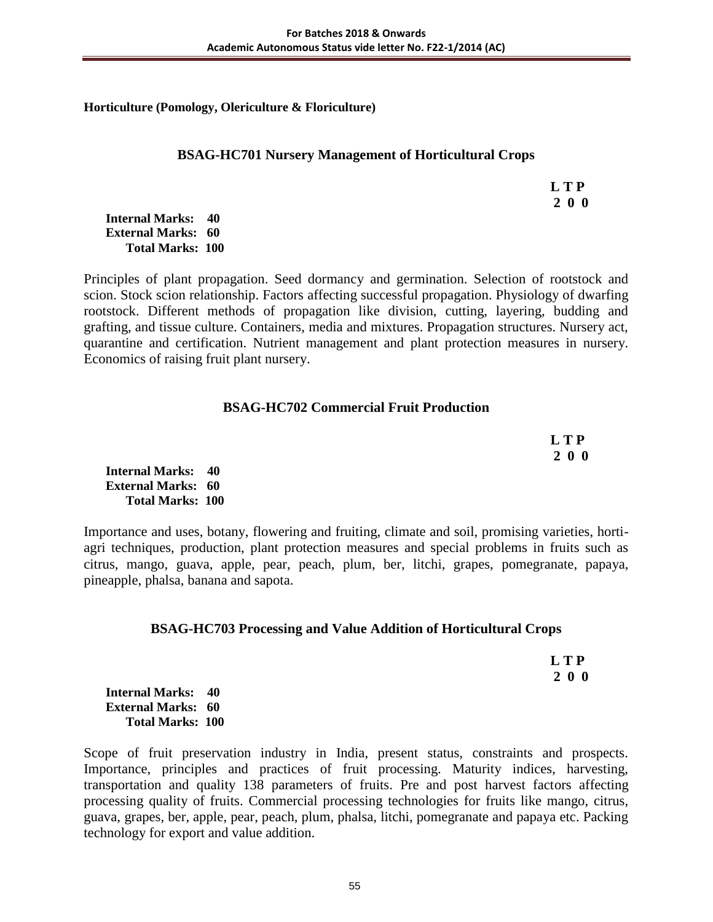**Horticulture (Pomology, Olericulture & Floriculture)**

### **BSAG-HC701 Nursery Management of Horticultural Crops**

 **L T P 2 0 0**

**Internal Marks: 40 External Marks: 60 Total Marks: 100** 

Principles of plant propagation. Seed dormancy and germination. Selection of rootstock and scion. Stock scion relationship. Factors affecting successful propagation. Physiology of dwarfing rootstock. Different methods of propagation like division, cutting, layering, budding and grafting, and tissue culture. Containers, media and mixtures. Propagation structures. Nursery act, quarantine and certification. Nutrient management and plant protection measures in nursery. Economics of raising fruit plant nursery.

## **BSAG-HC702 Commercial Fruit Production**

 **L T P 2 0 0**

**Internal Marks: 40 External Marks: 60 Total Marks: 100** 

Importance and uses, botany, flowering and fruiting, climate and soil, promising varieties, hortiagri techniques, production, plant protection measures and special problems in fruits such as citrus, mango, guava, apple, pear, peach, plum, ber, litchi, grapes, pomegranate, papaya, pineapple, phalsa, banana and sapota.

## **BSAG-HC703 Processing and Value Addition of Horticultural Crops**

| L T P |
|-------|
| 200   |

**Internal Marks: 40 External Marks: 60 Total Marks: 100** 

Scope of fruit preservation industry in India, present status, constraints and prospects. Importance, principles and practices of fruit processing. Maturity indices, harvesting, transportation and quality 138 parameters of fruits. Pre and post harvest factors affecting processing quality of fruits. Commercial processing technologies for fruits like mango, citrus, guava, grapes, ber, apple, pear, peach, plum, phalsa, litchi, pomegranate and papaya etc. Packing technology for export and value addition.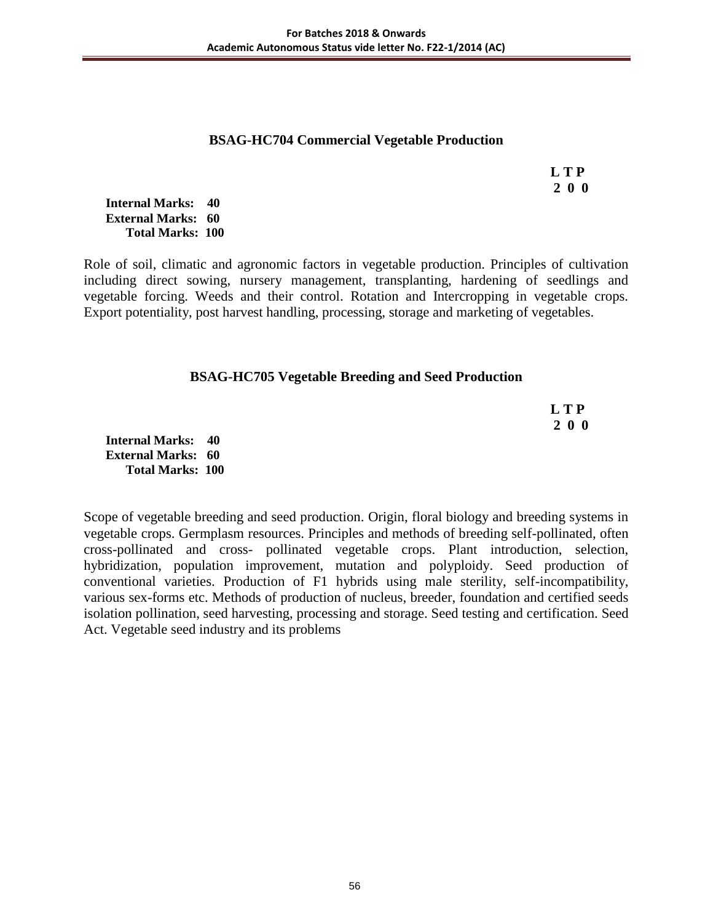### **BSAG-HC704 Commercial Vegetable Production**

 **L T P 2 0 0**

**Internal Marks: 40 External Marks: 60 Total Marks: 100** 

Role of soil, climatic and agronomic factors in vegetable production. Principles of cultivation including direct sowing, nursery management, transplanting, hardening of seedlings and vegetable forcing. Weeds and their control. Rotation and Intercropping in vegetable crops. Export potentiality, post harvest handling, processing, storage and marketing of vegetables.

### **BSAG-HC705 Vegetable Breeding and Seed Production**

| <b>LTP</b> |
|------------|
| 200        |

**Internal Marks: 40 External Marks: 60 Total Marks: 100** 

Scope of vegetable breeding and seed production. Origin, floral biology and breeding systems in vegetable crops. Germplasm resources. Principles and methods of breeding self-pollinated, often cross-pollinated and cross- pollinated vegetable crops. Plant introduction, selection, hybridization, population improvement, mutation and polyploidy. Seed production of conventional varieties. Production of F1 hybrids using male sterility, self-incompatibility, various sex-forms etc. Methods of production of nucleus, breeder, foundation and certified seeds isolation pollination, seed harvesting, processing and storage. Seed testing and certification. Seed Act. Vegetable seed industry and its problems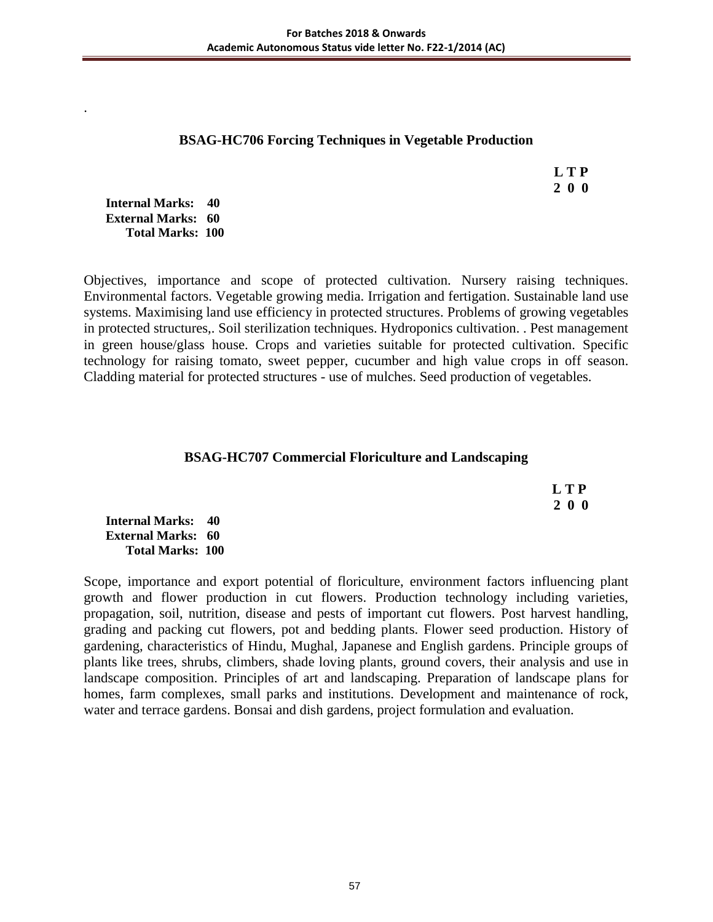### **BSAG-HC706 Forcing Techniques in Vegetable Production**

 **L T P 2 0 0**

**Internal Marks: 40 External Marks: 60 Total Marks: 100** 

.

Objectives, importance and scope of protected cultivation. Nursery raising techniques. Environmental factors. Vegetable growing media. Irrigation and fertigation. Sustainable land use systems. Maximising land use efficiency in protected structures. Problems of growing vegetables in protected structures,. Soil sterilization techniques. Hydroponics cultivation. . Pest management in green house/glass house. Crops and varieties suitable for protected cultivation. Specific technology for raising tomato, sweet pepper, cucumber and high value crops in off season. Cladding material for protected structures - use of mulches. Seed production of vegetables.

## **BSAG-HC707 Commercial Floriculture and Landscaping**

 **L T P 2 0 0**

**Internal Marks: 40 External Marks: 60 Total Marks: 100** 

Scope, importance and export potential of floriculture, environment factors influencing plant growth and flower production in cut flowers. Production technology including varieties, propagation, soil, nutrition, disease and pests of important cut flowers. Post harvest handling, grading and packing cut flowers, pot and bedding plants. Flower seed production. History of gardening, characteristics of Hindu, Mughal, Japanese and English gardens. Principle groups of plants like trees, shrubs, climbers, shade loving plants, ground covers, their analysis and use in landscape composition. Principles of art and landscaping. Preparation of landscape plans for homes, farm complexes, small parks and institutions. Development and maintenance of rock, water and terrace gardens. Bonsai and dish gardens, project formulation and evaluation.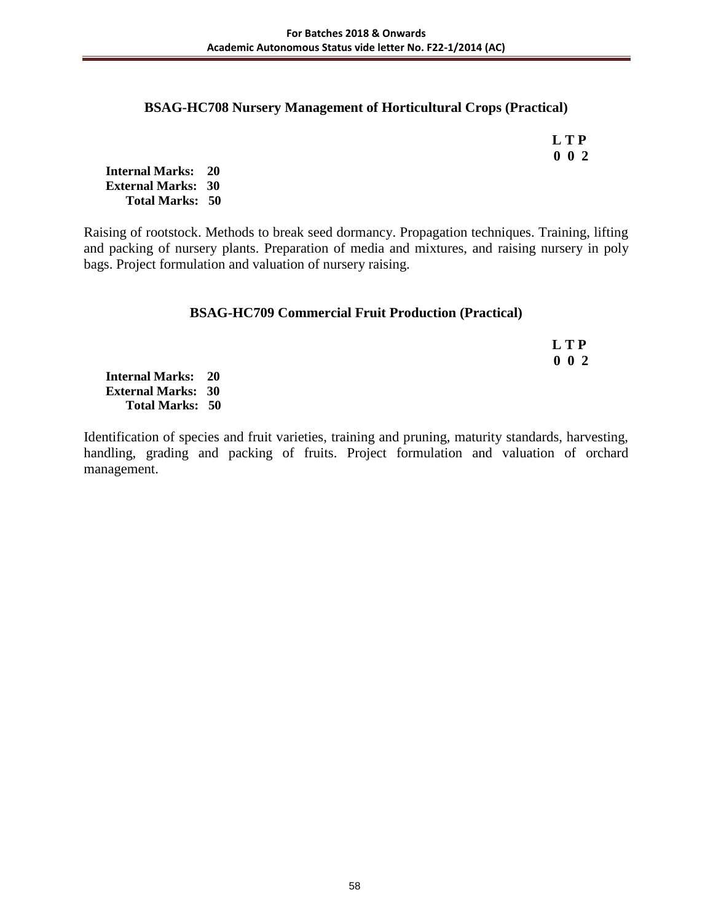### **BSAG-HC708 Nursery Management of Horticultural Crops (Practical)**

 **L T P 0 0 2**

**Internal Marks: 20 External Marks: 30 Total Marks: 50** 

Raising of rootstock. Methods to break seed dormancy. Propagation techniques. Training, lifting and packing of nursery plants. Preparation of media and mixtures, and raising nursery in poly bags. Project formulation and valuation of nursery raising.

### **BSAG-HC709 Commercial Fruit Production (Practical)**

 **L T P 0 0 2**

**Internal Marks: 20 External Marks: 30 Total Marks: 50** 

Identification of species and fruit varieties, training and pruning, maturity standards, harvesting, handling, grading and packing of fruits. Project formulation and valuation of orchard management.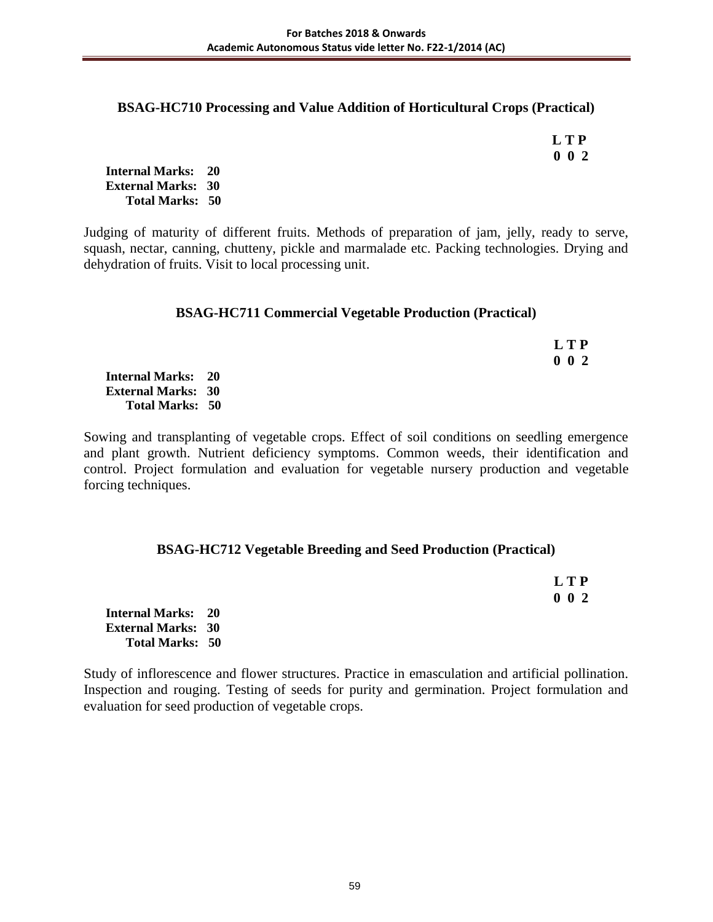### **BSAG-HC710 Processing and Value Addition of Horticultural Crops (Practical)**

 **L T P 0 0 2**

**Internal Marks: 20 External Marks: 30 Total Marks: 50** 

Judging of maturity of different fruits. Methods of preparation of jam, jelly, ready to serve, squash, nectar, canning, chutteny, pickle and marmalade etc. Packing technologies. Drying and dehydration of fruits. Visit to local processing unit.

### **BSAG-HC711 Commercial Vegetable Production (Practical)**

|                           | LTP         |
|---------------------------|-------------|
|                           | $0\;\;0\;2$ |
| <b>Internal Marks: 20</b> |             |
| <b>External Marks: 30</b> |             |
| <b>Total Marks: 50</b>    |             |

Sowing and transplanting of vegetable crops. Effect of soil conditions on seedling emergence and plant growth. Nutrient deficiency symptoms. Common weeds, their identification and control. Project formulation and evaluation for vegetable nursery production and vegetable forcing techniques.

## **BSAG-HC712 Vegetable Breeding and Seed Production (Practical)**

|                           | <b>LTP</b>  |
|---------------------------|-------------|
|                           | $0\;\;0\;2$ |
| <b>Internal Marks: 20</b> |             |
| <b>External Marks: 30</b> |             |
| <b>Total Marks: 50</b>    |             |

Study of inflorescence and flower structures. Practice in emasculation and artificial pollination. Inspection and rouging. Testing of seeds for purity and germination. Project formulation and evaluation for seed production of vegetable crops.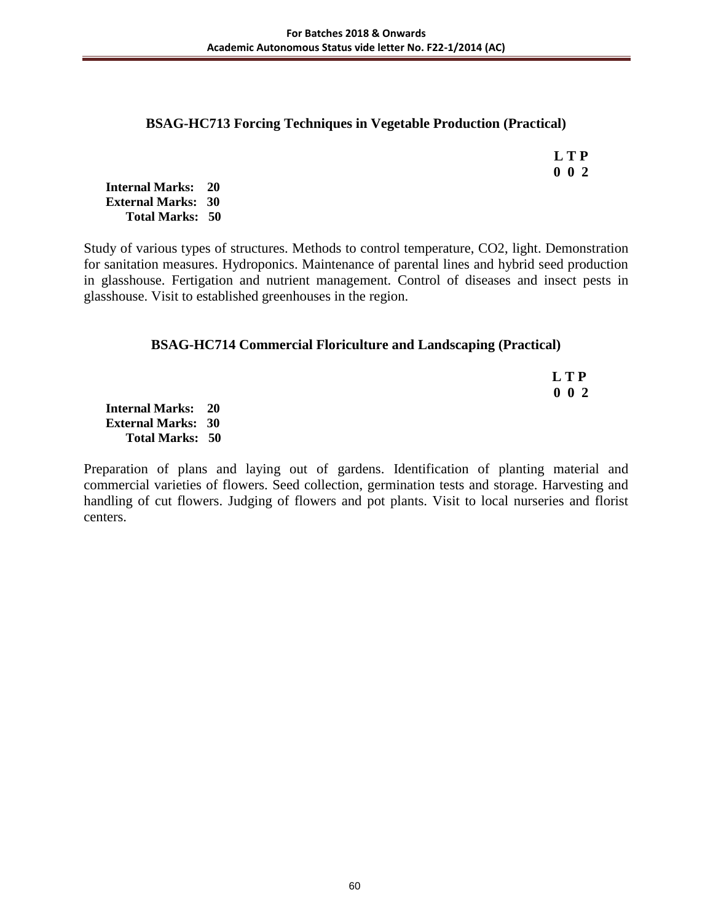### **BSAG-HC713 Forcing Techniques in Vegetable Production (Practical)**

| <b>LTP</b>  |
|-------------|
| $0 \t0 \t2$ |

**Internal Marks: 20 External Marks: 30 Total Marks: 50** 

Study of various types of structures. Methods to control temperature, CO2, light. Demonstration for sanitation measures. Hydroponics. Maintenance of parental lines and hybrid seed production in glasshouse. Fertigation and nutrient management. Control of diseases and insect pests in glasshouse. Visit to established greenhouses in the region.

## **BSAG-HC714 Commercial Floriculture and Landscaping (Practical)**

 **L T P 0 0 2**

**Internal Marks: 20 External Marks: 30 Total Marks: 50** 

Preparation of plans and laying out of gardens. Identification of planting material and commercial varieties of flowers. Seed collection, germination tests and storage. Harvesting and handling of cut flowers. Judging of flowers and pot plants. Visit to local nurseries and florist centers.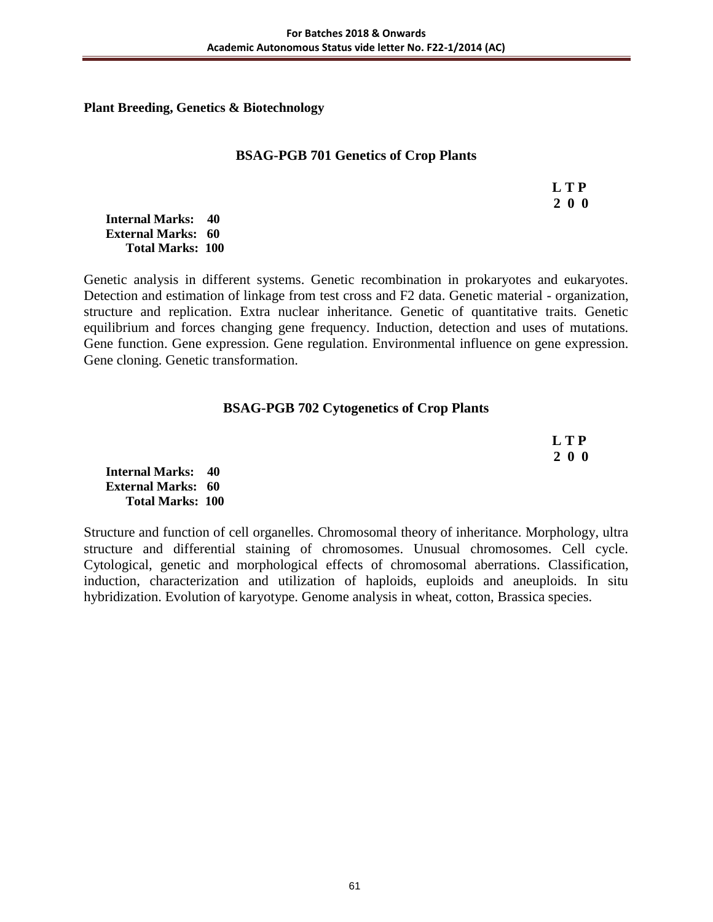**Plant Breeding, Genetics & Biotechnology** 

#### **BSAG-PGB 701 Genetics of Crop Plants**

 **L T P 2 0 0**

**Internal Marks: 40 External Marks: 60 Total Marks: 100** 

Genetic analysis in different systems. Genetic recombination in prokaryotes and eukaryotes. Detection and estimation of linkage from test cross and F2 data. Genetic material - organization, structure and replication. Extra nuclear inheritance. Genetic of quantitative traits. Genetic equilibrium and forces changing gene frequency. Induction, detection and uses of mutations. Gene function. Gene expression. Gene regulation. Environmental influence on gene expression. Gene cloning. Genetic transformation.

## **BSAG-PGB 702 Cytogenetics of Crop Plants**

| L T P |
|-------|
| 200   |

**Internal Marks: 40 External Marks: 60 Total Marks: 100** 

Structure and function of cell organelles. Chromosomal theory of inheritance. Morphology, ultra structure and differential staining of chromosomes. Unusual chromosomes. Cell cycle. Cytological, genetic and morphological effects of chromosomal aberrations. Classification, induction, characterization and utilization of haploids, euploids and aneuploids. In situ hybridization. Evolution of karyotype. Genome analysis in wheat, cotton, Brassica species.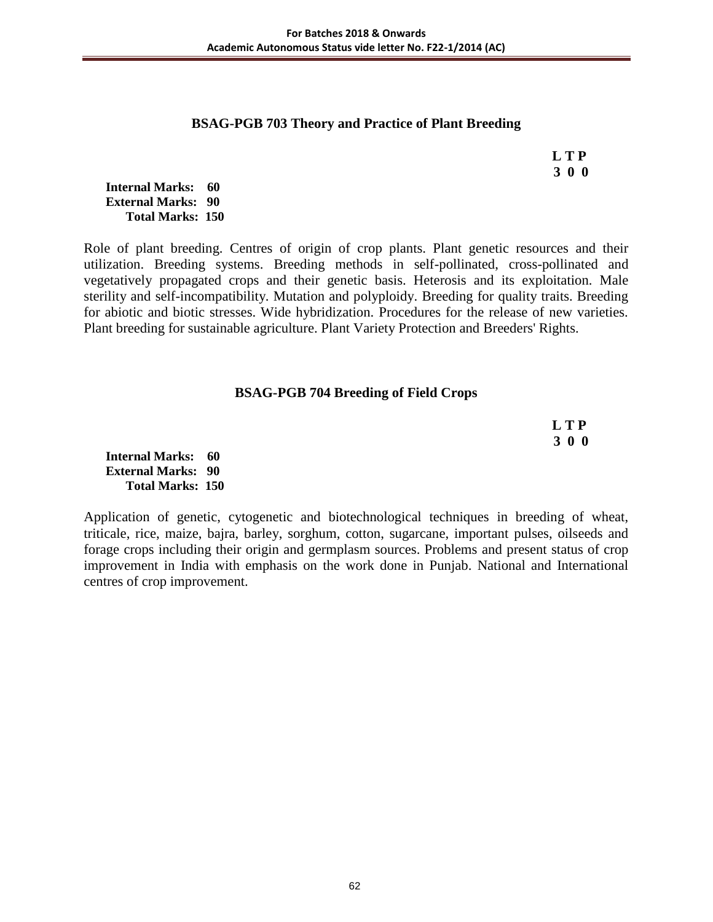#### **BSAG-PGB 703 Theory and Practice of Plant Breeding**

 **L T P 3 0 0**

**Internal Marks: 60 External Marks: 90 Total Marks: 150** 

Role of plant breeding. Centres of origin of crop plants. Plant genetic resources and their utilization. Breeding systems. Breeding methods in self-pollinated, cross-pollinated and vegetatively propagated crops and their genetic basis. Heterosis and its exploitation. Male sterility and self-incompatibility. Mutation and polyploidy. Breeding for quality traits. Breeding for abiotic and biotic stresses. Wide hybridization. Procedures for the release of new varieties. Plant breeding for sustainable agriculture. Plant Variety Protection and Breeders' Rights.

#### **BSAG-PGB 704 Breeding of Field Crops**

 **L T P 3 0 0**

**Internal Marks: 60 External Marks: 90 Total Marks: 150** 

Application of genetic, cytogenetic and biotechnological techniques in breeding of wheat, triticale, rice, maize, bajra, barley, sorghum, cotton, sugarcane, important pulses, oilseeds and forage crops including their origin and germplasm sources. Problems and present status of crop improvement in India with emphasis on the work done in Punjab. National and International centres of crop improvement.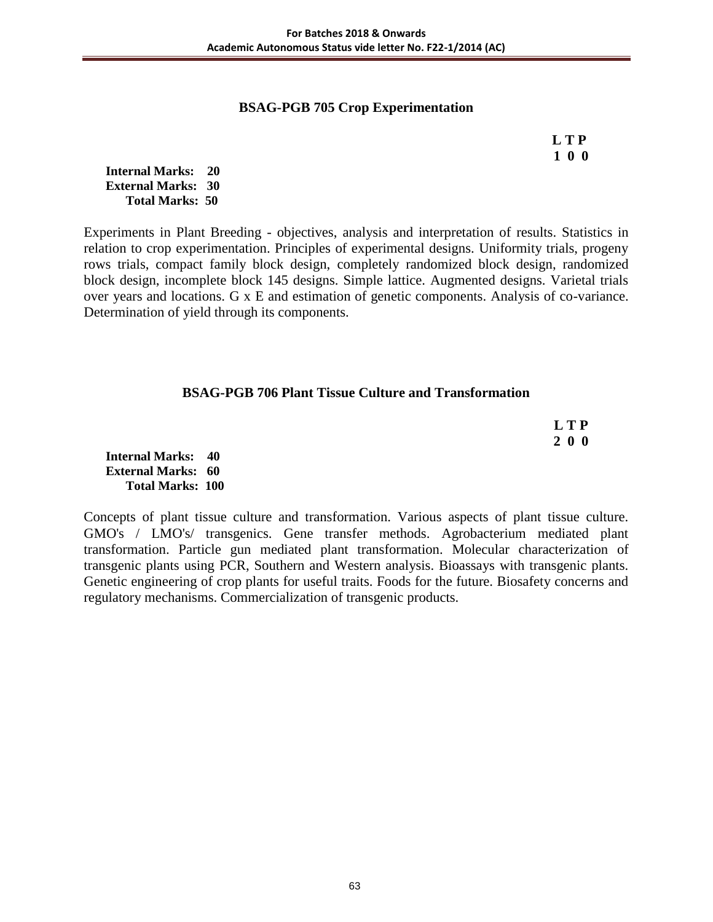## **BSAG-PGB 705 Crop Experimentation**

 **L T P 1 0 0**

**Internal Marks: 20 External Marks: 30 Total Marks: 50** 

Experiments in Plant Breeding - objectives, analysis and interpretation of results. Statistics in relation to crop experimentation. Principles of experimental designs. Uniformity trials, progeny rows trials, compact family block design, completely randomized block design, randomized block design, incomplete block 145 designs. Simple lattice. Augmented designs. Varietal trials over years and locations. G x E and estimation of genetic components. Analysis of co-variance. Determination of yield through its components.

# **BSAG-PGB 706 Plant Tissue Culture and Transformation**

| <b>LTP</b> |
|------------|
| 200        |

**Internal Marks: 40 External Marks: 60 Total Marks: 100** 

Concepts of plant tissue culture and transformation. Various aspects of plant tissue culture. GMO's / LMO's/ transgenics. Gene transfer methods. Agrobacterium mediated plant transformation. Particle gun mediated plant transformation. Molecular characterization of transgenic plants using PCR, Southern and Western analysis. Bioassays with transgenic plants. Genetic engineering of crop plants for useful traits. Foods for the future. Biosafety concerns and regulatory mechanisms. Commercialization of transgenic products.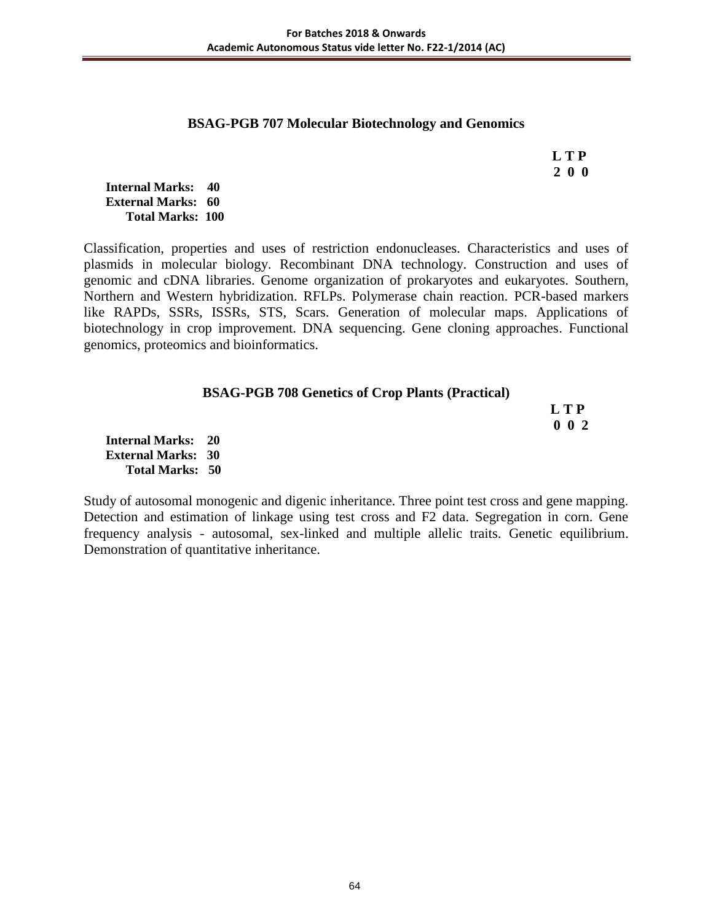#### **BSAG-PGB 707 Molecular Biotechnology and Genomics**

 **L T P 2 0 0**

**Internal Marks: 40 External Marks: 60 Total Marks: 100** 

Classification, properties and uses of restriction endonucleases. Characteristics and uses of plasmids in molecular biology. Recombinant DNA technology. Construction and uses of genomic and cDNA libraries. Genome organization of prokaryotes and eukaryotes. Southern, Northern and Western hybridization. RFLPs. Polymerase chain reaction. PCR-based markers like RAPDs, SSRs, ISSRs, STS, Scars. Generation of molecular maps. Applications of biotechnology in crop improvement. DNA sequencing. Gene cloning approaches. Functional genomics, proteomics and bioinformatics.

| <b>BSAG-PGB 708 Genetics of Crop Plants (Practical)</b> |  |  |
|---------------------------------------------------------|--|--|
|---------------------------------------------------------|--|--|

 **L T P 0 0 2**

**Internal Marks: 20 External Marks: 30 Total Marks: 50** 

Study of autosomal monogenic and digenic inheritance. Three point test cross and gene mapping. Detection and estimation of linkage using test cross and F2 data. Segregation in corn. Gene frequency analysis - autosomal, sex-linked and multiple allelic traits. Genetic equilibrium. Demonstration of quantitative inheritance.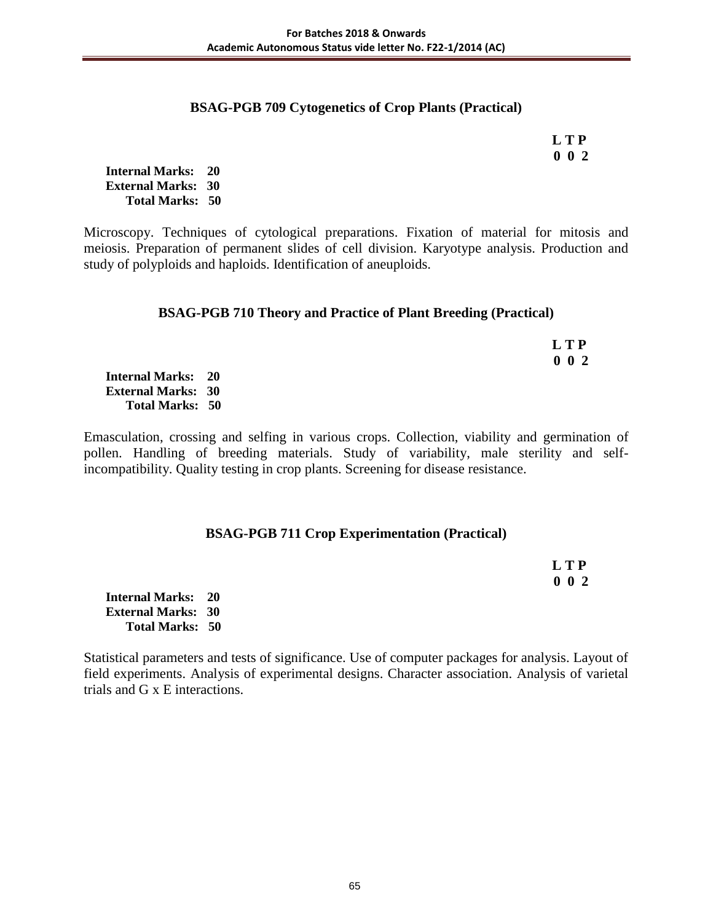# **BSAG-PGB 709 Cytogenetics of Crop Plants (Practical)**

 **L T P 0 0 2**

**Internal Marks: 20 External Marks: 30 Total Marks: 50** 

Microscopy. Techniques of cytological preparations. Fixation of material for mitosis and meiosis. Preparation of permanent slides of cell division. Karyotype analysis. Production and study of polyploids and haploids. Identification of aneuploids.

## **BSAG-PGB 710 Theory and Practice of Plant Breeding (Practical)**

|                           | LTP         |
|---------------------------|-------------|
|                           | $0\;\;0\;2$ |
| <b>Internal Marks: 20</b> |             |
| <b>External Marks: 30</b> |             |
| <b>Total Marks: 50</b>    |             |

Emasculation, crossing and selfing in various crops. Collection, viability and germination of pollen. Handling of breeding materials. Study of variability, male sterility and selfincompatibility. Quality testing in crop plants. Screening for disease resistance.

# **BSAG-PGB 711 Crop Experimentation (Practical)**

|                           | L T P       |
|---------------------------|-------------|
|                           | $0\;\;0\;2$ |
| <b>Internal Marks: 20</b> |             |
| <b>External Marks: 30</b> |             |
| <b>Total Marks: 50</b>    |             |

Statistical parameters and tests of significance. Use of computer packages for analysis. Layout of field experiments. Analysis of experimental designs. Character association. Analysis of varietal trials and G x E interactions.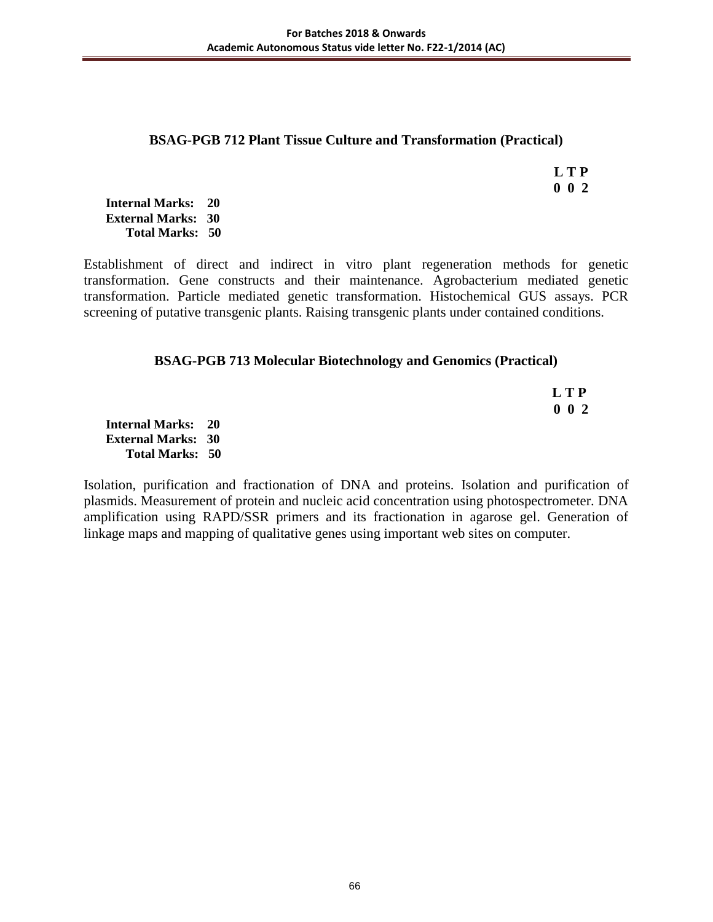#### **BSAG-PGB 712 Plant Tissue Culture and Transformation (Practical)**

 **L T P 0 0 2**

**Internal Marks: 20 External Marks: 30 Total Marks: 50** 

Establishment of direct and indirect in vitro plant regeneration methods for genetic transformation. Gene constructs and their maintenance. Agrobacterium mediated genetic transformation. Particle mediated genetic transformation. Histochemical GUS assays. PCR screening of putative transgenic plants. Raising transgenic plants under contained conditions.

# **BSAG-PGB 713 Molecular Biotechnology and Genomics (Practical)**

 **L T P 0 0 2**

**Internal Marks: 20 External Marks: 30 Total Marks: 50** 

Isolation, purification and fractionation of DNA and proteins. Isolation and purification of plasmids. Measurement of protein and nucleic acid concentration using photospectrometer. DNA amplification using RAPD/SSR primers and its fractionation in agarose gel. Generation of linkage maps and mapping of qualitative genes using important web sites on computer.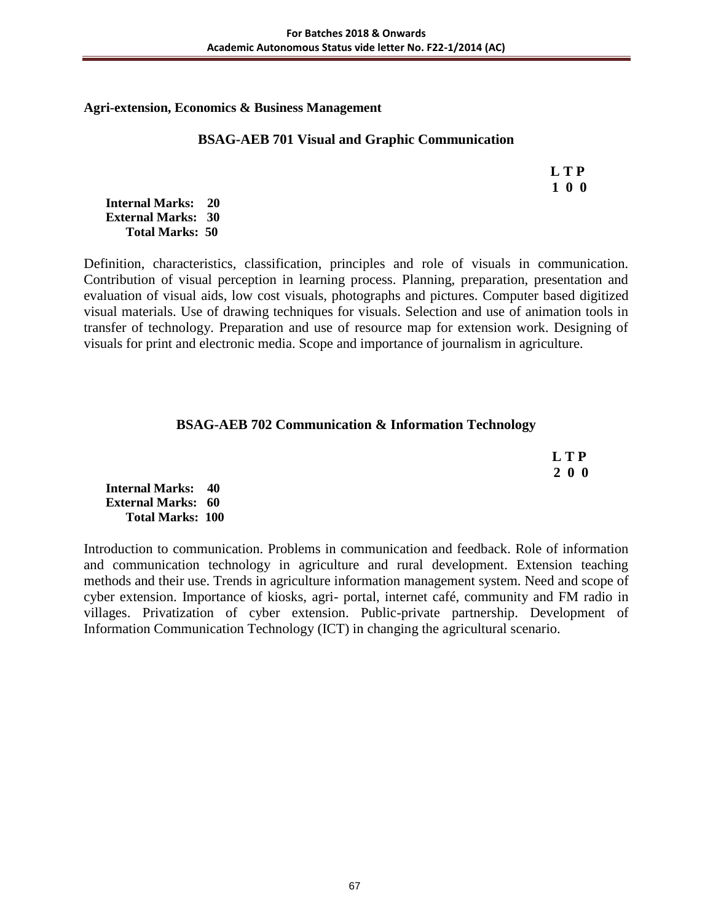#### **Agri-extension, Economics & Business Management**

#### **BSAG-AEB 701 Visual and Graphic Communication**

 **L T P 1 0 0**

**Internal Marks: 20 External Marks: 30 Total Marks: 50** 

Definition, characteristics, classification, principles and role of visuals in communication. Contribution of visual perception in learning process. Planning, preparation, presentation and evaluation of visual aids, low cost visuals, photographs and pictures. Computer based digitized visual materials. Use of drawing techniques for visuals. Selection and use of animation tools in transfer of technology. Preparation and use of resource map for extension work. Designing of visuals for print and electronic media. Scope and importance of journalism in agriculture.

## **BSAG-AEB 702 Communication & Information Technology**

 **L T P 2 0 0**

**Internal Marks: 40 External Marks: 60 Total Marks: 100** 

Introduction to communication. Problems in communication and feedback. Role of information and communication technology in agriculture and rural development. Extension teaching methods and their use. Trends in agriculture information management system. Need and scope of cyber extension. Importance of kiosks, agri- portal, internet café, community and FM radio in villages. Privatization of cyber extension. Public-private partnership. Development of Information Communication Technology (ICT) in changing the agricultural scenario.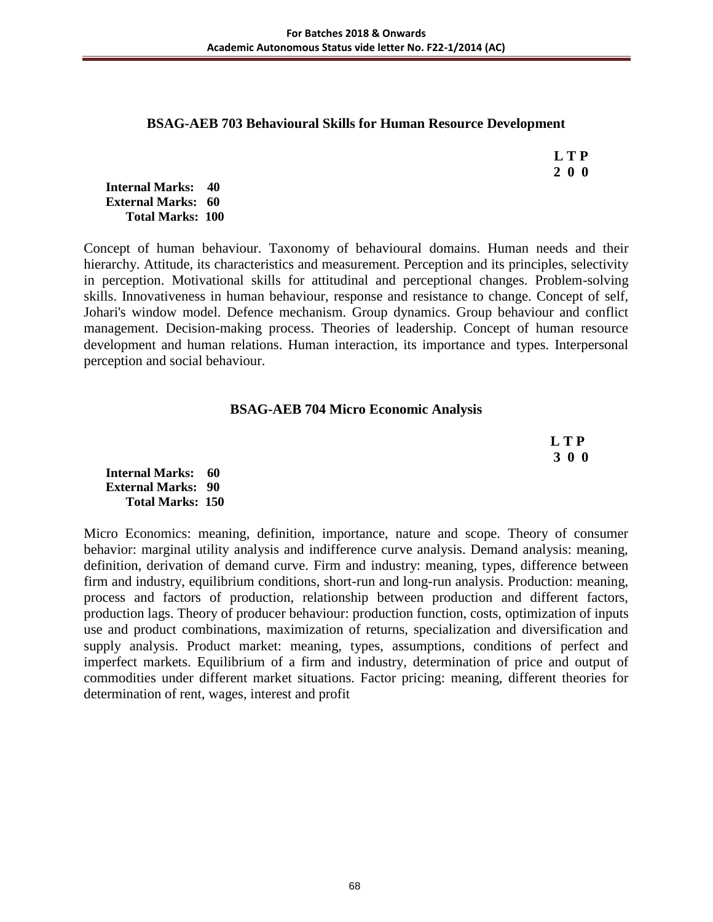#### **BSAG-AEB 703 Behavioural Skills for Human Resource Development**

 **L T P 2 0 0**

#### **Internal Marks: 40 External Marks: 60 Total Marks: 100**

Concept of human behaviour. Taxonomy of behavioural domains. Human needs and their hierarchy. Attitude, its characteristics and measurement. Perception and its principles, selectivity in perception. Motivational skills for attitudinal and perceptional changes. Problem-solving skills. Innovativeness in human behaviour, response and resistance to change. Concept of self, Johari's window model. Defence mechanism. Group dynamics. Group behaviour and conflict management. Decision-making process. Theories of leadership. Concept of human resource development and human relations. Human interaction, its importance and types. Interpersonal perception and social behaviour.

## **BSAG-AEB 704 Micro Economic Analysis**

 **L T P 3 0 0**

**Internal Marks: 60 External Marks: 90 Total Marks: 150** 

Micro Economics: meaning, definition, importance, nature and scope. Theory of consumer behavior: marginal utility analysis and indifference curve analysis. Demand analysis: meaning, definition, derivation of demand curve. Firm and industry: meaning, types, difference between firm and industry, equilibrium conditions, short-run and long-run analysis. Production: meaning, process and factors of production, relationship between production and different factors, production lags. Theory of producer behaviour: production function, costs, optimization of inputs use and product combinations, maximization of returns, specialization and diversification and supply analysis. Product market: meaning, types, assumptions, conditions of perfect and imperfect markets. Equilibrium of a firm and industry, determination of price and output of commodities under different market situations. Factor pricing: meaning, different theories for determination of rent, wages, interest and profit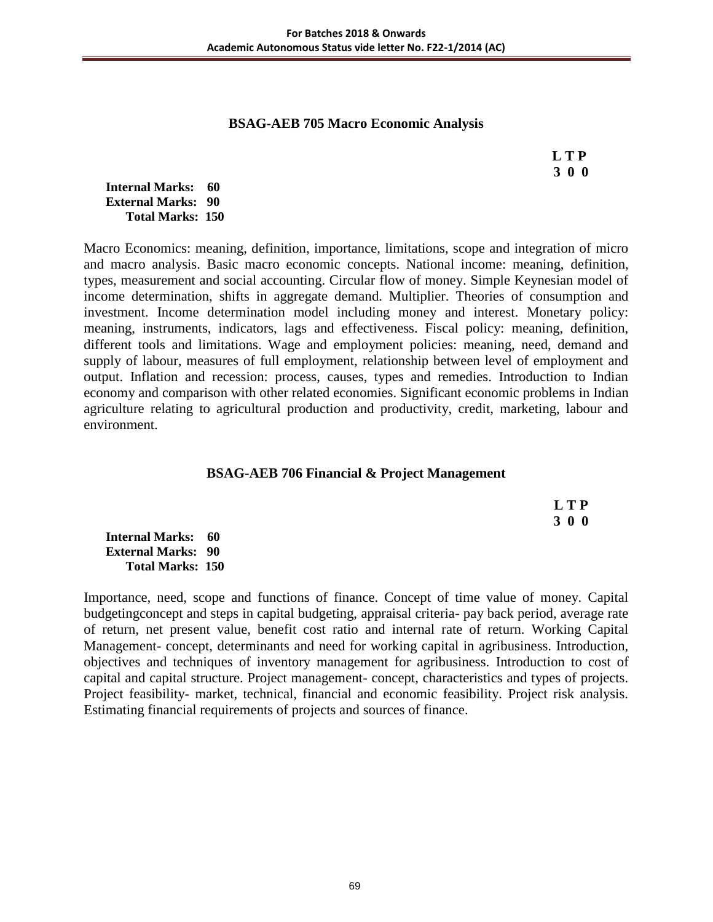#### **BSAG-AEB 705 Macro Economic Analysis**

 **L T P 3 0 0**

**Internal Marks: 60 External Marks: 90 Total Marks: 150** 

Macro Economics: meaning, definition, importance, limitations, scope and integration of micro and macro analysis. Basic macro economic concepts. National income: meaning, definition, types, measurement and social accounting. Circular flow of money. Simple Keynesian model of income determination, shifts in aggregate demand. Multiplier. Theories of consumption and investment. Income determination model including money and interest. Monetary policy: meaning, instruments, indicators, lags and effectiveness. Fiscal policy: meaning, definition, different tools and limitations. Wage and employment policies: meaning, need, demand and supply of labour, measures of full employment, relationship between level of employment and output. Inflation and recession: process, causes, types and remedies. Introduction to Indian economy and comparison with other related economies. Significant economic problems in Indian agriculture relating to agricultural production and productivity, credit, marketing, labour and environment.

#### **BSAG-AEB 706 Financial & Project Management**

|                              | L T P |
|------------------------------|-------|
|                              | 3 0 0 |
| <b>Internal Marks: 60</b>    |       |
| <b>External Marks:   90 </b> |       |
| <b>Total Marks: 150</b>      |       |

Importance, need, scope and functions of finance. Concept of time value of money. Capital budgetingconcept and steps in capital budgeting, appraisal criteria- pay back period, average rate of return, net present value, benefit cost ratio and internal rate of return. Working Capital Management- concept, determinants and need for working capital in agribusiness. Introduction, objectives and techniques of inventory management for agribusiness. Introduction to cost of capital and capital structure. Project management- concept, characteristics and types of projects. Project feasibility- market, technical, financial and economic feasibility. Project risk analysis. Estimating financial requirements of projects and sources of finance.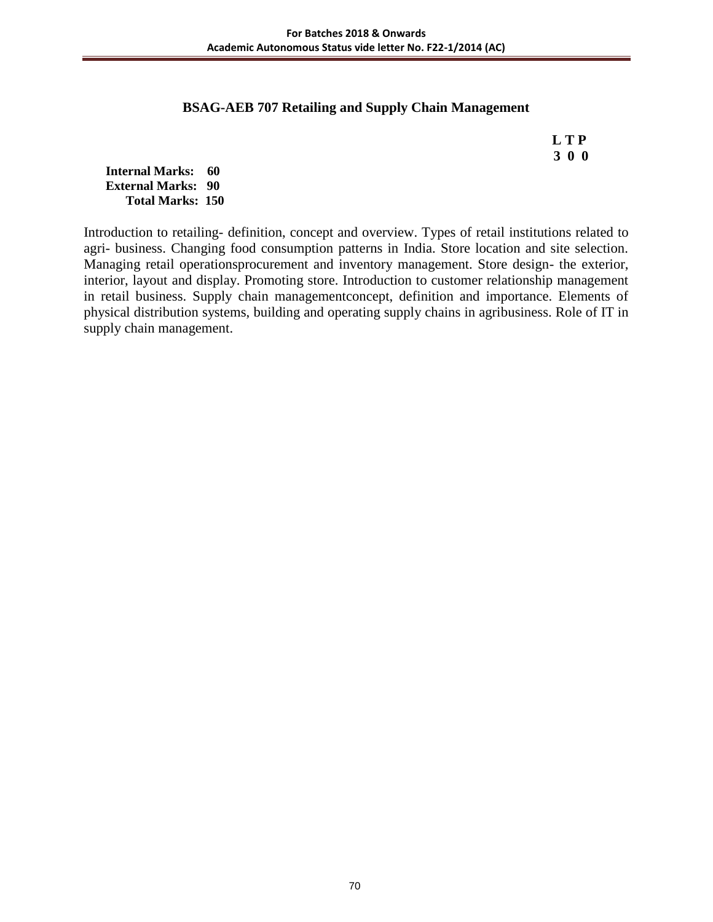#### **BSAG-AEB 707 Retailing and Supply Chain Management**

 **L T P 3 0 0**

**Internal Marks: 60 External Marks: 90 Total Marks: 150** 

Introduction to retailing- definition, concept and overview. Types of retail institutions related to agri- business. Changing food consumption patterns in India. Store location and site selection. Managing retail operationsprocurement and inventory management. Store design- the exterior, interior, layout and display. Promoting store. Introduction to customer relationship management in retail business. Supply chain managementconcept, definition and importance. Elements of physical distribution systems, building and operating supply chains in agribusiness. Role of IT in supply chain management.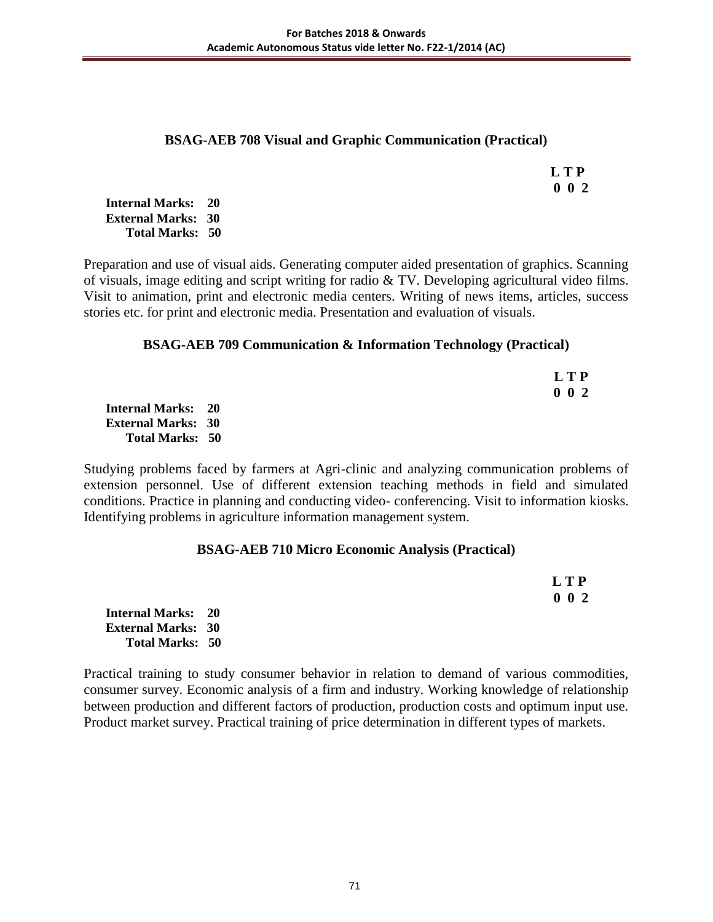## **BSAG-AEB 708 Visual and Graphic Communication (Practical)**

|  | L T P     |
|--|-----------|
|  | $0\ 0\ 2$ |

**Internal Marks: 20 External Marks: 30 Total Marks: 50** 

Preparation and use of visual aids. Generating computer aided presentation of graphics. Scanning of visuals, image editing and script writing for radio & TV. Developing agricultural video films. Visit to animation, print and electronic media centers. Writing of news items, articles, success stories etc. for print and electronic media. Presentation and evaluation of visuals.

# **BSAG-AEB 709 Communication & Information Technology (Practical)**

|                           | <b>LTP</b>  |
|---------------------------|-------------|
|                           | $0\;\;0\;2$ |
| Internal Marks: 20        |             |
| <b>External Marks: 30</b> |             |
| <b>Total Marks: 50</b>    |             |

Studying problems faced by farmers at Agri-clinic and analyzing communication problems of extension personnel. Use of different extension teaching methods in field and simulated conditions. Practice in planning and conducting video- conferencing. Visit to information kiosks. Identifying problems in agriculture information management system.

# **BSAG-AEB 710 Micro Economic Analysis (Practical)**

|                           | LTP         |
|---------------------------|-------------|
|                           | $0\;\;0\;2$ |
| <b>Internal Marks: 20</b> |             |
| <b>External Marks: 30</b> |             |
| <b>Total Marks: 50</b>    |             |

Practical training to study consumer behavior in relation to demand of various commodities, consumer survey. Economic analysis of a firm and industry. Working knowledge of relationship between production and different factors of production, production costs and optimum input use. Product market survey. Practical training of price determination in different types of markets.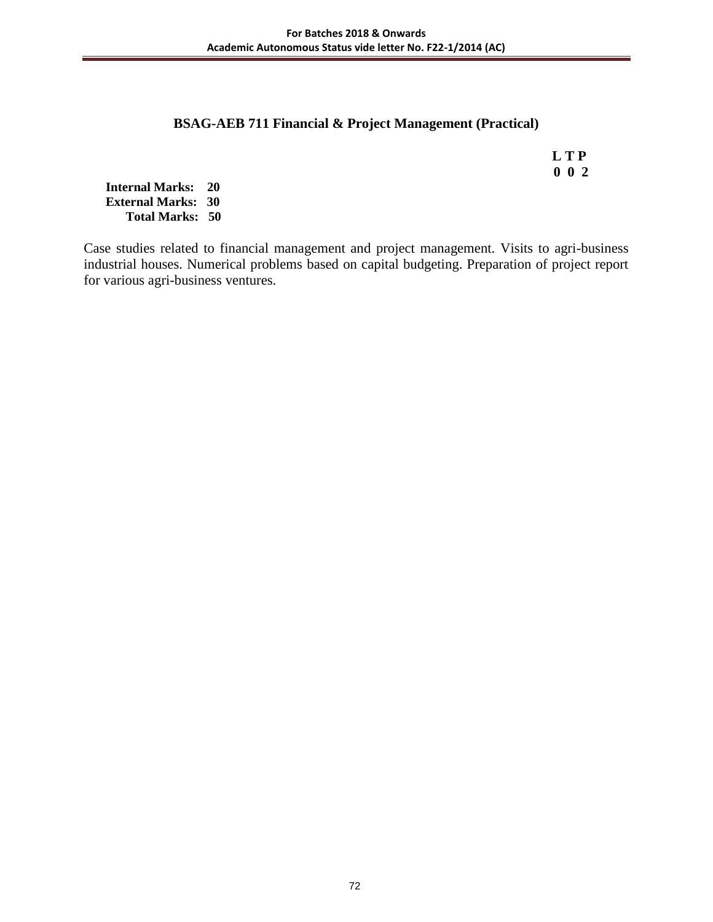# **BSAG-AEB 711 Financial & Project Management (Practical)**

 **L T P 0 0 2**

**Internal Marks: 20 External Marks: 30 Total Marks: 50** 

Case studies related to financial management and project management. Visits to agri-business industrial houses. Numerical problems based on capital budgeting. Preparation of project report for various agri-business ventures.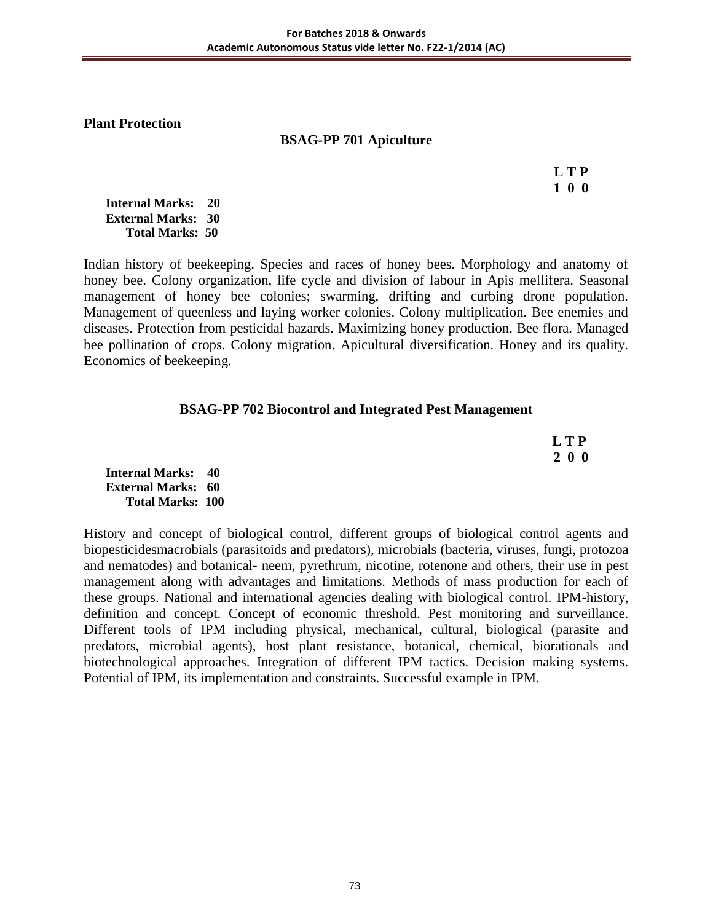**Plant Protection** 

# **BSAG-PP 701 Apiculture**

 **L T P 1 0 0**

**Internal Marks: 20 External Marks: 30 Total Marks: 50** 

Indian history of beekeeping. Species and races of honey bees. Morphology and anatomy of honey bee. Colony organization, life cycle and division of labour in Apis mellifera. Seasonal management of honey bee colonies; swarming, drifting and curbing drone population. Management of queenless and laying worker colonies. Colony multiplication. Bee enemies and diseases. Protection from pesticidal hazards. Maximizing honey production. Bee flora. Managed bee pollination of crops. Colony migration. Apicultural diversification. Honey and its quality. Economics of beekeeping.

# **BSAG-PP 702 Biocontrol and Integrated Pest Management**

| L T P |
|-------|
| 200   |

**Internal Marks: 40 External Marks: 60 Total Marks: 100** 

History and concept of biological control, different groups of biological control agents and biopesticidesmacrobials (parasitoids and predators), microbials (bacteria, viruses, fungi, protozoa and nematodes) and botanical- neem, pyrethrum, nicotine, rotenone and others, their use in pest management along with advantages and limitations. Methods of mass production for each of these groups. National and international agencies dealing with biological control. IPM-history, definition and concept. Concept of economic threshold. Pest monitoring and surveillance. Different tools of IPM including physical, mechanical, cultural, biological (parasite and predators, microbial agents), host plant resistance, botanical, chemical, biorationals and biotechnological approaches. Integration of different IPM tactics. Decision making systems. Potential of IPM, its implementation and constraints. Successful example in IPM.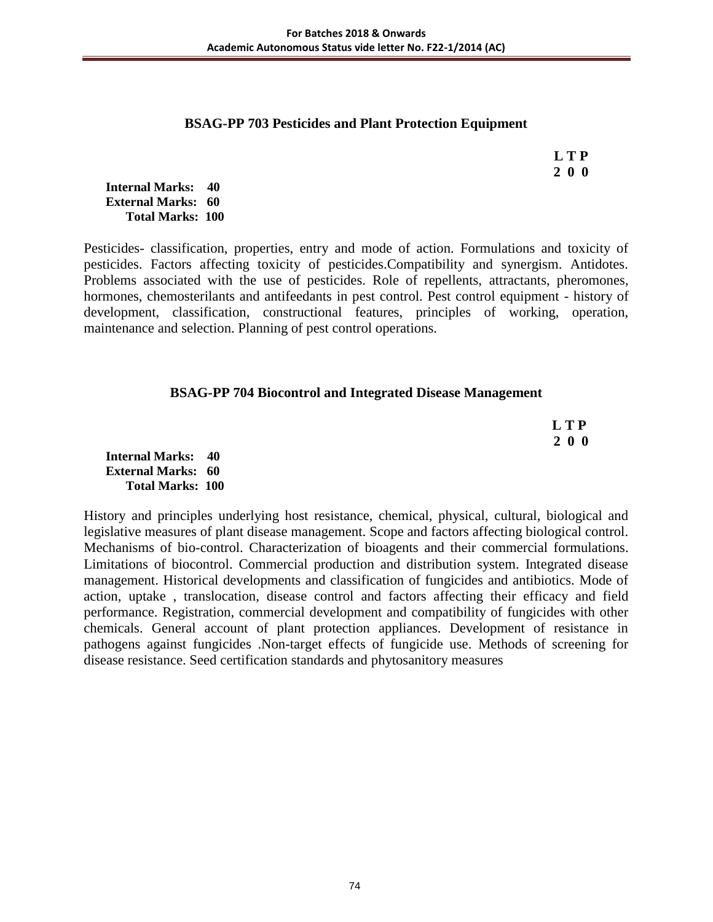#### **BSAG-PP 703 Pesticides and Plant Protection Equipment**

 **L T P 2 0 0**

**Internal Marks: 40 External Marks: 60 Total Marks: 100** 

Pesticides- classification, properties, entry and mode of action. Formulations and toxicity of pesticides. Factors affecting toxicity of pesticides.Compatibility and synergism. Antidotes. Problems associated with the use of pesticides. Role of repellents, attractants, pheromones, hormones, chemosterilants and antifeedants in pest control. Pest control equipment - history of development, classification, constructional features, principles of working, operation, maintenance and selection. Planning of pest control operations.

## **BSAG-PP 704 Biocontrol and Integrated Disease Management**

 **L T P 2 0 0**

**Internal Marks: 40 External Marks: 60 Total Marks: 100** 

History and principles underlying host resistance, chemical, physical, cultural, biological and legislative measures of plant disease management. Scope and factors affecting biological control. Mechanisms of bio-control. Characterization of bioagents and their commercial formulations. Limitations of biocontrol. Commercial production and distribution system. Integrated disease management. Historical developments and classification of fungicides and antibiotics. Mode of action, uptake , translocation, disease control and factors affecting their efficacy and field performance. Registration, commercial development and compatibility of fungicides with other chemicals. General account of plant protection appliances. Development of resistance in pathogens against fungicides .Non-target effects of fungicide use. Methods of screening for disease resistance. Seed certification standards and phytosanitory measures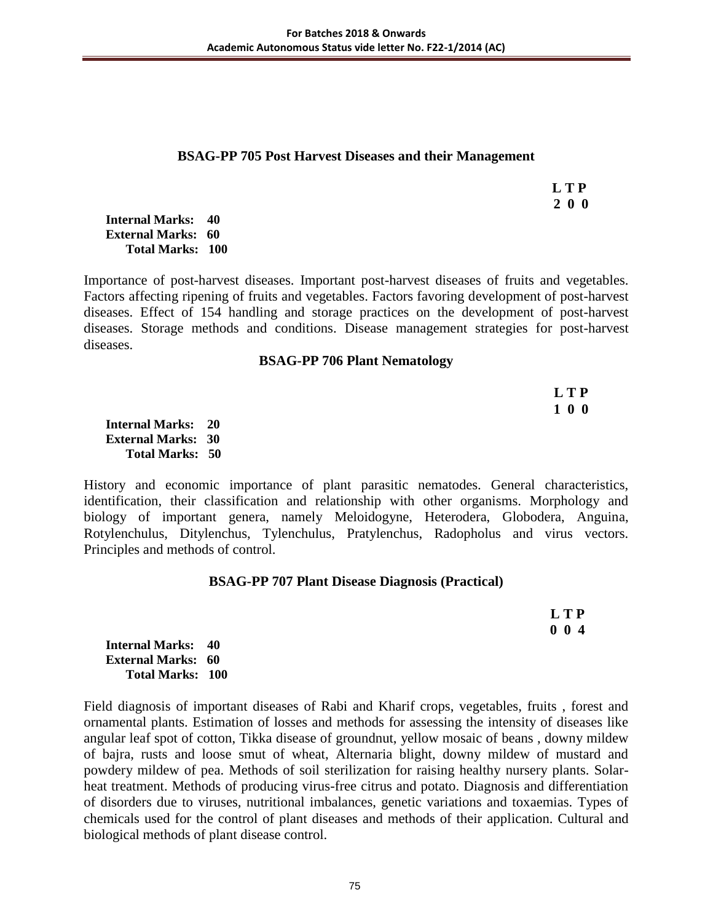#### **BSAG-PP 705 Post Harvest Diseases and their Management**

 **L T P 2 0 0**

**Internal Marks: 40 External Marks: 60 Total Marks: 100** 

Importance of post-harvest diseases. Important post-harvest diseases of fruits and vegetables. Factors affecting ripening of fruits and vegetables. Factors favoring development of post-harvest diseases. Effect of 154 handling and storage practices on the development of post-harvest diseases. Storage methods and conditions. Disease management strategies for post-harvest diseases.

#### **BSAG-PP 706 Plant Nematology**

| LTP |
|-----|
| 100 |

**Internal Marks: 20 External Marks: 30 Total Marks: 50** 

History and economic importance of plant parasitic nematodes. General characteristics, identification, their classification and relationship with other organisms. Morphology and biology of important genera, namely Meloidogyne, Heterodera, Globodera, Anguina, Rotylenchulus, Ditylenchus, Tylenchulus, Pratylenchus, Radopholus and virus vectors. Principles and methods of control.

#### **BSAG-PP 707 Plant Disease Diagnosis (Practical)**

 **L T P 0 0 4**

**Internal Marks: 40 External Marks: 60 Total Marks: 100** 

Field diagnosis of important diseases of Rabi and Kharif crops, vegetables, fruits , forest and ornamental plants. Estimation of losses and methods for assessing the intensity of diseases like angular leaf spot of cotton, Tikka disease of groundnut, yellow mosaic of beans , downy mildew of bajra, rusts and loose smut of wheat, Alternaria blight, downy mildew of mustard and powdery mildew of pea. Methods of soil sterilization for raising healthy nursery plants. Solarheat treatment. Methods of producing virus-free citrus and potato. Diagnosis and differentiation of disorders due to viruses, nutritional imbalances, genetic variations and toxaemias. Types of chemicals used for the control of plant diseases and methods of their application. Cultural and biological methods of plant disease control.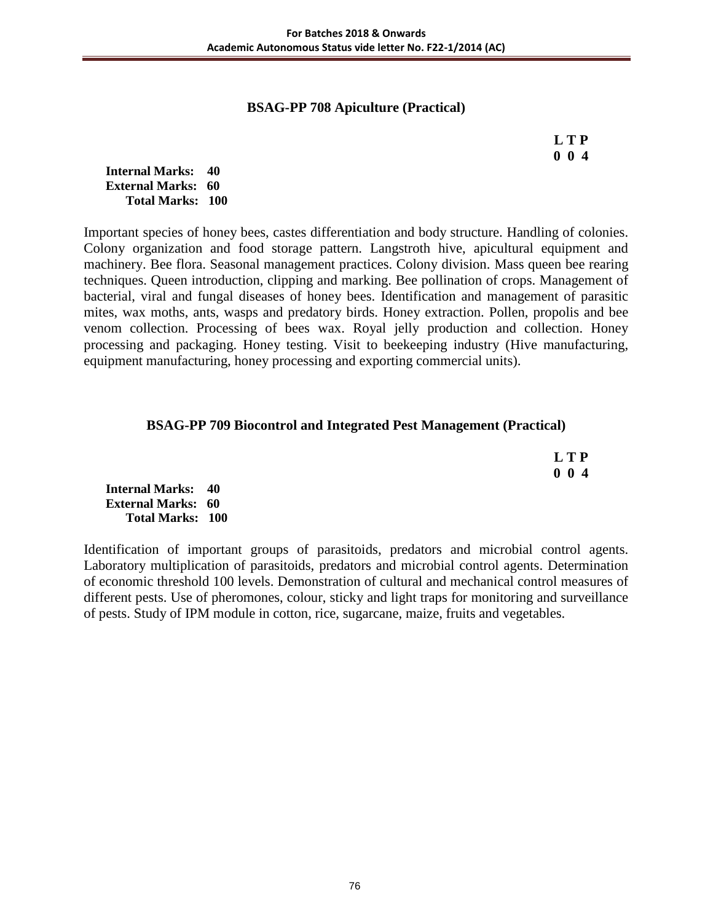# **BSAG-PP 708 Apiculture (Practical)**

# **L T P 0 0 4**

**Internal Marks: 40 External Marks: 60 Total Marks: 100** 

Important species of honey bees, castes differentiation and body structure. Handling of colonies. Colony organization and food storage pattern. Langstroth hive, apicultural equipment and machinery. Bee flora. Seasonal management practices. Colony division. Mass queen bee rearing techniques. Queen introduction, clipping and marking. Bee pollination of crops. Management of bacterial, viral and fungal diseases of honey bees. Identification and management of parasitic mites, wax moths, ants, wasps and predatory birds. Honey extraction. Pollen, propolis and bee venom collection. Processing of bees wax. Royal jelly production and collection. Honey processing and packaging. Honey testing. Visit to beekeeping industry (Hive manufacturing, equipment manufacturing, honey processing and exporting commercial units).

## **BSAG-PP 709 Biocontrol and Integrated Pest Management (Practical)**

| L T P       |
|-------------|
| $0 \t0 \t4$ |

**Internal Marks: 40 External Marks: 60 Total Marks: 100** 

Identification of important groups of parasitoids, predators and microbial control agents. Laboratory multiplication of parasitoids, predators and microbial control agents. Determination of economic threshold 100 levels. Demonstration of cultural and mechanical control measures of different pests. Use of pheromones, colour, sticky and light traps for monitoring and surveillance of pests. Study of IPM module in cotton, rice, sugarcane, maize, fruits and vegetables.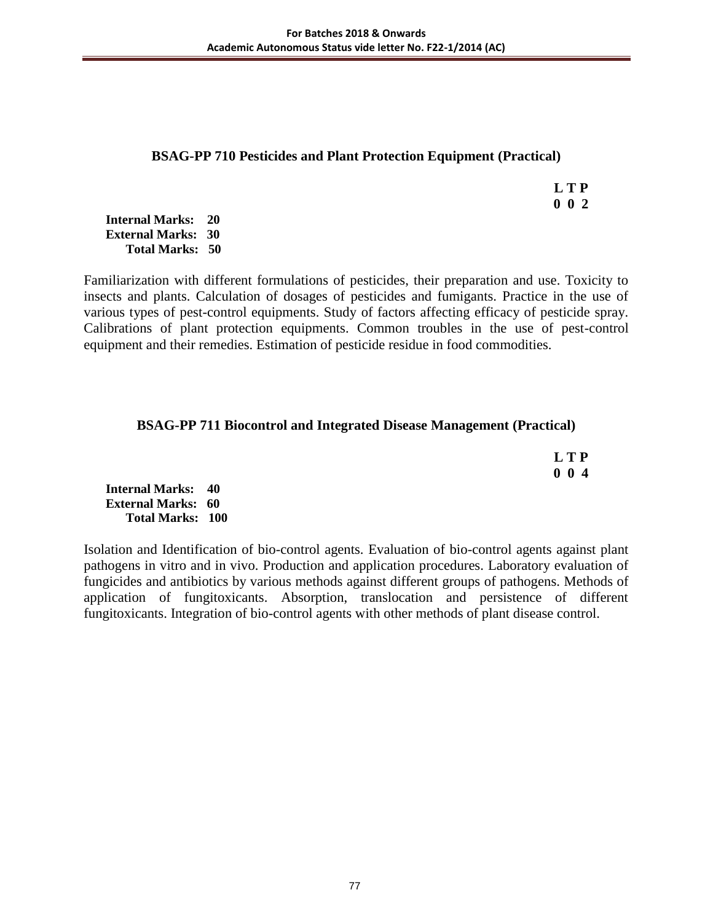# **BSAG-PP 710 Pesticides and Plant Protection Equipment (Practical)**

 **L T P 0 0 2**

**Internal Marks: 20 External Marks: 30 Total Marks: 50** 

Familiarization with different formulations of pesticides, their preparation and use. Toxicity to insects and plants. Calculation of dosages of pesticides and fumigants. Practice in the use of various types of pest-control equipments. Study of factors affecting efficacy of pesticide spray. Calibrations of plant protection equipments. Common troubles in the use of pest-control equipment and their remedies. Estimation of pesticide residue in food commodities.

## **BSAG-PP 711 Biocontrol and Integrated Disease Management (Practical)**

|                           | <b>LTP</b>  |
|---------------------------|-------------|
|                           | $0 \t0 \t4$ |
| <b>Internal Marks: 40</b> |             |
| <b>External Marks: 60</b> |             |
| <b>Total Marks: 100</b>   |             |

Isolation and Identification of bio-control agents. Evaluation of bio-control agents against plant pathogens in vitro and in vivo. Production and application procedures. Laboratory evaluation of fungicides and antibiotics by various methods against different groups of pathogens. Methods of application of fungitoxicants. Absorption, translocation and persistence of different fungitoxicants. Integration of bio-control agents with other methods of plant disease control.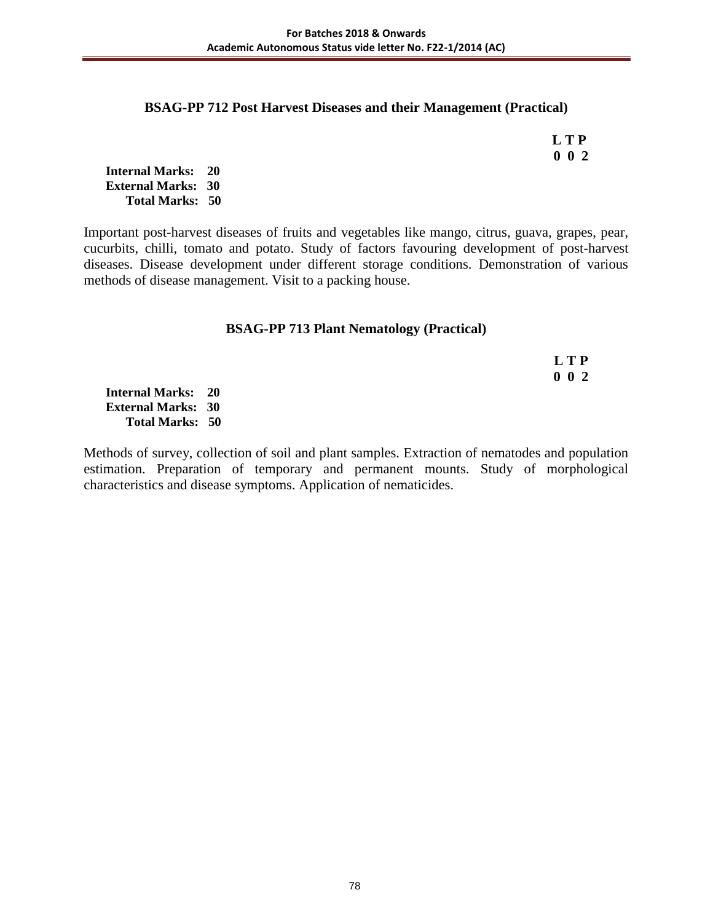## **BSAG-PP 712 Post Harvest Diseases and their Management (Practical)**

 **L T P 0 0 2**

**Internal Marks: 20 External Marks: 30 Total Marks: 50** 

Important post-harvest diseases of fruits and vegetables like mango, citrus, guava, grapes, pear, cucurbits, chilli, tomato and potato. Study of factors favouring development of post-harvest diseases. Disease development under different storage conditions. Demonstration of various methods of disease management. Visit to a packing house.

# **BSAG-PP 713 Plant Nematology (Practical)**

 **L T P 0 0 2**

**Internal Marks: 20 External Marks: 30 Total Marks: 50** 

Methods of survey, collection of soil and plant samples. Extraction of nematodes and population estimation. Preparation of temporary and permanent mounts. Study of morphological characteristics and disease symptoms. Application of nematicides.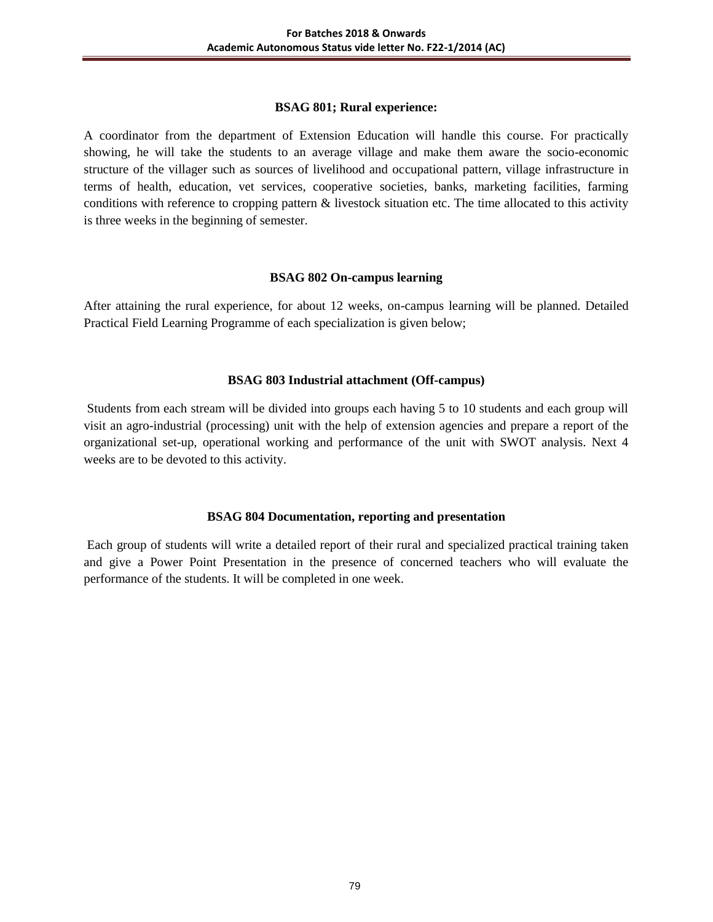#### **BSAG 801; Rural experience:**

A coordinator from the department of Extension Education will handle this course. For practically showing, he will take the students to an average village and make them aware the socio-economic structure of the villager such as sources of livelihood and occupational pattern, village infrastructure in terms of health, education, vet services, cooperative societies, banks, marketing facilities, farming conditions with reference to cropping pattern & livestock situation etc. The time allocated to this activity is three weeks in the beginning of semester.

#### **BSAG 802 On-campus learning**

After attaining the rural experience, for about 12 weeks, on-campus learning will be planned. Detailed Practical Field Learning Programme of each specialization is given below;

# **BSAG 803 Industrial attachment (Off-campus)**

Students from each stream will be divided into groups each having 5 to 10 students and each group will visit an agro-industrial (processing) unit with the help of extension agencies and prepare a report of the organizational set-up, operational working and performance of the unit with SWOT analysis. Next 4 weeks are to be devoted to this activity.

# **BSAG 804 Documentation, reporting and presentation**

Each group of students will write a detailed report of their rural and specialized practical training taken and give a Power Point Presentation in the presence of concerned teachers who will evaluate the performance of the students. It will be completed in one week.